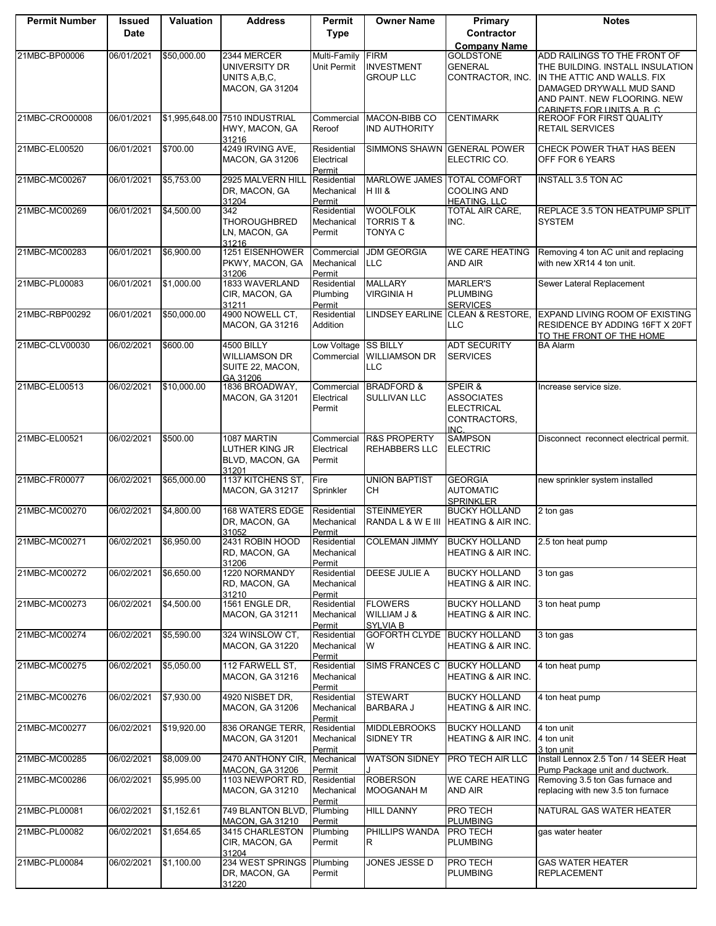| <b>Permit Number</b> | <b>Issued</b><br><b>Date</b> | Valuation      | <b>Address</b>                                                           | Permit<br><b>Type</b>               | <b>Owner Name</b>                                    | <b>Primary</b><br>Contractor                                              | <b>Notes</b>                                                                                                                                                                            |
|----------------------|------------------------------|----------------|--------------------------------------------------------------------------|-------------------------------------|------------------------------------------------------|---------------------------------------------------------------------------|-----------------------------------------------------------------------------------------------------------------------------------------------------------------------------------------|
|                      |                              |                |                                                                          |                                     |                                                      | <b>Company Name</b>                                                       |                                                                                                                                                                                         |
| 21MBC-BP00006        | 06/01/2021                   | \$50,000.00    | 2344 MERCER<br>UNIVERSITY DR<br>UNITS A, B, C,<br><b>MACON, GA 31204</b> | Multi-Family<br>Unit Permit         | <b>FIRM</b><br><b>INVESTMENT</b><br><b>GROUP LLC</b> | <b>GOLDSTONE</b><br><b>GENERAL</b><br>CONTRACTOR, INC.                    | ADD RAILINGS TO THE FRONT OF<br>THE BUILDING. INSTALL INSULATION<br>IN THE ATTIC AND WALLS. FIX<br>DAMAGED DRYWALL MUD SAND<br>AND PAINT. NEW FLOORING. NEW<br>CARINETS FOR UNITS A R C |
| 21MBC-CRO00008       | 06/01/2021                   | \$1,995,648.00 | 7510 INDUSTRIAL<br>HWY, MACON, GA<br>31216                               | Commercial<br>Reroof                | MACON-BIBB CO<br><b>IND AUTHORITY</b>                | <b>CENTIMARK</b>                                                          | <b>REROOF FOR FIRST QUALITY</b><br><b>RETAIL SERVICES</b>                                                                                                                               |
| 21MBC-EL00520        | 06/01/2021                   | \$700.00       | 4249 IRVING AVE.<br>MACON, GA 31206                                      | Residential<br>Electrical<br>Permit |                                                      | SIMMONS SHAWN GENERAL POWER<br>ELECTRIC CO.                               | CHECK POWER THAT HAS BEEN<br>OFF FOR 6 YEARS                                                                                                                                            |
| 21MBC-MC00267        | 06/01/2021                   | \$5,753.00     | 2925 MALVERN HILL<br>DR, MACON, GA<br>31204                              | Residential<br>Mechanical<br>Permit | <b>MARLOWE JAMES</b><br><b>H</b> III &               | <b>TOTAL COMFORT</b><br><b>COOLING AND</b><br><b>HEATING, LLC</b>         | <b>INSTALL 3.5 TON AC</b>                                                                                                                                                               |
| 21MBC-MC00269        | 06/01/2021                   | \$4,500.00     | 342<br>THOROUGHBRED<br>LN, MACON, GA<br>31216                            | Residential<br>Mechanical<br>Permit | <b>WOOLFOLK</b><br><b>TORRIST&amp;</b><br>TONYA C    | TOTAL AIR CARE,<br>INC.                                                   | REPLACE 3.5 TON HEATPUMP SPLIT<br><b>SYSTEM</b>                                                                                                                                         |
| 21MBC-MC00283        | 06/01/2021                   | \$6,900.00     | 1251 EISENHOWER<br>PKWY, MACON, GA<br>31206                              | Commercial<br>Mechanical<br>Permit  | <b>JDM GEORGIA</b><br>LLC                            | <b>WE CARE HEATING</b><br><b>AND AIR</b>                                  | Removing 4 ton AC unit and replacing<br>with new XR14 4 ton unit.                                                                                                                       |
| 21MBC-PL00083        | 06/01/2021                   | \$1,000.00     | 1833 WAVERLAND<br>CIR, MACON, GA<br>31211                                | Residential<br>Plumbing<br>Permit   | <b>MALLARY</b><br><b>VIRGINIA H</b>                  | <b>MARLER'S</b><br><b>PLUMBING</b><br><b>SERVICES</b>                     | Sewer Lateral Replacement                                                                                                                                                               |
| 21MBC-RBP00292       | 06/01/2021                   | \$50,000.00    | 4900 NOWELL CT,<br>MACON, GA 31216                                       | Residential<br>Addition             |                                                      | <b>LLC</b>                                                                | LINDSEY EARLINE CLEAN & RESTORE, EXPAND LIVING ROOM OF EXISTING<br>RESIDENCE BY ADDING 16FT X 20FT<br>TO THE FRONT OF THE HOME                                                          |
| 21MBC-CLV00030       | 06/02/2021                   | \$600.00       | 4500 BILLY<br>WILLIAMSON DR<br>SUITE 22, MACON,<br>GA 31206              | Low Voltage SS BILLY<br>Commercial  | <b>WILLIAMSON DR</b><br>LLC.                         | <b>ADT SECURITY</b><br><b>SERVICES</b>                                    | <b>BA Alarm</b>                                                                                                                                                                         |
| 21MBC-EL00513        | 06/02/2021                   | \$10,000.00    | 1836 BROADWAY,<br><b>MACON, GA 31201</b>                                 | Commercial<br>Electrical<br>Permit  | <b>BRADFORD &amp;</b><br>SULLIVAN LLC                | SPEIR &<br><b>ASSOCIATES</b><br><b>ELECTRICAL</b><br>CONTRACTORS,<br>INC. | Increase service size.                                                                                                                                                                  |
| 21MBC-EL00521        | 06/02/2021                   | \$500.00       | 1087 MARTIN<br>LUTHER KING JR<br>BLVD, MACON, GA<br>31201                | Commercial<br>Electrical<br>Permit  | <b>R&amp;S PROPERTY</b><br>REHABBERS LLC             | <b>SAMPSON</b><br><b>ELECTRIC</b>                                         | Disconnect reconnect electrical permit.                                                                                                                                                 |
| 21MBC-FR00077        | 06/02/2021                   | \$65,000.00    | 1137 KITCHENS ST,<br><b>MACON, GA 31217</b>                              | Fire<br>Sprinkler                   | <b>UNION BAPTIST</b><br>CН                           | <b>GEORGIA</b><br><b>AUTOMATIC</b><br><b>SPRINKLER</b>                    | new sprinkler system installed                                                                                                                                                          |
| 21MBC-MC00270        | 06/02/2021                   | \$4,800.00     | <b>168 WATERS EDGE</b><br>DR, MACON, GA<br>31052                         | Residential<br>Mechanical<br>Permit | <b>STEINMEYER</b><br>RANDA L & W E III               | <b>BUCKY HOLLAND</b><br><b>HEATING &amp; AIR INC.</b>                     | 2 ton gas                                                                                                                                                                               |
| 21MBC-MC00271        | 06/02/2021                   | \$6,950.00     | 2431 ROBIN HOOD<br>RD, MACON, GA<br>31206                                | Residential<br>Mechanical<br>Permit | <b>COLEMAN JIMMY</b>                                 | <b>BUCKY HOLLAND</b><br><b>HEATING &amp; AIR INC.</b>                     | 2.5 ton heat pump                                                                                                                                                                       |
| 21MBC-MC00272        | 06/02/2021                   | \$6,650.00     | 1220 NORMANDY<br>RD, MACON, GA<br>31210                                  | Residential<br>Mechanical<br>Permit | DEESE JULIE A                                        | <b>BUCKY HOLLAND</b><br>HEATING & AIR INC.                                | 3 ton gas                                                                                                                                                                               |
| 21MBC-MC00273        | 06/02/2021                   | \$4,500.00     | 1561 ENGLE DR,<br>MACON, GA 31211                                        | Residential<br>Mechanical<br>Permit | <b>FLOWERS</b><br>WILLIAM J &<br><b>SYLVIA B</b>     | <b>BUCKY HOLLAND</b><br><b>HEATING &amp; AIR INC.</b>                     | 3 ton heat pump                                                                                                                                                                         |
| 21MBC-MC00274        | 06/02/2021                   | \$5,590.00     | 324 WINSLOW CT,<br><b>MACON, GA 31220</b>                                | Residential<br>Mechanical<br>Permit | GOFORTH CLYDE BUCKY HOLLAND<br>W                     | HEATING & AIR INC.                                                        | 3 ton gas                                                                                                                                                                               |
| 21MBC-MC00275        | 06/02/2021                   | \$5,050.00     | 112 FARWELL ST,<br><b>MACON, GA 31216</b>                                | Residential<br>Mechanical<br>Permit | <b>SIMS FRANCES C</b>                                | <b>BUCKY HOLLAND</b><br>HEATING & AIR INC.                                | 4 ton heat pump                                                                                                                                                                         |
| 21MBC-MC00276        | 06/02/2021                   | \$7,930.00     | 4920 NISBET DR.<br><b>MACON, GA 31206</b>                                | Residential<br>Mechanical<br>Permit | <b>STEWART</b><br><b>BARBARA J</b>                   | <b>BUCKY HOLLAND</b><br><b>HEATING &amp; AIR INC.</b>                     | 4 ton heat pump                                                                                                                                                                         |
| 21MBC-MC00277        | 06/02/2021                   | \$19,920.00    | 836 ORANGE TERR.<br><b>MACON, GA 31201</b>                               | Residential<br>Mechanical<br>Permit | <b>MIDDLEBROOKS</b><br>SIDNEY TR                     | <b>BUCKY HOLLAND</b><br>HEATING & AIR INC.                                | 4 ton unit<br>4 ton unit<br>3 ton unit                                                                                                                                                  |
| 21MBC-MC00285        | 06/02/2021                   | \$8,009.00     | 2470 ANTHONY CIR,<br><b>MACON, GA 31206</b>                              | Mechanical<br>Permit                | <b>WATSON SIDNEY</b>                                 | <b>PRO TECH AIR LLC</b>                                                   | Install Lennox 2.5 Ton / 14 SEER Heat<br>Pump Package unit and ductwork.                                                                                                                |
| 21MBC-MC00286        | 06/02/2021                   | \$5,995.00     | 1103 NEWPORT RD,<br><b>MACON, GA 31210</b>                               | Residential<br>Mechanical<br>Permit | <b>ROBERSON</b><br>MOOGANAH M                        | <b>WE CARE HEATING</b><br>AND AIR                                         | Removing 3.5 ton Gas furnace and<br>replacing with new 3.5 ton furnace                                                                                                                  |
| 21MBC-PL00081        | 06/02/2021                   | \$1,152.61     | 749 BLANTON BLVD,<br>MACON, GA 31210                                     | Plumbing<br>Permit                  | HILL DANNY                                           | PRO TECH<br><b>PLUMBING</b>                                               | NATURAL GAS WATER HEATER                                                                                                                                                                |
| 21MBC-PL00082        | 06/02/2021                   | \$1,654.65     | 3415 CHARLESTON<br>CIR, MACON, GA<br>31204                               | Plumbing<br>Permit                  | PHILLIPS WANDA<br>R                                  | PRO TECH<br><b>PLUMBING</b>                                               | gas water heater                                                                                                                                                                        |
| 21MBC-PL00084        | 06/02/2021                   | \$1,100.00     | 234 WEST SPRINGS<br>DR, MACON, GA<br>31220                               | Plumbing<br>Permit                  | JONES JESSE D                                        | PRO TECH<br><b>PLUMBING</b>                                               | <b>GAS WATER HEATER</b><br><b>REPLACEMENT</b>                                                                                                                                           |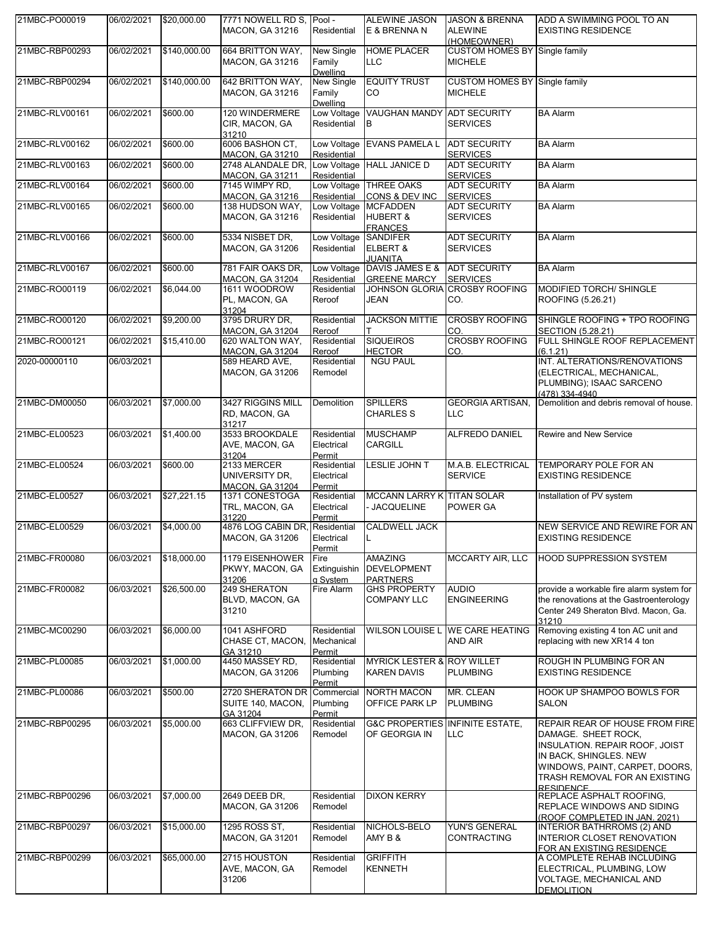| 21MBC-PO00019  | 06/02/2021 | \$20,000.00  | 7771 NOWELL RD S, Pool -<br><b>MACON, GA 31216</b>       | Residential                             | <b>ALEWINE JASON</b><br>E & BRENNA N                        | <b>JASON &amp; BRENNA</b><br><b>ALEWINE</b><br>(HOMEOWNER) | ADD A SWIMMING POOL TO AN<br><b>EXISTING RESIDENCE</b>                                                                                                                                                   |
|----------------|------------|--------------|----------------------------------------------------------|-----------------------------------------|-------------------------------------------------------------|------------------------------------------------------------|----------------------------------------------------------------------------------------------------------------------------------------------------------------------------------------------------------|
| 21MBC-RBP00293 | 06/02/2021 | \$140,000.00 | 664 BRITTON WAY,<br><b>MACON, GA 31216</b>               | New Single<br>Family<br><b>Dwelling</b> | <b>HOME PLACER</b><br><b>LLC</b>                            | <b>CUSTOM HOMES BY Single family</b><br><b>MICHELE</b>     |                                                                                                                                                                                                          |
| 21MBC-RBP00294 | 06/02/2021 | \$140,000.00 | 642 BRITTON WAY,<br><b>MACON, GA 31216</b>               | New Single<br>Family<br><b>Dwelling</b> | <b>EQUITY TRUST</b><br>CO                                   | <b>CUSTOM HOMES BY Single family</b><br><b>MICHELE</b>     |                                                                                                                                                                                                          |
| 21MBC-RLV00161 | 06/02/2021 | \$600.00     | 120 WINDERMERE<br>CIR, MACON, GA<br>31210                | Residential                             | Low Voltage VAUGHAN MANDY ADT SECURITY<br>IВ                | <b>SERVICES</b>                                            | <b>BA Alarm</b>                                                                                                                                                                                          |
| 21MBC-RLV00162 | 06/02/2021 | \$600.00     | 6006 BASHON CT,<br><b>MACON, GA 31210</b>                | Low Voltage<br>Residential              | <b>EVANS PAMELA L</b>                                       | <b>ADT SECURITY</b><br><b>SERVICES</b>                     | <b>BA Alarm</b>                                                                                                                                                                                          |
| 21MBC-RLV00163 | 06/02/2021 | \$600.00     | 2748 ALANDALE DR,<br>MACON, GA 31211                     | Residential                             | Low Voltage HALL JANICE D                                   | <b>ADT SECURITY</b><br><b>SERVICES</b>                     | <b>BA Alarm</b>                                                                                                                                                                                          |
| 21MBC-RLV00164 | 06/02/2021 | \$600.00     | 7145 WIMPY RD,<br><b>MACON, GA 31216</b>                 | Residential                             | Low Voltage THREE OAKS<br>CONS & DEV INC                    | <b>ADT SECURITY</b><br><b>SERVICES</b>                     | <b>BA Alarm</b>                                                                                                                                                                                          |
| 21MBC-RLV00165 | 06/02/2021 | \$600.00     | 138 HUDSON WAY,<br><b>MACON, GA 31216</b>                | Low Voltage<br>Residential              | <b>MCFADDEN</b><br><b>HUBERT &amp;</b><br><b>FRANCES</b>    | <b>ADT SECURITY</b><br><b>SERVICES</b>                     | <b>BA Alarm</b>                                                                                                                                                                                          |
| 21MBC-RLV00166 | 06/02/2021 | \$600.00     | 5334 NISBET DR.<br><b>MACON, GA 31206</b>                | Low Voltage SANDIFER<br>Residential     | <b>ELBERT &amp;</b><br><b>JUANITA</b>                       | <b>ADT SECURITY</b><br><b>SERVICES</b>                     | <b>BA Alarm</b>                                                                                                                                                                                          |
| 21MBC-RLV00167 | 06/02/2021 | \$600.00     | 781 FAIR OAKS DR,<br><b>MACON, GA 31204</b>              | Residential                             | Low Voltage DAVIS JAMES E &<br><b>GREENE MARCY</b>          | <b>ADT SECURITY</b><br><b>SERVICES</b>                     | <b>BA Alarm</b>                                                                                                                                                                                          |
| 21MBC-RO00119  | 06/02/2021 | \$6,044.00   | 1611 WOODROW<br>PL, MACON, GA<br>31204                   | Residential<br>Reroof                   | <b>JEAN</b>                                                 | JOHNSON GLORIA CROSBY ROOFING<br>CO.                       | <b>MODIFIED TORCH/ SHINGLE</b><br>ROOFING (5.26.21)                                                                                                                                                      |
| 21MBC-RO00120  | 06/02/2021 | \$9,200.00   | 3795 DRURY DR,<br><b>MACON, GA 31204</b>                 | Residential<br>Reroof                   | <b>JACKSON MITTIE</b>                                       | <b>CROSBY ROOFING</b><br>CO.                               | SHINGLE ROOFING + TPO ROOFING<br><b>SECTION (5.28.21)</b>                                                                                                                                                |
| 21MBC-RO00121  | 06/02/2021 | \$15,410.00  | 620 WALTON WAY,<br><b>MACON, GA 31204</b>                | Residential<br>Reroof                   | <b>SIQUEIROS</b><br><b>HECTOR</b>                           | <b>CROSBY ROOFING</b><br>CO.                               | FULL SHINGLE ROOF REPLACEMENT<br>(6.1.21)                                                                                                                                                                |
| 2020-00000110  | 06/03/2021 |              | 589 HEARD AVE,<br><b>MACON, GA 31206</b>                 | Residential<br>Remodel                  | <b>NGU PAUL</b>                                             |                                                            | INT. ALTERATIONS/RENOVATIONS<br>(ELECTRICAL, MECHANICAL,<br>PLUMBING); ISAAC SARCENO<br>(478) 334-4940                                                                                                   |
| 21MBC-DM00050  | 06/03/2021 | \$7,000.00   | 3427 RIGGINS MILL<br>RD, MACON, GA<br>31217              | Demolition                              | <b>SPILLERS</b><br><b>CHARLES S</b>                         | <b>GEORGIA ARTISAN,</b><br><b>LLC</b>                      | Demolition and debris removal of house.                                                                                                                                                                  |
| 21MBC-EL00523  | 06/03/2021 | \$1,400.00   | 3533 BROOKDALE<br>AVE, MACON, GA<br>31204                | Residential<br>Electrical<br>Permit     | <b>MUSCHAMP</b><br><b>CARGILL</b>                           | <b>ALFREDO DANIEL</b>                                      | Rewire and New Service                                                                                                                                                                                   |
| 21MBC-EL00524  | 06/03/2021 | \$600.00     | 2133 MERCER<br>UNIVERSITY DR.<br><b>MACON, GA 31204</b>  | Residential<br>Electrical<br>Permit     | LESLIE JOHN T                                               | M.A.B. ELECTRICAL<br><b>SERVICE</b>                        | TEMPORARY POLE FOR AN<br><b>EXISTING RESIDENCE</b>                                                                                                                                                       |
| 21MBC-EL00527  | 06/03/2021 | \$27,221.15  | 1371 CONESTOGA<br>TRL, MACON, GA<br>31220                | Residential<br>Electrical<br>Permit     | MCCANN LARRY K TITAN SOLAR<br>- JACQUELINE                  | POWER GA                                                   | Installation of PV system                                                                                                                                                                                |
| 21MBC-EL00529  | 06/03/2021 | \$4,000.00   | 4876 LOG CABIN DR, Residential<br><b>MACON, GA 31206</b> | Electrical<br>Permit                    | <b>CALDWELL JACK</b>                                        |                                                            | NEW SERVICE AND REWIRE FOR AN<br><b>EXISTING RESIDENCE</b>                                                                                                                                               |
| 21MBC-FR00080  | 06/03/2021 | \$18,000.00  | 1179 EISENHOWER<br>PKWY, MACON, GA<br>31206              | Fire<br>Extinguishin<br>a System        | <b>AMAZING</b><br><b>DEVELOPMENT</b><br><b>PARTNERS</b>     | <b>MCCARTY AIR, LLC</b>                                    | <b>HOOD SUPPRESSION SYSTEM</b>                                                                                                                                                                           |
| 21MBC-FR00082  | 06/03/2021 | \$26,500.00  | 249 SHERATON<br>BLVD, MACON, GA<br>31210                 | Fire Alarm                              | <b>GHS PROPERTY</b><br><b>COMPANY LLC</b>                   | <b>AUDIO</b><br><b>ENGINEERING</b>                         | provide a workable fire alarm system for<br>the renovations at the Gastroenterology<br>Center 249 Sheraton Blvd. Macon, Ga.<br>31210                                                                     |
| 21MBC-MC00290  | 06/03/2021 | \$6,000.00   | 1041 ASHFORD<br>CHASE CT, MACON,<br>GA 31210             | Residential<br>Mechanical<br>Permit     |                                                             | WILSON LOUISE L WE CARE HEATING<br><b>AND AIR</b>          | Removing existing 4 ton AC unit and<br>replacing with new XR14 4 ton                                                                                                                                     |
| 21MBC-PL00085  | 06/03/2021 | \$1,000.00   | 4450 MASSEY RD,<br><b>MACON, GA 31206</b>                | Residential<br>Plumbing<br>Permit       | MYRICK LESTER & ROY WILLET<br><b>KAREN DAVIS</b>            | <b>PLUMBING</b>                                            | ROUGH IN PLUMBING FOR AN<br><b>EXISTING RESIDENCE</b>                                                                                                                                                    |
| 21MBC-PL00086  | 06/03/2021 | \$500.00     | 2720 SHERATON DR<br>SUITE 140, MACON,<br>GA 31204        | Commercial<br>Plumbing<br>Permit        | <b>NORTH MACON</b><br>OFFICE PARK LP                        | MR. CLEAN<br><b>PLUMBING</b>                               | HOOK UP SHAMPOO BOWLS FOR<br><b>SALON</b>                                                                                                                                                                |
| 21MBC-RBP00295 | 06/03/2021 | \$5,000.00   | 663 CLIFFVIEW DR,<br><b>MACON, GA 31206</b>              | Residential<br>Remodel                  | <b>G&amp;C PROPERTIES INFINITE ESTATE,</b><br>OF GEORGIA IN | <b>LLC</b>                                                 | REPAIR REAR OF HOUSE FROM FIRE<br>DAMAGE. SHEET ROCK,<br>INSULATION. REPAIR ROOF, JOIST<br>IN BACK, SHINGLES. NEW<br>WINDOWS, PAINT, CARPET, DOORS,<br>TRASH REMOVAL FOR AN EXISTING<br><b>RESIDENCE</b> |
| 21MBC-RBP00296 | 06/03/2021 | \$7,000.00   | 2649 DEEB DR.<br><b>MACON, GA 31206</b>                  | Residential<br>Remodel                  | <b>DIXON KERRY</b>                                          |                                                            | REPLACE ASPHALT ROOFING,<br>REPLACE WINDOWS AND SIDING<br>(ROOF COMPLETED IN JAN. 2021)                                                                                                                  |
| 21MBC-RBP00297 | 06/03/2021 | \$15,000.00  | 1295 ROSS ST,<br><b>MACON, GA 31201</b>                  | Residential<br>Remodel                  | NICHOLS-BELO<br>AMY B &                                     | <b>YUN'S GENERAL</b><br><b>CONTRACTING</b>                 | <b>INTERIOR BATHRROMS (2) AND</b><br>INTERIOR CLOSET RENOVATION<br>FOR AN EXISTING RESIDENCE                                                                                                             |
| 21MBC-RBP00299 | 06/03/2021 | \$65,000.00  | 2715 HOUSTON<br>AVE, MACON, GA<br>31206                  | Residential<br>Remodel                  | <b>GRIFFITH</b><br><b>KENNETH</b>                           |                                                            | A COMPLETE REHAB INCLUDING<br>ELECTRICAL, PLUMBING, LOW<br>VOLTAGE, MECHANICAL AND<br><b>DEMOLITION</b>                                                                                                  |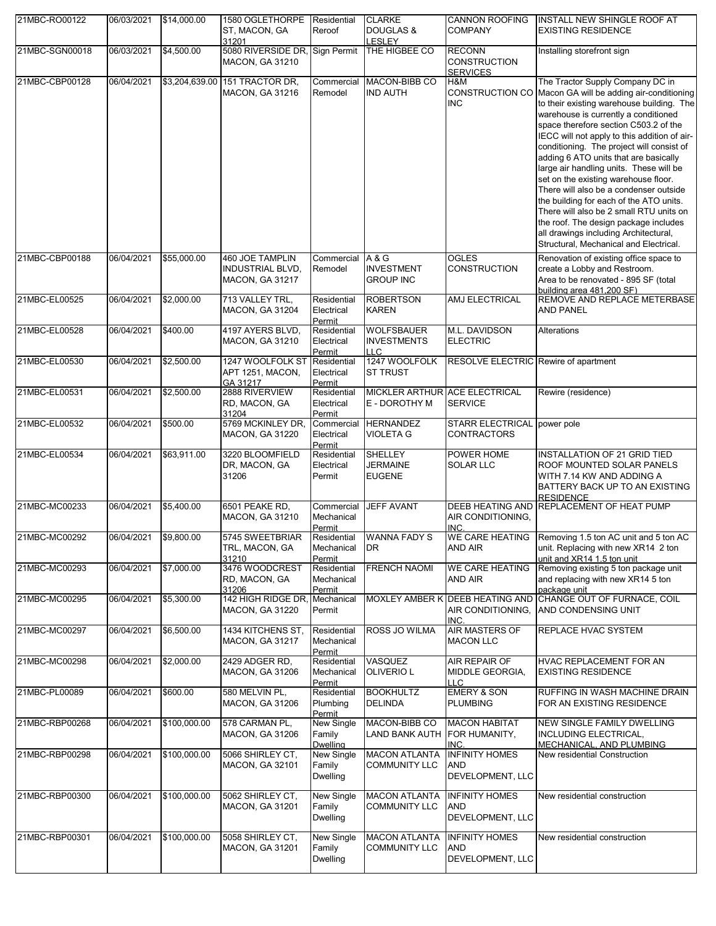| 21MBC-RO00122  | 06/03/2021 | \$14,000.00    | 1580 OGLETHORPE<br>ST, MACON, GA<br>31201                                   | Residential<br>Reroof                   | <b>CLARKE</b><br><b>DOUGLAS &amp;</b><br>LESLEY       | <b>CANNON ROOFING</b><br><b>COMPANY</b>                      | <b>INSTALL NEW SHINGLE ROOF AT</b><br><b>EXISTING RESIDENCE</b>                                                                                                                                                                                                                                                                                                                                                                                                                                                                                                                                                                                                                                                 |
|----------------|------------|----------------|-----------------------------------------------------------------------------|-----------------------------------------|-------------------------------------------------------|--------------------------------------------------------------|-----------------------------------------------------------------------------------------------------------------------------------------------------------------------------------------------------------------------------------------------------------------------------------------------------------------------------------------------------------------------------------------------------------------------------------------------------------------------------------------------------------------------------------------------------------------------------------------------------------------------------------------------------------------------------------------------------------------|
| 21MBC-SGN00018 | 06/03/2021 | \$4,500.00     | 5080 RIVERSIDE DR, Sign Permit<br><b>MACON, GA 31210</b>                    |                                         | THE HIGBEE CO                                         | <b>RECONN</b><br><b>CONSTRUCTION</b><br><b>SERVICES</b>      | Installing storefront sign                                                                                                                                                                                                                                                                                                                                                                                                                                                                                                                                                                                                                                                                                      |
| 21MBC-CBP00128 | 06/04/2021 | \$3,204,639.00 | 151 TRACTOR DR.<br><b>MACON, GA 31216</b>                                   | Commercial<br>Remodel                   | MACON-BIBB CO<br><b>IND AUTH</b>                      | H&M<br><b>INC</b>                                            | The Tractor Supply Company DC in<br>CONSTRUCTION CO Macon GA will be adding air-conditioning<br>to their existing warehouse building. The<br>warehouse is currently a conditioned<br>space therefore section C503.2 of the<br>IECC will not apply to this addition of air-<br>conditioning. The project will consist of<br>adding 6 ATO units that are basically<br>large air handling units. These will be<br>set on the existing warehouse floor.<br>There will also be a condenser outside<br>the building for each of the ATO units.<br>There will also be 2 small RTU units on<br>the roof. The design package includes<br>all drawings including Architectural,<br>Structural, Mechanical and Electrical. |
| 21MBC-CBP00188 | 06/04/2021 | \$55,000.00    | <b>460 JOE TAMPLIN</b><br><b>INDUSTRIAL BLVD,</b><br><b>MACON, GA 31217</b> | Commercial<br>Remodel                   | A & G<br><b>INVESTMENT</b><br><b>GROUP INC</b>        | <b>OGLES</b><br>CONSTRUCTION                                 | Renovation of existing office space to<br>create a Lobby and Restroom.<br>Area to be renovated - 895 SF (total<br>building area 481.200 SF)                                                                                                                                                                                                                                                                                                                                                                                                                                                                                                                                                                     |
| 21MBC-EL00525  | 06/04/2021 | \$2,000.00     | 713 VALLEY TRL.<br><b>MACON, GA 31204</b>                                   | Residential<br>Electrical<br>Permit     | <b>ROBERTSON</b><br><b>KAREN</b>                      | AMJ ELECTRICAL                                               | REMOVE AND REPLACE METERBASE<br><b>AND PANEL</b>                                                                                                                                                                                                                                                                                                                                                                                                                                                                                                                                                                                                                                                                |
| 21MBC-EL00528  | 06/04/2021 | \$400.00       | 4197 AYERS BLVD,<br><b>MACON, GA 31210</b>                                  | Residential<br>Electrical<br>Permit     | <b>WOLFSBAUER</b><br><b>INVESTMENTS</b><br><b>LLC</b> | M.L. DAVIDSON<br><b>ELECTRIC</b>                             | Alterations                                                                                                                                                                                                                                                                                                                                                                                                                                                                                                                                                                                                                                                                                                     |
| 21MBC-EL00530  | 06/04/2021 | \$2,500.00     | 1247 WOOLFOLK ST<br>APT 1251, MACON,<br>GA 31217                            | Residential<br>Electrical<br>Permit     | 1247 WOOLFOLK<br><b>ST TRUST</b>                      | RESOLVE ELECTRIC Rewire of apartment                         |                                                                                                                                                                                                                                                                                                                                                                                                                                                                                                                                                                                                                                                                                                                 |
| 21MBC-EL00531  | 06/04/2021 | \$2,500.00     | 2888 RIVERVIEW<br>RD, MACON, GA<br>31204                                    | Residential<br>Electrical<br>Permit     | MICKLER ARTHUR ACE ELECTRICAL<br>E - DOROTHY M        | <b>SERVICE</b>                                               | Rewire (residence)                                                                                                                                                                                                                                                                                                                                                                                                                                                                                                                                                                                                                                                                                              |
| 21MBC-EL00532  | 06/04/2021 | \$500.00       | 5769 MCKINLEY DR,<br><b>MACON, GA 31220</b>                                 | Commercial<br>Electrical<br>Permit      | <b>HERNANDEZ</b><br><b>VIOLETA G</b>                  | STARR ELECTRICAL power pole<br><b>CONTRACTORS</b>            |                                                                                                                                                                                                                                                                                                                                                                                                                                                                                                                                                                                                                                                                                                                 |
| 21MBC-EL00534  | 06/04/2021 | \$63,911.00    | 3220 BLOOMFIELD<br>DR, MACON, GA<br>31206                                   | Residential<br>Electrical<br>Permit     | <b>SHELLEY</b><br><b>JERMAINE</b><br><b>EUGENE</b>    | POWER HOME<br>SOLAR LLC                                      | <b>INSTALLATION OF 21 GRID TIED</b><br>ROOF MOUNTED SOLAR PANELS<br>WITH 7.14 KW AND ADDING A<br>BATTERY BACK UP TO AN EXISTING<br><b>RESIDENCE</b>                                                                                                                                                                                                                                                                                                                                                                                                                                                                                                                                                             |
| 21MBC-MC00233  | 06/04/2021 | \$5,400.00     | 6501 PEAKE RD,<br><b>MACON, GA 31210</b>                                    | Commercial<br>Mechanical<br>Permit      | <b>JEFF AVANT</b>                                     | AIR CONDITIONING,<br>INC.                                    | DEEB HEATING AND REPLACEMENT OF HEAT PUMP                                                                                                                                                                                                                                                                                                                                                                                                                                                                                                                                                                                                                                                                       |
| 21MBC-MC00292  | 06/04/2021 | \$9,800.00     | 5745 SWEETBRIAR<br>TRL, MACON, GA<br>31210                                  | Residential<br>Mechanical<br>Permit     | <b>WANNA FADY S</b><br><b>DR</b>                      | <b>AND AIR</b>                                               | WE CARE HEATING Removing 1.5 ton AC unit and 5 ton AC<br>unit. Replacing with new XR14 2 ton<br>unit and XR14 1.5 ton unit                                                                                                                                                                                                                                                                                                                                                                                                                                                                                                                                                                                      |
| 21MBC-MC00293  | 06/04/2021 | \$7,000.00     | 3476 WOODCREST<br>RD, MACON, GA<br>31206                                    | Residential<br>Mechanical<br>Permit     | <b>FRENCH NAOMI</b>                                   | <b>WE CARE HEATING</b><br>AND AIR                            | Removing existing 5 ton package unit<br>and replacing with new XR14 5 ton<br>package unit                                                                                                                                                                                                                                                                                                                                                                                                                                                                                                                                                                                                                       |
| 21MBC-MC00295  | 06/04/2021 | \$5,300.00     | 142 HIGH RIDGE DR,<br><b>MACON, GA 31220</b>                                | Mechanical<br>Permit                    |                                                       | MOXLEY AMBER K DEEB HEATING AND<br>AIR CONDITIONING,<br>INC. | CHANGE OUT OF FURNACE, COIL<br>AND CONDENSING UNIT                                                                                                                                                                                                                                                                                                                                                                                                                                                                                                                                                                                                                                                              |
| 21MBC-MC00297  | 06/04/2021 | \$6,500.00     | 1434 KITCHENS ST,<br><b>MACON, GA 31217</b>                                 | Residential<br>Mechanical<br>Permit     | <b>ROSS JO WILMA</b>                                  | AIR MASTERS OF<br><b>MACON LLC</b>                           | <b>REPLACE HVAC SYSTEM</b>                                                                                                                                                                                                                                                                                                                                                                                                                                                                                                                                                                                                                                                                                      |
| 21MBC-MC00298  | 06/04/2021 | \$2,000.00     | 2429 ADGER RD,<br><b>MACON, GA 31206</b>                                    | Residential<br>Mechanical<br>Permit     | VASQUEZ<br><b>OLIVERIO L</b>                          | AIR REPAIR OF<br>MIDDLE GEORGIA,<br>LLC.                     | HVAC REPLACEMENT FOR AN<br><b>EXISTING RESIDENCE</b>                                                                                                                                                                                                                                                                                                                                                                                                                                                                                                                                                                                                                                                            |
| 21MBC-PL00089  | 06/04/2021 | \$600.00       | 580 MELVIN PL,<br>MACON, GA 31206                                           | Residential<br>Plumbing<br>Permit       | <b>BOOKHULTZ</b><br><b>DELINDA</b>                    | <b>EMERY &amp; SON</b><br><b>PLUMBING</b>                    | RUFFING IN WASH MACHINE DRAIN<br>FOR AN EXISTING RESIDENCE                                                                                                                                                                                                                                                                                                                                                                                                                                                                                                                                                                                                                                                      |
| 21MBC-RBP00268 | 06/04/2021 | \$100,000.00   | 578 CARMAN PL,<br><b>MACON, GA 31206</b>                                    | New Single<br>Family<br><b>Dwelling</b> | MACON-BIBB CO<br><b>LAND BANK AUTH</b>                | <b>MACON HABITAT</b><br>FOR HUMANITY,<br>INC.                | NEW SINGLE FAMILY DWELLING<br><b>INCLUDING ELECTRICAL,</b><br>MECHANICAL, AND PLUMBING                                                                                                                                                                                                                                                                                                                                                                                                                                                                                                                                                                                                                          |
| 21MBC-RBP00298 | 06/04/2021 | \$100,000.00   | 5066 SHIRLEY CT,<br><b>MACON, GA 32101</b>                                  | New Single<br>Family<br>Dwelling        | <b>MACON ATLANTA</b><br><b>COMMUNITY LLC</b>          | <b>INFINITY HOMES</b><br>AND<br>DEVELOPMENT, LLC             | New residential Construction                                                                                                                                                                                                                                                                                                                                                                                                                                                                                                                                                                                                                                                                                    |
| 21MBC-RBP00300 | 06/04/2021 | \$100,000.00   | 5062 SHIRLEY CT,<br><b>MACON, GA 31201</b>                                  | New Single<br>Family<br><b>Dwelling</b> | <b>MACON ATLANTA</b><br><b>COMMUNITY LLC</b>          | <b>INFINITY HOMES</b><br>AND<br>DEVELOPMENT, LLC             | New residential construction                                                                                                                                                                                                                                                                                                                                                                                                                                                                                                                                                                                                                                                                                    |
| 21MBC-RBP00301 | 06/04/2021 | \$100,000.00   | 5058 SHIRLEY CT,<br><b>MACON, GA 31201</b>                                  | New Single<br>Family<br><b>Dwelling</b> | <b>MACON ATLANTA</b><br><b>COMMUNITY LLC</b>          | <b>INFINITY HOMES</b><br>AND<br>DEVELOPMENT, LLC             | New residential construction                                                                                                                                                                                                                                                                                                                                                                                                                                                                                                                                                                                                                                                                                    |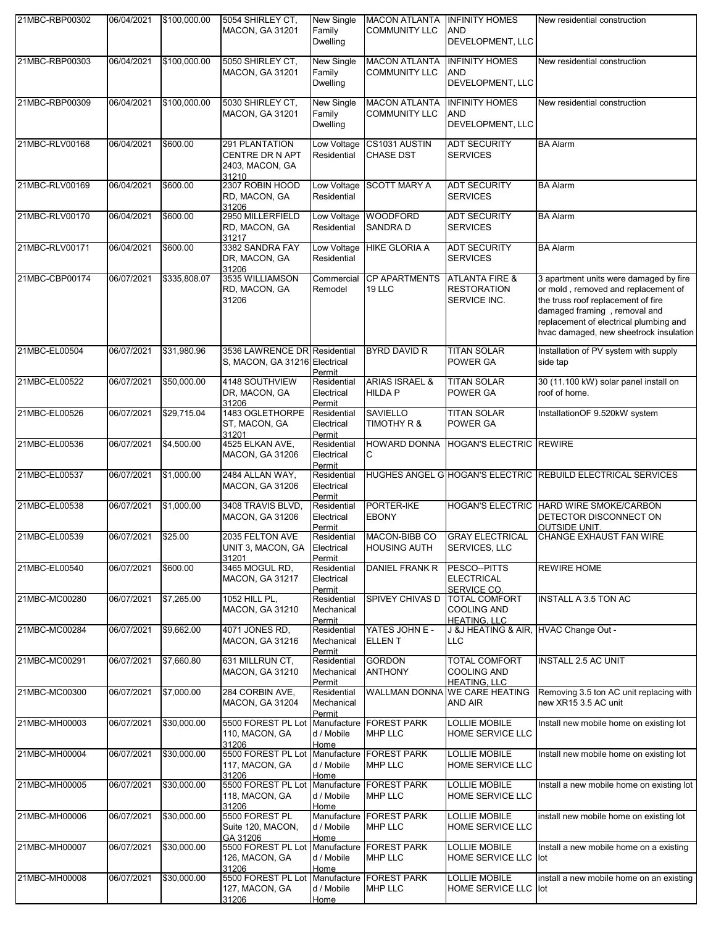| 21MBC-RBP00302 | 06/04/2021         | \$100,000.00 | 5054 SHIRLEY CT,<br><b>MACON, GA 31201</b>                            | New Single<br>Family<br><b>Dwelling</b>    | <b>MACON ATLANTA</b><br><b>COMMUNITY LLC</b>         | <b>INFINITY HOMES</b><br>AND<br>DEVELOPMENT, LLC                  | New residential construction                                                                                                                                                                                                            |
|----------------|--------------------|--------------|-----------------------------------------------------------------------|--------------------------------------------|------------------------------------------------------|-------------------------------------------------------------------|-----------------------------------------------------------------------------------------------------------------------------------------------------------------------------------------------------------------------------------------|
| 21MBC-RBP00303 | 06/04/2021         | \$100,000.00 | 5050 SHIRLEY CT,<br><b>MACON, GA 31201</b>                            | New Single<br>Family<br><b>Dwelling</b>    | <b>MACON ATLANTA</b><br><b>COMMUNITY LLC</b>         | <b>INFINITY HOMES</b><br>AND<br>DEVELOPMENT, LLC                  | New residential construction                                                                                                                                                                                                            |
| 21MBC-RBP00309 | 06/04/2021         | \$100,000.00 | 5030 SHIRLEY CT,<br><b>MACON, GA 31201</b>                            | <b>New Single</b><br>Family<br>Dwelling    | <b>MACON ATLANTA</b><br><b>COMMUNITY LLC</b>         | <b>INFINITY HOMES</b><br>AND<br>DEVELOPMENT, LLC                  | New residential construction                                                                                                                                                                                                            |
| 21MBC-RLV00168 | 06/04/2021         | \$600.00     | 291 PLANTATION<br>CENTRE DR N APT<br>2403, MACON, GA<br>31210         | Low Voltage<br>Residential                 | CS1031 AUSTIN<br><b>CHASE DST</b>                    | <b>ADT SECURITY</b><br><b>SERVICES</b>                            | <b>BA Alarm</b>                                                                                                                                                                                                                         |
| 21MBC-RLV00169 | 06/04/2021         | \$600.00     | 2307 ROBIN HOOD<br>RD, MACON, GA<br>31206                             | Low Voltage<br>Residential                 | <b>SCOTT MARY A</b>                                  | <b>ADT SECURITY</b><br><b>SERVICES</b>                            | <b>BA Alarm</b>                                                                                                                                                                                                                         |
| 21MBC-RLV00170 | 06/04/2021         | \$600.00     | 2950 MILLERFIELD<br>RD, MACON, GA<br>31217                            | Low Voltage<br>Residential                 | <b>WOODFORD</b><br><b>SANDRAD</b>                    | <b>ADT SECURITY</b><br><b>SERVICES</b>                            | <b>BA Alarm</b>                                                                                                                                                                                                                         |
| 21MBC-RLV00171 | 06/04/2021         | \$600.00     | 3382 SANDRA FAY<br>DR, MACON, GA<br>31206                             | Low Voltage<br>Residential                 | <b>HIKE GLORIA A</b>                                 | <b>ADT SECURITY</b><br><b>SERVICES</b>                            | <b>BA Alarm</b>                                                                                                                                                                                                                         |
| 21MBC-CBP00174 | 06/07/2021         | \$335.808.07 | 3535 WILLIAMSON<br>RD, MACON, GA<br>31206                             | Commercial<br>Remodel                      | <b>CP APARTMENTS</b><br>19 LLC                       | <b>ATLANTA FIRE &amp;</b><br><b>RESTORATION</b><br>SERVICE INC.   | 3 apartment units were damaged by fire<br>or mold, removed and replacement of<br>the truss roof replacement of fire<br>damaged framing, removal and<br>replacement of electrical plumbing and<br>hvac damaged, new sheetrock insulation |
| 21MBC-EL00504  | 06/07/2021         | \$31,980.96  | 3536 LAWRENCE DR Residential<br>S, MACON, GA 31216 Electrical         | Permit                                     | <b>BYRD DAVID R</b>                                  | <b>TITAN SOLAR</b><br><b>POWER GA</b>                             | Installation of PV system with supply<br>side tap                                                                                                                                                                                       |
| 21MBC-EL00522  | 06/07/2021         | \$50,000.00  | 4148 SOUTHVIEW<br>DR, MACON, GA<br>31206                              | Residential<br>Electrical<br>Permit        | <b>ARIAS ISRAEL &amp;</b><br><b>HILDA P</b>          | <b>TITAN SOLAR</b><br><b>POWER GA</b>                             | 30 (11.100 kW) solar panel install on<br>roof of home.                                                                                                                                                                                  |
| 21MBC-EL00526  | 06/07/2021         | \$29,715.04  | 1483 OGLETHORPE<br>ST, MACON, GA<br>31201                             | Residential<br>Electrical<br>Permit        | <b>SAVIELLO</b><br>TIMOTHY R &                       | <b>TITAN SOLAR</b><br><b>POWER GA</b>                             | InstallationOF 9.520kW system                                                                                                                                                                                                           |
| 21MBC-EL00536  | 06/07/2021         | \$4,500.00   | 4525 ELKAN AVE,<br><b>MACON, GA 31206</b>                             | Residential<br>Electrical<br>Permit        | C                                                    | HOWARD DONNA HOGAN'S ELECTRIC REWIRE                              |                                                                                                                                                                                                                                         |
| 21MBC-EL00537  | 06/07/2021         | \$1,000.00   | 2484 ALLAN WAY,<br><b>MACON, GA 31206</b>                             | Residential<br>Electrical<br>Permit        |                                                      |                                                                   | HUGHES ANGEL G HOGAN'S ELECTRIC REBUILD ELECTRICAL SERVICES                                                                                                                                                                             |
| 21MBC-EL00538  | 06/07/2021         | \$1,000.00   | 3408 TRAVIS BLVD,<br><b>MACON, GA 31206</b>                           | Residential<br>Electrical<br><u>Permit</u> | PORTER-IKE<br><b>EBONY</b>                           |                                                                   | HOGAN'S ELECTRIC HARD WIRE SMOKE/CARBON<br>DETECTOR DISCONNECT ON<br><b>OUTSIDE UNIT</b>                                                                                                                                                |
| 21MBC-EL00539  | 06/07/2021 \$25.00 |              | 2035 FELTON AVE<br>UNIT 3, MACON, GA<br>31201                         | Residential<br>Electrical<br>Permit        | MACON-BIBB CO GRAY ELECTRICAL<br><b>HOUSING AUTH</b> | <b>SERVICES, LLC</b>                                              | CHANGE EXHAUST FAN WIRE                                                                                                                                                                                                                 |
| 21MBC-EL00540  | 06/07/2021         | \$600.00     | 3465 MOGUL RD,<br><b>MACON, GA 31217</b>                              | Residential<br>Electrical<br>Permit        | DANIEL FRANK R                                       | PESCO--PITTS<br><b>ELECTRICAL</b><br><b>SERVICE CO.</b>           | <b>REWIRE HOME</b>                                                                                                                                                                                                                      |
| 21MBC-MC00280  | 06/07/2021         | \$7,265.00   | 1052 HILL PL,<br>MACON, GA 31210                                      | Residential<br>Mechanical<br>Permit        | <b>SPIVEY CHIVAS D</b>                               | <b>TOTAL COMFORT</b><br><b>COOLING AND</b><br><b>HEATING, LLC</b> | <b>INSTALL A 3.5 TON AC</b>                                                                                                                                                                                                             |
| 21MBC-MC00284  | 06/07/2021         | \$9,662.00   | 4071 JONES RD,<br><b>MACON, GA 31216</b>                              | Residential<br>Mechanical<br>Permit        | YATES JOHN E -<br><b>ELLENT</b>                      | J &J HEATING & AIR, HVAC Change Out -<br><b>LLC</b>               |                                                                                                                                                                                                                                         |
| 21MBC-MC00291  | 06/07/2021         | \$7,660.80   | 631 MILLRUN CT,<br><b>MACON, GA 31210</b>                             | Residential<br>Mechanical<br>Permit        | <b>GORDON</b><br><b>ANTHONY</b>                      | TOTAL COMFORT<br><b>COOLING AND</b><br><b>HEATING, LLC</b>        | <b>INSTALL 2.5 AC UNIT</b>                                                                                                                                                                                                              |
| 21MBC-MC00300  | 06/07/2021         | \$7,000.00   | 284 CORBIN AVE,<br>MACON, GA 31204                                    | Residential<br>Mechanical<br>Permit        |                                                      | WALLMAN DONNA WE CARE HEATING<br>AND AIR                          | Removing 3.5 ton AC unit replacing with<br>new XR15 3.5 AC unit                                                                                                                                                                         |
| 21MBC-MH00003  | 06/07/2021         | \$30,000.00  | 5500 FOREST PL Lot Manufacture FOREST PARK<br>110, MACON, GA<br>31206 | d / Mobile<br>Home                         | <b>MHP LLC</b>                                       | <b>LOLLIE MOBILE</b><br><b>HOME SERVICE LLC</b>                   | Install new mobile home on existing lot                                                                                                                                                                                                 |
| 21MBC-MH00004  | 06/07/2021         | \$30,000.00  | 5500 FOREST PL Lot<br>117, MACON, GA<br>31206                         | Manufacture<br>d / Mobile<br>Home          | <b>FOREST PARK</b><br><b>MHP LLC</b>                 | LOLLIE MOBILE<br>HOME SERVICE LLC                                 | Install new mobile home on existing lot                                                                                                                                                                                                 |
| 21MBC-MH00005  | 06/07/2021         | \$30,000.00  | 5500 FOREST PL Lot Manufacture FOREST PARK<br>118, MACON, GA<br>31206 | d / Mobile<br>Home                         | <b>MHP LLC</b>                                       | <b>LOLLIE MOBILE</b><br>HOME SERVICE LLC                          | Install a new mobile home on existing lot                                                                                                                                                                                               |
| 21MBC-MH00006  | 06/07/2021         | \$30,000.00  | 5500 FOREST PL<br>Suite 120, MACON,<br>GA 31206                       | d / Mobile<br>Home                         | Manufacture   FOREST PARK<br><b>MHP LLC</b>          | <b>LOLLIE MOBILE</b><br><b>HOME SERVICE LLC</b>                   | install new mobile home on existing lot                                                                                                                                                                                                 |
| 21MBC-MH00007  | 06/07/2021         | \$30,000.00  | 5500 FOREST PL Lot<br>126, MACON, GA<br>31206                         | Manufacture<br>d / Mobile<br>Home          | <b>FOREST PARK</b><br><b>MHP LLC</b>                 | LOLLIE MOBILE<br>HOME SERVICE LLC lot                             | Install a new mobile home on a existing                                                                                                                                                                                                 |
| 21MBC-MH00008  | 06/07/2021         | \$30,000.00  | 5500 FOREST PL Lot Manufacture FOREST PARK<br>127, MACON, GA<br>31206 | d / Mobile<br>Home                         | <b>MHP LLC</b>                                       | <b>LOLLIE MOBILE</b><br>HOME SERVICE LLC lot                      | install a new mobile home on an existing                                                                                                                                                                                                |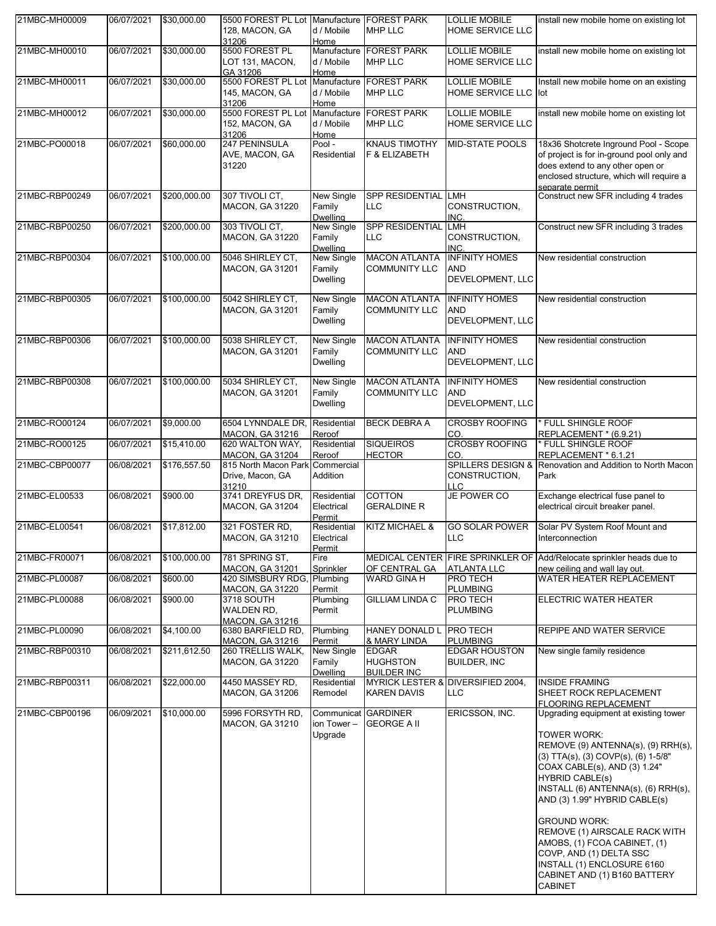| 21MBC-MH00009  | 06/07/2021 | \$30,000.00  | 5500 FOREST PL Lot Manufacture FOREST PARK<br>128, MACON, GA<br>31206 | d / Mobile<br>Home                      | <b>MHP LLC</b>                                        | <b>LOLLIE MOBILE</b><br>HOME SERVICE LLC             | install new mobile home on existing lot                                                                                                                                                                                                                                                                                                                                                                                                                         |
|----------------|------------|--------------|-----------------------------------------------------------------------|-----------------------------------------|-------------------------------------------------------|------------------------------------------------------|-----------------------------------------------------------------------------------------------------------------------------------------------------------------------------------------------------------------------------------------------------------------------------------------------------------------------------------------------------------------------------------------------------------------------------------------------------------------|
| 21MBC-MH00010  | 06/07/2021 | \$30,000.00  | 5500 FOREST PL<br>LOT 131, MACON,<br>GA 31206                         | d / Mobile<br>Home                      | Manufacture <b>FOREST PARK</b><br><b>MHP LLC</b>      | <b>LOLLIE MOBILE</b><br><b>HOME SERVICE LLC</b>      | install new mobile home on existing lot                                                                                                                                                                                                                                                                                                                                                                                                                         |
| 21MBC-MH00011  | 06/07/2021 | \$30,000.00  | 5500 FOREST PL Lot<br>145, MACON, GA<br>31206                         | Manufacture<br>d / Mobile<br>Home       | <b>FOREST PARK</b><br><b>MHP LLC</b>                  | <b>LOLLIE MOBILE</b><br>HOME SERVICE LLC lot         | Install new mobile home on an existing                                                                                                                                                                                                                                                                                                                                                                                                                          |
| 21MBC-MH00012  | 06/07/2021 | \$30,000.00  | 5500 FOREST PL Lot Manufacture FOREST PARK<br>152, MACON, GA<br>31206 | d / Mobile<br>Home                      | <b>MHP LLC</b>                                        | <b>LOLLIE MOBILE</b><br><b>HOME SERVICE LLC</b>      | install new mobile home on existing lot                                                                                                                                                                                                                                                                                                                                                                                                                         |
| 21MBC-PO00018  | 06/07/2021 | \$60,000.00  | 247 PENINSULA<br>AVE, MACON, GA<br>31220                              | Pool -<br>Residential                   | <b>KNAUS TIMOTHY</b><br>F & ELIZABETH                 | <b>MID-STATE POOLS</b>                               | 18x36 Shotcrete Inground Pool - Scope<br>of project is for in-ground pool only and<br>does extend to any other open or<br>enclosed structure, which will require a<br>separate permit                                                                                                                                                                                                                                                                           |
| 21MBC-RBP00249 | 06/07/2021 | \$200,000.00 | 307 TIVOLI CT.<br><b>MACON, GA 31220</b>                              | New Single<br>Family<br><b>Dwelling</b> | SPP RESIDENTIAL LMH<br><b>LLC</b>                     | CONSTRUCTION,<br>INC.                                | Construct new SFR including 4 trades                                                                                                                                                                                                                                                                                                                                                                                                                            |
| 21MBC-RBP00250 | 06/07/2021 | \$200,000.00 | 303 TIVOLI CT,<br><b>MACON, GA 31220</b>                              | New Single<br>Family<br>Dwelling        | SPP RESIDENTIAL LMH<br>LLC                            | CONSTRUCTION,<br>INC                                 | Construct new SFR including 3 trades                                                                                                                                                                                                                                                                                                                                                                                                                            |
| 21MBC-RBP00304 | 06/07/2021 | \$100,000.00 | 5046 SHIRLEY CT.<br><b>MACON, GA 31201</b>                            | New Single<br>Family<br><b>Dwelling</b> | <b>MACON ATLANTA</b><br><b>COMMUNITY LLC</b>          | <b>INFINITY HOMES</b><br>AND<br>DEVELOPMENT, LLC     | New residential construction                                                                                                                                                                                                                                                                                                                                                                                                                                    |
| 21MBC-RBP00305 | 06/07/2021 | \$100,000.00 | 5042 SHIRLEY CT.<br><b>MACON, GA 31201</b>                            | New Single<br>Family<br>Dwelling        | <b>MACON ATLANTA</b><br><b>COMMUNITY LLC</b>          | <b>INFINITY HOMES</b><br>AND<br>DEVELOPMENT, LLC     | New residential construction                                                                                                                                                                                                                                                                                                                                                                                                                                    |
| 21MBC-RBP00306 | 06/07/2021 | \$100,000.00 | 5038 SHIRLEY CT,<br>MACON, GA 31201                                   | <b>New Single</b><br>Family<br>Dwelling | <b>MACON ATLANTA</b><br><b>COMMUNITY LLC</b>          | <b>INFINITY HOMES</b><br>AND<br>DEVELOPMENT, LLC     | New residential construction                                                                                                                                                                                                                                                                                                                                                                                                                                    |
| 21MBC-RBP00308 | 06/07/2021 | \$100,000.00 | 5034 SHIRLEY CT,<br>MACON, GA 31201                                   | New Single<br>Family<br>Dwelling        | <b>MACON ATLANTA</b><br><b>COMMUNITY LLC</b>          | <b>INFINITY HOMES</b><br>AND<br>DEVELOPMENT, LLC     | New residential construction                                                                                                                                                                                                                                                                                                                                                                                                                                    |
| 21MBC-RO00124  | 06/07/2021 | \$9,000.00   | 6504 LYNNDALE DR,<br><b>MACON, GA 31216</b>                           | Residential<br>Reroof                   | <b>BECK DEBRA A</b>                                   | <b>CROSBY ROOFING</b><br>CO.                         | FULL SHINGLE ROOF<br>REPLACEMENT * (6.9.21)                                                                                                                                                                                                                                                                                                                                                                                                                     |
| 21MBC-RO00125  | 06/07/2021 | \$15,410.00  | 620 WALTON WAY,<br><b>MACON, GA 31204</b>                             | Residential<br>Reroof                   | <b>SIQUEIROS</b><br><b>HECTOR</b>                     | <b>CROSBY ROOFING</b><br>CO.                         | FULL SHINGLE ROOF<br>REPLACEMENT * 6.1.21                                                                                                                                                                                                                                                                                                                                                                                                                       |
| 21MBC-CBP00077 | 06/08/2021 | \$176,557.50 | 815 North Macon Park<br>Drive, Macon, GA<br>31210                     | Commercial<br>Addition                  |                                                       | <b>SPILLERS DESIGN &amp;</b><br>CONSTRUCTION.<br>LLC | Renovation and Addition to North Macon<br>Park                                                                                                                                                                                                                                                                                                                                                                                                                  |
| 21MBC-EL00533  | 06/08/2021 | \$900.00     | 3741 DREYFUS DR,<br><b>MACON, GA 31204</b>                            | Residential<br>Electrical<br>Permit     | <b>COTTON</b><br><b>GERALDINE R</b>                   | <b>JE POWER CO</b>                                   | Exchange electrical fuse panel to<br>electrical circuit breaker panel.                                                                                                                                                                                                                                                                                                                                                                                          |
| 21MBC-EL00541  | 06/08/2021 | \$17,812.00  | 321 FOSTER RD.<br>MACON, GA 31210                                     | Residential<br>Electrical<br>Permit     | <b>KITZ MICHAEL &amp;</b>                             | <b>GO SOLAR POWER</b><br>LLC.                        | Solar PV System Roof Mount and<br>Interconnection                                                                                                                                                                                                                                                                                                                                                                                                               |
| 21MBC-FR00071  | 06/08/2021 | \$100,000.00 | 781 SPRING ST,<br><b>MACON, GA 31201</b>                              | Fire<br>Sprinkler                       | OF CENTRAL GA                                         | <b>ATLANTA LLC</b>                                   | MEDICAL CENTER FIRE SPRINKLER OF Add/Relocate sprinkler heads due to<br>new ceiling and wall lay out.                                                                                                                                                                                                                                                                                                                                                           |
| 21MBC-PL00087  | 06/08/2021 | \$600.00     | 420 SIMSBURY RDG,<br><b>MACON, GA 31220</b>                           | Plumbing<br>Permit                      | WARD GINA H                                           | <b>PRO TECH</b><br><b>PLUMBING</b>                   | WATER HEATER REPLACEMENT                                                                                                                                                                                                                                                                                                                                                                                                                                        |
| 21MBC-PL00088  | 06/08/2021 | \$900.00     | 3718 SOUTH<br>WALDEN RD,<br><b>MACON, GA 31216</b>                    | Plumbing<br>Permit                      | <b>GILLIAM LINDA C</b>                                | <b>PRO TECH</b><br><b>PLUMBING</b>                   | <b>ELECTRIC WATER HEATER</b>                                                                                                                                                                                                                                                                                                                                                                                                                                    |
| 21MBC-PL00090  | 06/08/2021 | \$4,100.00   | 6380 BARFIELD RD,<br><b>MACON, GA 31216</b>                           | Plumbing<br>Permit                      | HANEY DONALD L PRO TECH<br>& MARY LINDA               | <b>PLUMBING</b>                                      | REPIPE AND WATER SERVICE                                                                                                                                                                                                                                                                                                                                                                                                                                        |
| 21MBC-RBP00310 | 06/08/2021 | \$211,612.50 | 260 TRELLIS WALK,<br><b>MACON, GA 31220</b>                           | New Single<br>Family<br><b>Dwelling</b> | <b>EDGAR</b><br><b>HUGHSTON</b><br><b>BUILDER INC</b> | <b>EDGAR HOUSTON</b><br><b>BUILDER, INC</b>          | New single family residence                                                                                                                                                                                                                                                                                                                                                                                                                                     |
| 21MBC-RBP00311 | 06/08/2021 | \$22,000.00  | 4450 MASSEY RD,<br><b>MACON, GA 31206</b>                             | Residential<br>Remodel                  | <b>KAREN DAVIS</b>                                    | MYRICK LESTER & DIVERSIFIED 2004,<br><b>LLC</b>      | INSIDE FRAMING<br>SHEET ROCK REPLACEMENT<br><b>FLOORING REPLACEMENT</b>                                                                                                                                                                                                                                                                                                                                                                                         |
| 21MBC-CBP00196 | 06/09/2021 | \$10,000.00  | 5996 FORSYTH RD,<br><b>MACON, GA 31210</b>                            | ion Tower -<br>Upgrade                  | Communicat GARDINER<br><b>GEORGE A II</b>             | ERICSSON, INC.                                       | Upgrading equipment at existing tower<br>TOWER WORK:<br>REMOVE (9) ANTENNA(s), (9) RRH(s),<br>(3) TTA(s), (3) COVP(s), (6) 1-5/8"<br>COAX CABLE(s), AND (3) 1.24"<br><b>HYBRID CABLE(s)</b><br>INSTALL (6) ANTENNA(s), (6) RRH(s),<br>AND (3) 1.99" HYBRID CABLE(s)<br><b>GROUND WORK:</b><br>REMOVE (1) AIRSCALE RACK WITH<br>AMOBS, (1) FCOA CABINET, (1)<br>COVP, AND (1) DELTA SSC<br>INSTALL (1) ENCLOSURE 6160<br>CABINET AND (1) B160 BATTERY<br>CABINET |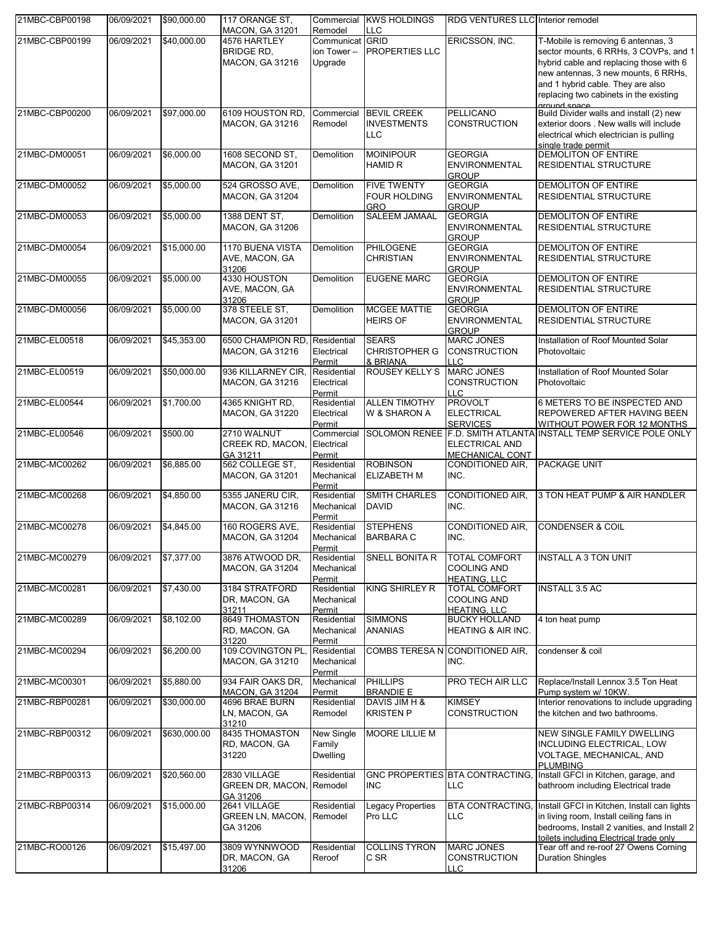| 21MBC-CBP00198 | 06/09/2021 | \$90,000.00  | 117 ORANGE ST.<br><b>MACON, GA 31201</b>            | Commercial<br>Remodel                   | <b>KWS HOLDINGS</b><br><b>LLC</b>                       | RDG VENTURES LLC Interior remodel                                 |                                                                                                                                                                                                                        |
|----------------|------------|--------------|-----------------------------------------------------|-----------------------------------------|---------------------------------------------------------|-------------------------------------------------------------------|------------------------------------------------------------------------------------------------------------------------------------------------------------------------------------------------------------------------|
| 21MBC-CBP00199 | 06/09/2021 | \$40,000.00  | 4576 HARTLEY                                        | Communicat GRID                         |                                                         | ERICSSON, INC.                                                    | T-Mobile is removing 6 antennas, 3                                                                                                                                                                                     |
|                |            |              | <b>BRIDGE RD,</b><br>MACON, GA 31216                | ion Tower-<br>Upgrade                   | <b>PROPERTIES LLC</b>                                   |                                                                   | sector mounts, 6 RRHs, 3 COVPs, and 1<br>hybrid cable and replacing those with 6<br>new antennas, 3 new mounts, 6 RRHs,<br>and 1 hybrid cable. They are also<br>replacing two cabinets in the existing<br>ground space |
| 21MBC-CBP00200 | 06/09/2021 | \$97,000.00  | 6109 HOUSTON RD.<br><b>MACON, GA 31216</b>          | Commercial<br>Remodel                   | <b>BEVIL CREEK</b><br><b>INVESTMENTS</b><br>LLC         | <b>PELLICANO</b><br><b>CONSTRUCTION</b>                           | Build Divider walls and install (2) new<br>exterior doors . New walls will include<br>electrical which electrician is pulling<br>single trade permit                                                                   |
| 21MBC-DM00051  | 06/09/2021 | \$6,000.00   | 1608 SECOND ST,<br><b>MACON, GA 31201</b>           | Demolition                              | <b>MOINIPOUR</b><br>HAMID R                             | <b>GEORGIA</b><br><b>ENVIRONMENTAL</b><br><b>GROUP</b>            | <b>DEMOLITON OF ENTIRE</b><br><b>RESIDENTIAL STRUCTURE</b>                                                                                                                                                             |
| 21MBC-DM00052  | 06/09/2021 | \$5,000.00   | 524 GROSSO AVE,<br>MACON, GA 31204                  | Demolition                              | <b>FIVE TWENTY</b><br><b>FOUR HOLDING</b><br><b>GRO</b> | <b>GEORGIA</b><br><b>ENVIRONMENTAL</b><br><b>GROUP</b>            | <b>DEMOLITON OF ENTIRE</b><br><b>RESIDENTIAL STRUCTURE</b>                                                                                                                                                             |
| 21MBC-DM00053  | 06/09/2021 | \$5,000.00   | 1388 DENT ST,<br><b>MACON, GA 31206</b>             | <b>Demolition</b>                       | <b>SALEEM JAMAAL</b>                                    | <b>GEORGIA</b><br><b>ENVIRONMENTAL</b><br><b>GROUP</b>            | <b>DEMOLITON OF ENTIRE</b><br><b>RESIDENTIAL STRUCTURE</b>                                                                                                                                                             |
| 21MBC-DM00054  | 06/09/2021 | \$15,000.00  | 1170 BUENA VISTA<br>AVE, MACON, GA<br>31206         | Demolition                              | <b>PHILOGENE</b><br><b>CHRISTIAN</b>                    | <b>GEORGIA</b><br><b>ENVIRONMENTAL</b><br><b>GROUP</b>            | <b>DEMOLITON OF ENTIRE</b><br><b>RESIDENTIAL STRUCTURE</b>                                                                                                                                                             |
| 21MBC-DM00055  | 06/09/2021 | \$5,000.00   | 4330 HOUSTON<br>AVE, MACON, GA<br>31206             | Demolition                              | <b>EUGENE MARC</b>                                      | <b>GEORGIA</b><br><b>ENVIRONMENTAL</b><br><b>GROUP</b>            | <b>DEMOLITON OF ENTIRE</b><br><b>RESIDENTIAL STRUCTURE</b>                                                                                                                                                             |
| 21MBC-DM00056  | 06/09/2021 | \$5,000.00   | 378 STEELE ST,<br>MACON, GA 31201                   | Demolition                              | <b>MCGEE MATTIE</b><br><b>HEIRS OF</b>                  | <b>GEORGIA</b><br><b>ENVIRONMENTAL</b><br><b>GROUP</b>            | <b>DEMOLITON OF ENTIRE</b><br>RESIDENTIAL STRUCTURE                                                                                                                                                                    |
| 21MBC-EL00518  | 06/09/2021 | \$45,353.00  | 6500 CHAMPION RD<br>MACON, GA 31216                 | Residential<br>Electrical<br>Permit     | <b>SEARS</b><br><b>CHRISTOPHER G</b><br>& BRIANA        | <b>MARC JONES</b><br><b>CONSTRUCTION</b><br>LLC                   | Installation of Roof Mounted Solar<br>Photovoltaic                                                                                                                                                                     |
| 21MBC-EL00519  | 06/09/2021 | \$50,000.00  | 936 KILLARNEY CIR,<br>MACON, GA 31216               | Residential<br>Electrical<br>Permit     | <b>ROUSEY KELLY S</b>                                   | <b>MARC JONES</b><br><b>CONSTRUCTION</b><br>LLC                   | Installation of Roof Mounted Solar<br>Photovoltaic                                                                                                                                                                     |
| 21MBC-EL00544  | 06/09/2021 | \$1,700.00   | 4365 KNIGHT RD,<br>MACON, GA 31220                  | Residential<br>Electrical<br>Permit     | <b>ALLEN TIMOTHY</b><br>W & SHARON A                    | <b>PROVOLT</b><br><b>ELECTRICAL</b><br><b>SERVICES</b>            | 6 METERS TO BE INSPECTED AND<br>REPOWERED AFTER HAVING BEEN<br>WITHOUT POWER FOR 12 MONTHS                                                                                                                             |
| 21MBC-EL00546  | 06/09/2021 | \$500.00     | 2710 WALNUT<br>CREEK RD, MACON,<br>GA 31211         | Commercial<br>Electrical<br>Permit      |                                                         | ELECTRICAL AND<br><b>MECHANICAL CONT</b>                          | SOLOMON RENEE F.D. SMITH ATLANTA INSTALL TEMP SERVICE POLE ONLY                                                                                                                                                        |
| 21MBC-MC00262  | 06/09/2021 | \$6,885.00   | 562 COLLEGE ST,<br>MACON, GA 31201                  | Residential<br>Mechanical<br>Permit     | <b>ROBINSON</b><br><b>ELIZABETH M</b>                   | CONDITIONED AIR,<br>INC.                                          | <b>PACKAGE UNIT</b>                                                                                                                                                                                                    |
| 21MBC-MC00268  | 06/09/2021 | \$4,850.00   | 5355 JANERU CIR,<br>MACON, GA 31216                 | Residential<br>Mechanical<br>Permit     | <b>SMITH CHARLES</b><br><b>DAVID</b>                    | <b>CONDITIONED AIR.</b><br>INC.                                   | 3 TON HEAT PUMP & AIR HANDLER                                                                                                                                                                                          |
| 21MBC-MC00278  | 06/09/2021 | \$4,845.00   | 160 ROGERS AVE,<br><b>MACON, GA 31204</b>           | Residential<br>Mechanical<br>Permit     | <b>STEPHENS</b><br><b>BARBARA C</b>                     | <b>CONDITIONED AIR,</b><br>INC.                                   | <b>CONDENSER &amp; COIL</b>                                                                                                                                                                                            |
| 21MBC-MC00279  | 06/09/2021 | \$7,377.00   | 3876 ATWOOD DR.<br><b>MACON, GA 31204</b>           | Residential<br>Mechanical<br>Permit     | SNELL BONITA R                                          | <b>TOTAL COMFORT</b><br><b>COOLING AND</b><br><b>HEATING, LLC</b> | <b>INSTALL A 3 TON UNIT</b>                                                                                                                                                                                            |
| 21MBC-MC00281  | 06/09/2021 | \$7,430.00   | 3184 STRATFORD<br>DR, MACON, GA<br>31211            | Residential<br>Mechanical<br>Permit     | <b>KING SHIRLEY R</b>                                   | <b>TOTAL COMFORT</b><br>COOLING AND<br><b>HEATING, LLC</b>        | <b>INSTALL 3.5 AC</b>                                                                                                                                                                                                  |
| 21MBC-MC00289  | 06/09/2021 | \$8,102.00   | 8649 THOMASTON<br>RD, MACON, GA<br>31220            | Residential<br>Mechanical<br>Permit     | <b>SIMMONS</b><br><b>ANANIAS</b>                        | <b>BUCKY HOLLAND</b><br><b>HEATING &amp; AIR INC.</b>             | 4 ton heat pump                                                                                                                                                                                                        |
| 21MBC-MC00294  | 06/09/2021 | \$6,200.00   | 109 COVINGTON PL<br>MACON, GA 31210                 | Residential<br>Mechanical<br>Permit     | <b>COMBS TERESA N</b>                                   | CONDITIONED AIR,<br>INC.                                          | condenser & coil                                                                                                                                                                                                       |
| 21MBC-MC00301  | 06/09/2021 | \$5,880.00   | 934 FAIR OAKS DR.<br><b>MACON, GA 31204</b>         | Mechanical<br>Permit                    | <b>PHILLIPS</b><br><b>BRANDIE E</b>                     | PRO TECH AIR LLC                                                  | Replace/Install Lennox 3.5 Ton Heat<br>Pump system w/ 10KW.                                                                                                                                                            |
| 21MBC-RBP00281 | 06/09/2021 | \$30,000.00  | 4696 BRAE BURN<br>LN, MACON, GA<br>31210            | Residential<br>Remodel                  | DAVIS JIM H &<br><b>KRISTEN P</b>                       | <b>KIMSEY</b><br><b>CONSTRUCTION</b>                              | Interior renovations to include upgrading<br>the kitchen and two bathrooms.                                                                                                                                            |
| 21MBC-RBP00312 | 06/09/2021 | \$630,000.00 | 8435 THOMASTON<br>RD, MACON, GA<br>31220            | New Single<br>Family<br><b>Dwelling</b> | MOORE LILLIE M                                          |                                                                   | <b>NEW SINGLE FAMILY DWELLING</b><br>INCLUDING ELECTRICAL, LOW<br>VOLTAGE, MECHANICAL, AND<br><b>PLUMBING</b>                                                                                                          |
| 21MBC-RBP00313 | 06/09/2021 | \$20,560.00  | 2830 VILLAGE<br>GREEN DR, MACON,<br>GA 31206        | Residential<br>Remodel                  | <b>INC</b>                                              | GNC PROPERTIES BTA CONTRACTING,<br>LLC                            | Install GFCI in Kitchen, garage, and<br>bathroom including Electrical trade                                                                                                                                            |
| 21MBC-RBP00314 | 06/09/2021 | \$15,000.00  | 2641 VILLAGE<br><b>GREEN LN, MACON,</b><br>GA 31206 | Residential<br>Remodel                  | <b>Legacy Properties</b><br>Pro LLC                     | LLC                                                               | BTA CONTRACTING, Install GFCI in Kitchen, Install can lights<br>in living room, Install ceiling fans in<br>bedrooms, Install 2 vanities, and Install 2<br>toilets including Electrical trade only                      |
| 21MBC-RO00126  | 06/09/2021 | \$15,497.00  | 3809 WYNNWOOD<br>DR, MACON, GA<br>31206             | Residential<br>Reroof                   | <b>COLLINS TYRON</b><br>C SR                            | <b>MARC JONES</b><br><b>CONSTRUCTION</b><br>LLC.                  | Tear off and re-roof 27 Owens Corning<br><b>Duration Shingles</b>                                                                                                                                                      |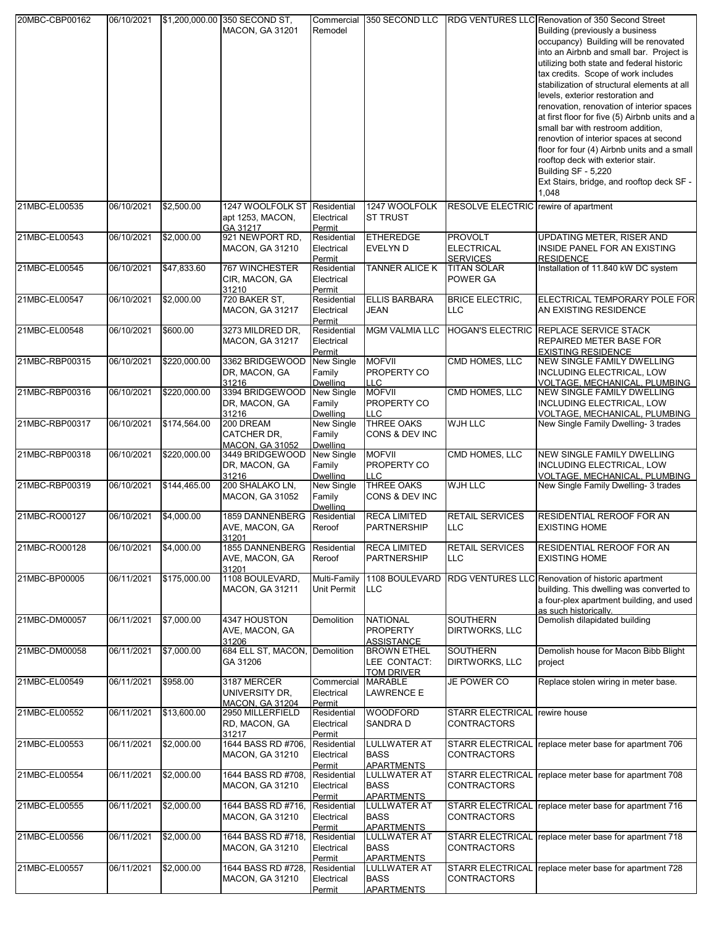| 20MBC-CBP00162 | 06/10/2021 |              | \$1,200,000.00 350 SECOND ST,<br><b>MACON, GA 31201</b> | Commercial<br>Remodel                   | 350 SECOND LLC                                          |                                                        | <b>RDG VENTURES LLC Renovation of 350 Second Street</b><br>Building (previously a business<br>occupancy) Building will be renovated<br>into an Airbnb and small bar. Project is<br>utilizing both state and federal historic<br>tax credits. Scope of work includes<br>stabilization of structural elements at all<br>levels, exterior restoration and<br>renovation, renovation of interior spaces<br>at first floor for five (5) Airbnb units and a<br>small bar with restroom addition,<br>renovtion of interior spaces at second<br>floor for four (4) Airbnb units and a small<br>rooftop deck with exterior stair.<br>Building SF - 5,220<br>Ext Stairs, bridge, and rooftop deck SF -<br>1,048 |
|----------------|------------|--------------|---------------------------------------------------------|-----------------------------------------|---------------------------------------------------------|--------------------------------------------------------|-------------------------------------------------------------------------------------------------------------------------------------------------------------------------------------------------------------------------------------------------------------------------------------------------------------------------------------------------------------------------------------------------------------------------------------------------------------------------------------------------------------------------------------------------------------------------------------------------------------------------------------------------------------------------------------------------------|
| 21MBC-EL00535  | 06/10/2021 | \$2,500.00   | 1247 WOOLFOLK ST<br>apt 1253, MACON,<br>GA 31217        | Residential<br>Electrical<br>Permit     | 1247 WOOLFOLK<br><b>ST TRUST</b>                        | RESOLVE ELECTRIC rewire of apartment                   |                                                                                                                                                                                                                                                                                                                                                                                                                                                                                                                                                                                                                                                                                                       |
| 21MBC-EL00543  | 06/10/2021 | \$2,000.00   | 921 NEWPORT RD,<br><b>MACON, GA 31210</b>               | Residential<br>Electrical<br>Permit     | <b>ETHEREDGE</b><br><b>EVELYN D</b>                     | <b>PROVOLT</b><br><b>ELECTRICAL</b><br><b>SERVICES</b> | UPDATING METER, RISER AND<br>INSIDE PANEL FOR AN EXISTING<br><b>RESIDENCE</b>                                                                                                                                                                                                                                                                                                                                                                                                                                                                                                                                                                                                                         |
| 21MBC-EL00545  | 06/10/2021 | \$47,833.60  | 767 WINCHESTER<br>CIR, MACON, GA<br>31210               | Residential<br>Electrical<br>Permit     | TANNER ALICE K                                          | <b>TITAN SOLAR</b><br>POWER GA                         | Installation of 11.840 kW DC system                                                                                                                                                                                                                                                                                                                                                                                                                                                                                                                                                                                                                                                                   |
| 21MBC-EL00547  | 06/10/2021 | \$2,000.00   | 720 BAKER ST,<br><b>MACON, GA 31217</b>                 | Residential<br>Electrical<br>Permit     | <b>ELLIS BARBARA</b><br>JEAN                            | <b>BRICE ELECTRIC,</b><br>LLC                          | ELECTRICAL TEMPORARY POLE FOR<br>AN EXISTING RESIDENCE                                                                                                                                                                                                                                                                                                                                                                                                                                                                                                                                                                                                                                                |
| 21MBC-EL00548  | 06/10/2021 | \$600.00     | 3273 MILDRED DR.<br><b>MACON, GA 31217</b>              | Residential<br>Electrical<br>Permit     | <b>MGM VALMIA LLC</b>                                   |                                                        | HOGAN'S ELECTRIC REPLACE SERVICE STACK<br><b>REPAIRED METER BASE FOR</b><br><b>EXISTING RESIDENCE</b>                                                                                                                                                                                                                                                                                                                                                                                                                                                                                                                                                                                                 |
| 21MBC-RBP00315 | 06/10/2021 | \$220,000.00 | 3362 BRIDGEWOOD<br>DR, MACON, GA<br>31216               | New Single<br>Family<br><b>Dwelling</b> | <b>MOFVII</b><br>PROPERTY CO<br><b>LLC</b>              | CMD HOMES, LLC                                         | <b>NEW SINGLE FAMILY DWELLING</b><br><b>INCLUDING ELECTRICAL, LOW</b><br>VOLTAGE, MECHANICAL, PLUMBING                                                                                                                                                                                                                                                                                                                                                                                                                                                                                                                                                                                                |
| 21MBC-RBP00316 | 06/10/2021 | \$220,000.00 | 3394 BRIDGEWOOD<br>DR, MACON, GA<br>31216               | New Single<br>Family<br><b>Dwelling</b> | <b>MOFVII</b><br>PROPERTY CO<br>LLC                     | CMD HOMES, LLC                                         | <b>NEW SINGLE FAMILY DWELLING</b><br><b>INCLUDING ELECTRICAL, LOW</b><br>VOLTAGE, MECHANICAL, PLUMBING                                                                                                                                                                                                                                                                                                                                                                                                                                                                                                                                                                                                |
| 21MBC-RBP00317 | 06/10/2021 | \$174,564.00 | 200 DREAM<br>CATCHER DR,<br>MACON. GA 31052             | New Single<br>Family<br>Dwelling        | <b>THREE OAKS</b><br>CONS & DEV INC                     | <b>WJH LLC</b>                                         | New Single Family Dwelling- 3 trades                                                                                                                                                                                                                                                                                                                                                                                                                                                                                                                                                                                                                                                                  |
| 21MBC-RBP00318 | 06/10/2021 | \$220,000.00 | 3449 BRIDGEWOOD<br>DR, MACON, GA<br>31216               | New Single<br>Family<br><b>Dwelling</b> | <b>MOFVII</b><br>PROPERTY CO<br><b>LLC</b>              | CMD HOMES, LLC                                         | <b>NEW SINGLE FAMILY DWELLING</b><br>INCLUDING ELECTRICAL, LOW<br>VOLTAGE, MECHANICAL, PLUMBING                                                                                                                                                                                                                                                                                                                                                                                                                                                                                                                                                                                                       |
| 21MBC-RBP00319 | 06/10/2021 | \$144,465.00 | 200 SHALAKO LN,<br><b>MACON, GA 31052</b>               | New Single<br>Family<br>Dwelling        | <b>THREE OAKS</b><br>CONS & DEV INC                     | WJH LLC                                                | New Single Family Dwelling- 3 trades                                                                                                                                                                                                                                                                                                                                                                                                                                                                                                                                                                                                                                                                  |
| 21MBC-RO00127  | 06/10/2021 | \$4,000.00   | 1859 DANNENBERG<br>AVE, MACON, GA<br>31201              | Residential<br>Reroof                   | <b>RECA LIMITED</b><br><b>PARTNERSHIP</b>               | RETAIL SERVICES<br><b>LLC</b>                          | RESIDENTIAL REROOF FOR AN<br><b>EXISTING HOME</b>                                                                                                                                                                                                                                                                                                                                                                                                                                                                                                                                                                                                                                                     |
| 21MBC-RO00128  | 06/10/2021 | \$4,000.00   | 1855 DANNENBERG<br>AVE, MACON, GA<br>31201              | Residential<br>Reroof                   | <b>RECA LIMITED</b><br><b>PARTNERSHIP</b>               | <b>RETAIL SERVICES</b><br>LLC                          | <b>RESIDENTIAL REROOF FOR AN</b><br><b>EXISTING HOME</b>                                                                                                                                                                                                                                                                                                                                                                                                                                                                                                                                                                                                                                              |
| 21MBC-BP00005  | 06/11/2021 | \$175,000.00 | 1108 BOULEVARD,<br><b>MACON, GA 31211</b>               | Multi-Family<br><b>Unit Permit</b>      | 1108 BOULEVARD<br><b>LLC</b>                            |                                                        | RDG VENTURES LLC Renovation of historic apartment<br>building. This dwelling was converted to<br>a four-plex apartment building, and used<br>as such historically.                                                                                                                                                                                                                                                                                                                                                                                                                                                                                                                                    |
| 21MBC-DM00057  | 06/11/2021 | \$7,000.00   | 4347 HOUSTON<br>AVE, MACON, GA<br>31206                 | Demolition                              | <b>NATIONAL</b><br><b>PROPERTY</b><br><b>ASSISTANCE</b> | <b>SOUTHERN</b><br>DIRTWORKS, LLC                      | Demolish dilapidated building                                                                                                                                                                                                                                                                                                                                                                                                                                                                                                                                                                                                                                                                         |
| 21MBC-DM00058  | 06/11/2021 | \$7,000.00   | 684 ELL ST, MACON, Demolition<br>GA 31206               |                                         | <b>BROWN ETHEL</b><br>LEE CONTACT:<br><b>TOM DRIVER</b> | <b>SOUTHERN</b><br>DIRTWORKS, LLC                      | Demolish house for Macon Bibb Blight<br>project                                                                                                                                                                                                                                                                                                                                                                                                                                                                                                                                                                                                                                                       |
| 21MBC-EL00549  | 06/11/2021 | \$958.00     | 3187 MERCER<br>UNIVERSITY DR.<br><b>MACON. GA 31204</b> | Commercial<br>Electrical<br>Permit      | <b>MARABLE</b><br><b>LAWRENCE E</b>                     | JE POWER CO                                            | Replace stolen wiring in meter base.                                                                                                                                                                                                                                                                                                                                                                                                                                                                                                                                                                                                                                                                  |
| 21MBC-EL00552  | 06/11/2021 | \$13,600.00  | 2950 MILLERFIELD<br>RD, MACON, GA<br>31217              | Residential<br>Electrical<br>Permit     | <b>WOODFORD</b><br><b>SANDRAD</b>                       | <b>STARR ELECTRICAL</b><br>CONTRACTORS                 | rewire house                                                                                                                                                                                                                                                                                                                                                                                                                                                                                                                                                                                                                                                                                          |
| 21MBC-EL00553  | 06/11/2021 | \$2,000.00   | 1644 BASS RD #706,<br><b>MACON, GA 31210</b>            | Residential<br>Electrical<br>Permit     | <b>LULLWATER AT</b><br><b>BASS</b><br><b>APARTMENTS</b> | <b>CONTRACTORS</b>                                     | STARR ELECTRICAL replace meter base for apartment 706                                                                                                                                                                                                                                                                                                                                                                                                                                                                                                                                                                                                                                                 |
| 21MBC-EL00554  | 06/11/2021 | \$2,000.00   | 1644 BASS RD #708,<br><b>MACON, GA 31210</b>            | Residential<br>Electrical<br>Permit     | <b>LULLWATER AT</b><br><b>BASS</b><br><b>APARTMENTS</b> | <b>CONTRACTORS</b>                                     | STARR ELECTRICAL replace meter base for apartment 708                                                                                                                                                                                                                                                                                                                                                                                                                                                                                                                                                                                                                                                 |
| 21MBC-EL00555  | 06/11/2021 | \$2,000.00   | 1644 BASS RD #716,<br>MACON, GA 31210                   | Residential<br>Electrical<br>Permit     | <b>LULLWATER AT</b><br><b>BASS</b><br><b>APARTMENTS</b> | CONTRACTORS                                            | STARR ELECTRICAL replace meter base for apartment 716                                                                                                                                                                                                                                                                                                                                                                                                                                                                                                                                                                                                                                                 |
| 21MBC-EL00556  | 06/11/2021 | \$2,000.00   | 1644 BASS RD #718,<br><b>MACON, GA 31210</b>            | Residential<br>Electrical<br>Permit     | <b>LULLWATER AT</b><br><b>BASS</b><br>APARTMENTS        | <b>CONTRACTORS</b>                                     | STARR ELECTRICAL replace meter base for apartment 718                                                                                                                                                                                                                                                                                                                                                                                                                                                                                                                                                                                                                                                 |
| 21MBC-EL00557  | 06/11/2021 | \$2,000.00   | 1644 BASS RD #728,<br><b>MACON, GA 31210</b>            | Residential<br>Electrical<br>Permit     | LULLWATER AT<br><b>BASS</b><br><b>APARTMENTS</b>        | <b>STARR ELECTRICAL</b><br>CONTRACTORS                 | replace meter base for apartment 728                                                                                                                                                                                                                                                                                                                                                                                                                                                                                                                                                                                                                                                                  |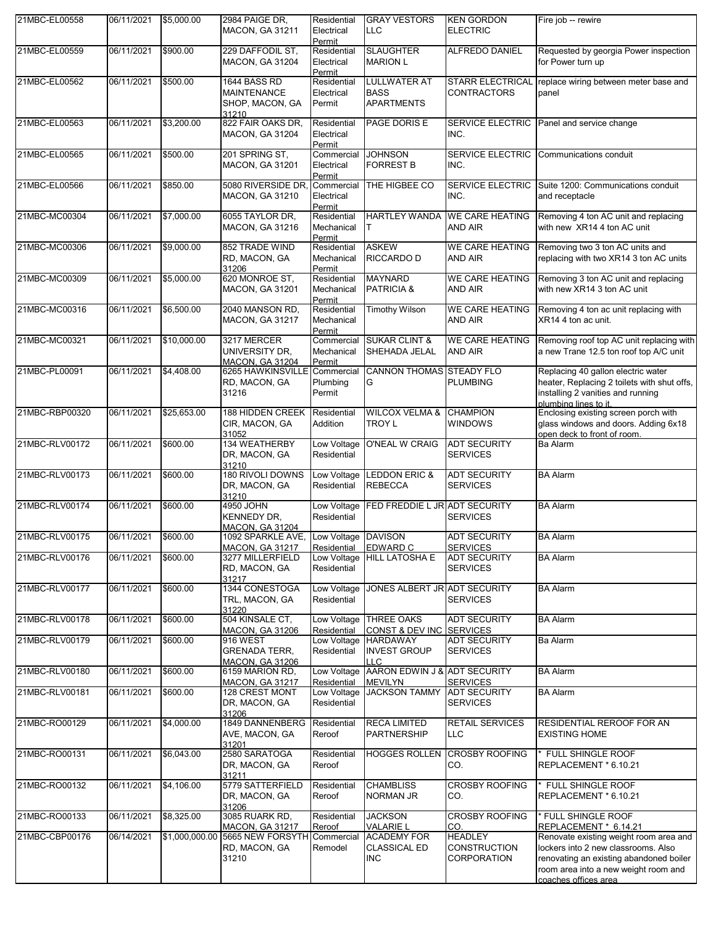| 21MBC-EL00558  | 06/11/2021          | \$5,000.00     | 2984 PAIGE DR.<br><b>MACON, GA 31211</b>                        | Residential<br>Electrical<br>Permit | <b>GRAY VESTORS</b><br>LLC                                 | <b>KEN GORDON</b><br><b>ELECTRIC</b>                 | Fire job -- rewire                                                                                                                                                                       |
|----------------|---------------------|----------------|-----------------------------------------------------------------|-------------------------------------|------------------------------------------------------------|------------------------------------------------------|------------------------------------------------------------------------------------------------------------------------------------------------------------------------------------------|
| 21MBC-EL00559  | 06/11/2021          | \$900.00       | 229 DAFFODIL ST.<br><b>MACON, GA 31204</b>                      | Residential<br>Electrical<br>Permit | <b>SLAUGHTER</b><br><b>MARION L</b>                        | ALFREDO DANIEL                                       | Requested by georgia Power inspection<br>for Power turn up                                                                                                                               |
| 21MBC-EL00562  | 06/11/2021          | \$500.00       | 1644 BASS RD<br><b>MAINTENANCE</b><br>SHOP, MACON, GA<br>31210  | Residential<br>Electrical<br>Permit | <b>LULLWATER AT</b><br><b>BASS</b><br><b>APARTMENTS</b>    | <b>STARR ELECTRICAL</b><br><b>CONTRACTORS</b>        | replace wiring between meter base and<br>panel                                                                                                                                           |
| 21MBC-EL00563  | 06/11/2021          | \$3,200.00     | 822 FAIR OAKS DR,<br><b>MACON, GA 31204</b>                     | Residential<br>Electrical<br>Permit | PAGE DORIS E                                               | SERVICE ELECTRIC<br>INC.                             | Panel and service change                                                                                                                                                                 |
| 21MBC-EL00565  | 06/11/2021          | \$500.00       | 201 SPRING ST.<br><b>MACON, GA 31201</b>                        | Commercial<br>Electrical<br>Permit  | <b>JOHNSON</b><br><b>FORREST B</b>                         | SERVICE ELECTRIC<br>INC.                             | Communications conduit                                                                                                                                                                   |
| 21MBC-EL00566  | 06/11/2021          | \$850.00       | 5080 RIVERSIDE DR,<br><b>MACON, GA 31210</b>                    | Commercial<br>Electrical<br>Permit  | THE HIGBEE CO                                              | SERVICE ELECTRIC<br>INC.                             | Suite 1200: Communications conduit<br>and receptacle                                                                                                                                     |
| 21MBC-MC00304  | 06/11/2021          | \$7,000.00     | 6055 TAYLOR DR,<br><b>MACON, GA 31216</b>                       | Residential<br>Mechanical<br>Permit | <b>HARTLEY WANDA</b><br>Τ                                  | <b>WE CARE HEATING</b><br>AND AIR                    | Removing 4 ton AC unit and replacing<br>with new XR14 4 ton AC unit                                                                                                                      |
| 21MBC-MC00306  | 06/11/2021          | \$9,000.00     | 852 TRADE WIND<br>RD, MACON, GA<br>31206                        | Residential<br>Mechanical<br>Permit | <b>ASKEW</b><br>RICCARDO D                                 | <b>WE CARE HEATING</b><br><b>AND AIR</b>             | Removing two 3 ton AC units and<br>replacing with two XR14 3 ton AC units                                                                                                                |
| 21MBC-MC00309  | 06/11/2021          | \$5,000.00     | 620 MONROE ST,<br><b>MACON, GA 31201</b>                        | Residential<br>Mechanical<br>Permit | <b>MAYNARD</b><br>PATRICIA &                               | <b>WE CARE HEATING</b><br>AND AIR                    | Removing 3 ton AC unit and replacing<br>with new XR14 3 ton AC unit                                                                                                                      |
| 21MBC-MC00316  | 06/11/2021          | \$6,500.00     | 2040 MANSON RD,<br><b>MACON, GA 31217</b>                       | Residential<br>Mechanical<br>Permit | <b>Timothy Wilson</b>                                      | <b>WE CARE HEATING</b><br>AND AIR                    | Removing 4 ton ac unit replacing with<br>XR14 4 ton ac unit.                                                                                                                             |
| 21MBC-MC00321  | 06/11/2021          | \$10,000.00    | 3217 MERCER<br>UNIVERSITY DR,<br><b>MACON, GA 31204</b>         | Commercial<br>Mechanical<br>Permit  | <b>SUKAR CLINT &amp;</b><br>SHEHADA JELAL                  | <b>WE CARE HEATING</b><br>AND AIR                    | Removing roof top AC unit replacing with<br>a new Trane 12.5 ton roof top A/C unit                                                                                                       |
| 21MBC-PL00091  | 06/11/2021          | \$4,408.00     | 6265 HAWKINSVILLE<br>RD, MACON, GA<br>31216                     | Commercial<br>Plumbing<br>Permit    | <b>CANNON THOMAS</b><br>G                                  | <b>STEADY FLO</b><br><b>PLUMBING</b>                 | Replacing 40 gallon electric water<br>heater, Replacing 2 toilets with shut offs,<br>installing 2 vanities and running<br>plumbing lines to it.                                          |
| 21MBC-RBP00320 | 06/11/2021          | \$25,653.00    | 188 HIDDEN CREEK<br>CIR, MACON, GA<br>31052                     | Residential<br>Addition             | <b>WILCOX VELMA &amp;</b><br>TROY L                        | <b>CHAMPION</b><br><b>WINDOWS</b>                    | Enclosing existing screen porch with<br>glass windows and doors. Adding 6x18<br>open deck to front of room.                                                                              |
| 21MBC-RLV00172 | 06/11/2021          | \$600.00       | 134 WEATHERBY<br>DR, MACON, GA<br>31210                         | Residential                         | Low Voltage O'NEAL W CRAIG                                 | <b>ADT SECURITY</b><br><b>SERVICES</b>               | Ba Alarm                                                                                                                                                                                 |
| 21MBC-RLV00173 | 06/11/2021          | \$600.00       | 180 RIVOLI DOWNS<br>DR, MACON, GA<br>31210                      | Low Voltage<br>Residential          | <b>LEDDON ERIC &amp;</b><br><b>REBECCA</b>                 | <b>ADT SECURITY</b><br><b>SERVICES</b>               | <b>BA Alarm</b>                                                                                                                                                                          |
| 21MBC-RLV00174 | 06/11/2021          | \$600.00       | 4950 JOHN<br>KENNEDY DR,<br><b>MACON. GA 31204</b>              | Residential                         | Low Voltage FED FREDDIE L JR ADT SECURITY                  | <b>SERVICES</b>                                      | <b>BA Alarm</b>                                                                                                                                                                          |
| 21MBC-RLV00175 | 06/11/2021 \$600.00 |                | 1092 SPARKLE AVE, Low Voltage DAVISON<br><b>MACON, GA 31217</b> | Residential EDWARD C                |                                                            | <b>ADT SECURITY</b><br><b>SERVICES</b>               | <b>BA</b> Alarm                                                                                                                                                                          |
| 21MBC-RLV00176 | 06/11/2021          | \$600.00       | 3277 MILLERFIELD<br>RD, MACON, GA<br>31217                      | Low Voltage<br>Residential          | <b>HILL LATOSHA E</b>                                      | <b>ADT SECURITY</b><br><b>SERVICES</b>               | <b>BA Alarm</b>                                                                                                                                                                          |
| 21MBC-RLV00177 | 06/11/2021          | \$600.00       | 1344 CONESTOGA<br>TRL, MACON, GA<br>31220                       | Low Voltage<br>Residential          | JONES ALBERT JR ADT SECURITY                               | <b>SERVICES</b>                                      | <b>BA Alarm</b>                                                                                                                                                                          |
| 21MBC-RLV00178 | 06/11/2021          | \$600.00       | 504 KINSALE CT,<br><b>MACON, GA 31206</b>                       | Residential                         | Low Voltage THREE OAKS<br><b>CONST &amp; DEV INC</b>       | <b>ADT SECURITY</b><br><b>SERVICES</b>               | <b>BA Alarm</b>                                                                                                                                                                          |
| 21MBC-RLV00179 | 06/11/2021          | \$600.00       | 916 WEST<br><b>GRENADA TERR,</b><br>MACON. GA 31206             | Residential                         | Low Voltage HARDAWAY<br><b>INVEST GROUP</b><br>LLC.        | <b>ADT SECURITY</b><br><b>SERVICES</b>               | Ba Alarm                                                                                                                                                                                 |
| 21MBC-RLV00180 | 06/11/2021          | \$600.00       | 6159 MARION RD,<br><b>MACON, GA 31217</b>                       | Residential                         | Low Voltage AARON EDWIN J & ADT SECURITY<br><b>MEVILYN</b> | <b>SERVICES</b>                                      | <b>BA Alarm</b>                                                                                                                                                                          |
| 21MBC-RLV00181 | 06/11/2021          | \$600.00       | 128 CREST MONT<br>DR, MACON, GA<br>31206                        | Low Voltage<br>Residential          | <b>JACKSON TAMMY</b>                                       | <b>ADT SECURITY</b><br><b>SERVICES</b>               | <b>BA Alarm</b>                                                                                                                                                                          |
| 21MBC-RO00129  | 06/11/2021          | \$4,000.00     | 1849 DANNENBERG<br>AVE, MACON, GA<br>31201                      | Residential<br>Reroof               | <b>RECA LIMITED</b><br><b>PARTNERSHIP</b>                  | <b>RETAIL SERVICES</b><br><b>LLC</b>                 | RESIDENTIAL REROOF FOR AN<br><b>EXISTING HOME</b>                                                                                                                                        |
| 21MBC-RO00131  | 06/11/2021          | \$6,043.00     | 2580 SARATOGA<br>DR, MACON, GA<br>31211                         | Residential<br>Reroof               | <b>HOGGES ROLLEN</b>                                       | <b>CROSBY ROOFING</b><br>CO.                         | <b>FULL SHINGLE ROOF</b><br>REPLACEMENT * 6.10.21                                                                                                                                        |
| 21MBC-RO00132  | 06/11/2021          | \$4,106.00     | 5779 SATTERFIELD<br>DR, MACON, GA<br>31206                      | Residential<br>Reroof               | <b>CHAMBLISS</b><br><b>NORMAN JR</b>                       | <b>CROSBY ROOFING</b><br>CO.                         | <b>FULL SHINGLE ROOF</b><br>REPLACEMENT * 6.10.21                                                                                                                                        |
| 21MBC-RO00133  | 06/11/2021          | \$8,325.00     | 3085 RUARK RD,<br><b>MACON, GA 31217</b>                        | Residential<br>Reroof               | <b>JACKSON</b><br><b>VALARIE L</b>                         | <b>CROSBY ROOFING</b><br>CO.                         | * FULL SHINGLE ROOF<br>REPLACEMENT * 6.14.21                                                                                                                                             |
| 21MBC-CBP00176 | 06/14/2021          | \$1,000,000.00 | 5665 NEW FORSYTH<br>RD, MACON, GA<br>31210                      | Commercial<br>Remodel               | <b>ACADEMY FOR</b><br><b>CLASSICAL ED</b><br>INC.          | <b>HEADLEY</b><br><b>CONSTRUCTION</b><br>CORPORATION | Renovate existing weight room area and<br>lockers into 2 new classrooms. Also<br>renovating an existing abandoned boiler<br>room area into a new weight room and<br>coaches offices area |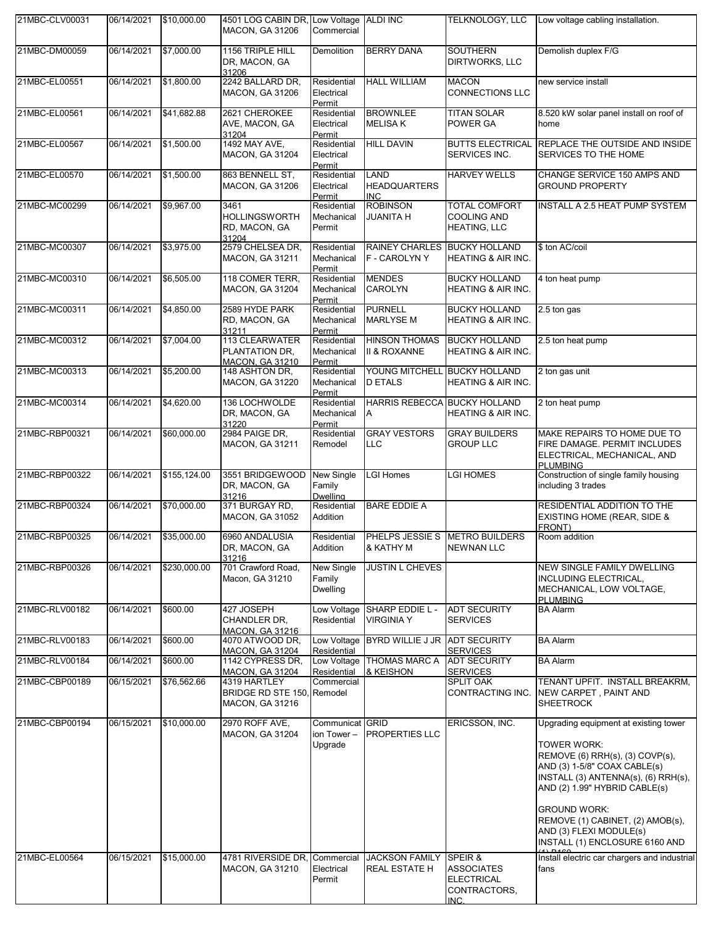| 21MBC-CLV00031 | 06/14/2021             | \$10,000.00   | 4501 LOG CABIN DR, Low Voltage ALDI INC<br><b>MACON, GA 31206</b>           | Commercial                                |                                                 | TELKNOLOGY, LLC                                                           | Low voltage cabling installation.                                                                                                                                                                                                                                                                                                          |
|----------------|------------------------|---------------|-----------------------------------------------------------------------------|-------------------------------------------|-------------------------------------------------|---------------------------------------------------------------------------|--------------------------------------------------------------------------------------------------------------------------------------------------------------------------------------------------------------------------------------------------------------------------------------------------------------------------------------------|
| 21MBC-DM00059  | 06/14/2021             | \$7,000.00    | 1156 TRIPLE HILL<br>DR, MACON, GA<br>31206                                  | Demolition                                | <b>BERRY DANA</b>                               | <b>SOUTHERN</b><br>DIRTWORKS, LLC                                         | Demolish duplex F/G                                                                                                                                                                                                                                                                                                                        |
| 21MBC-EL00551  | 06/14/2021             | \$1,800.00    | 2242 BALLARD DR,<br>MACON, GA 31206                                         | Residential<br>Electrical<br>Permit       | <b>HALL WILLIAM</b>                             | <b>MACON</b><br><b>CONNECTIONS LLC</b>                                    | new service install                                                                                                                                                                                                                                                                                                                        |
| 21MBC-EL00561  | 06/14/2021             | \$41,682.88   | 2621 CHEROKEE<br>AVE, MACON, GA<br>31204                                    | Residential<br>Electrical<br>Permit       | <b>BROWNLEE</b><br><b>MELISA K</b>              | <b>TITAN SOLAR</b><br>POWER GA                                            | 8.520 kW solar panel install on roof of<br>home                                                                                                                                                                                                                                                                                            |
| 21MBC-EL00567  | 06/14/2021             | \$1,500.00    | 1492 MAY AVE,<br><b>MACON, GA 31204</b>                                     | Residential<br>Electrical<br>Permit       | <b>HILL DAVIN</b>                               | <b>BUTTS ELECTRICAL</b><br>SERVICES INC.                                  | REPLACE THE OUTSIDE AND INSIDE<br>SERVICES TO THE HOME                                                                                                                                                                                                                                                                                     |
| 21MBC-EL00570  | 06/14/2021             | \$1,500.00    | 863 BENNELL ST,<br><b>MACON, GA 31206</b>                                   | Residential<br>Electrical<br>Permit       | LAND<br><b>HEADQUARTERS</b><br><b>INC</b>       | <b>HARVEY WELLS</b>                                                       | CHANGE SERVICE 150 AMPS AND<br><b>GROUND PROPERTY</b>                                                                                                                                                                                                                                                                                      |
| 21MBC-MC00299  | 06/14/2021             | \$9,967.00    | 3461<br><b>HOLLINGSWORTH</b><br>RD, MACON, GA<br>31204                      | Residential<br>Mechanical<br>Permit       | <b>ROBINSON</b><br>JUANITA H                    | <b>TOTAL COMFORT</b><br><b>COOLING AND</b><br><b>HEATING, LLC</b>         | INSTALL A 2.5 HEAT PUMP SYSTEM                                                                                                                                                                                                                                                                                                             |
| 21MBC-MC00307  | 06/14/2021             | \$3,975.00    | 2579 CHELSEA DR,<br><b>MACON, GA 31211</b>                                  | Residential<br>Mechanical<br>Permit       | RAINEY CHARLES BUCKY HOLLAND<br>F - CAROLYN Y   | <b>HEATING &amp; AIR INC.</b>                                             | \$ ton AC/coil                                                                                                                                                                                                                                                                                                                             |
| 21MBC-MC00310  | 06/14/2021             | \$6,505.00    | 118 COMER TERR,<br>MACON, GA 31204                                          | Residential<br>Mechanical<br>Permit       | <b>MENDES</b><br><b>CAROLYN</b>                 | <b>BUCKY HOLLAND</b><br>HEATING & AIR INC.                                | 4 ton heat pump                                                                                                                                                                                                                                                                                                                            |
| 21MBC-MC00311  | 06/14/2021             | \$4,850.00    | 2589 HYDE PARK<br>RD, MACON, GA<br>31211                                    | Residential<br>Mechanical<br>Permit       | <b>PURNELL</b><br><b>MARLYSE M</b>              | <b>BUCKY HOLLAND</b><br><b>HEATING &amp; AIR INC.</b>                     | 2.5 ton gas                                                                                                                                                                                                                                                                                                                                |
| 21MBC-MC00312  | 06/14/2021             | \$7,004.00    | 113 CLEARWATER<br>PLANTATION DR.<br><b>MACON, GA 31210</b>                  | Residential<br>Mechanical<br>Permit       | <b>HINSON THOMAS</b><br><b>II &amp; ROXANNE</b> | <b>BUCKY HOLLAND</b><br><b>HEATING &amp; AIR INC.</b>                     | 2.5 ton heat pump                                                                                                                                                                                                                                                                                                                          |
| 21MBC-MC00313  | 06/14/2021             | \$5,200.00    | 148 ASHTON DR,<br><b>MACON, GA 31220</b>                                    | Residential<br>Mechanical<br>Permit       | YOUNG MITCHELL BUCKY HOLLAND<br><b>D ETALS</b>  | <b>HEATING &amp; AIR INC.</b>                                             | 2 ton gas unit                                                                                                                                                                                                                                                                                                                             |
| 21MBC-MC00314  | 06/14/2021             | \$4,620.00    | 136 LOCHWOLDE<br>DR, MACON, GA<br>31220                                     | Residential<br>Mechanical<br>Permit       | HARRIS REBECCA BUCKY HOLLAND<br>A               | <b>HEATING &amp; AIR INC.</b>                                             | 2 ton heat pump                                                                                                                                                                                                                                                                                                                            |
| 21MBC-RBP00321 | 06/14/2021             | \$60,000.00   | 2984 PAIGE DR,<br><b>MACON, GA 31211</b>                                    | Residential<br>Remodel                    | <b>GRAY VESTORS</b><br>LLC                      | <b>GRAY BUILDERS</b><br><b>GROUP LLC</b>                                  | MAKE REPAIRS TO HOME DUE TO<br>FIRE DAMAGE. PERMIT INCLUDES<br>ELECTRICAL, MECHANICAL, AND<br><b>PLUMBING</b>                                                                                                                                                                                                                              |
| 21MBC-RBP00322 | 06/14/2021             | \$155, 124.00 | 3551 BRIDGEWOOD<br>DR, MACON, GA<br>31216                                   | New Single<br>Family<br>Dwelling          | <b>LGI Homes</b>                                | <b>LGI HOMES</b>                                                          | Construction of single family housing<br>including 3 trades                                                                                                                                                                                                                                                                                |
| 21MBC-RBP00324 | 06/14/2021             | \$70,000.00   | 371 BURGAY RD,<br><b>MACON, GA 31052</b>                                    | Residential<br>Addition                   | <b>BARE EDDIE A</b>                             |                                                                           | RESIDENTIAL ADDITION TO THE<br>EXISTING HOME (REAR, SIDE &<br>FRONT)                                                                                                                                                                                                                                                                       |
| 21MBC-RBP00325 | 06/14/2021 \$35,000.00 |               | 6960 ANDALUSIA<br>DR, MACON, GA<br>31216                                    | Residential<br>Addition                   | PHELPS JESSIE S METRO BUILDERS<br>& KATHY M     | <b>NEWNAN LLC</b>                                                         | Room addition                                                                                                                                                                                                                                                                                                                              |
| 21MBC-RBP00326 | 06/14/2021             | \$230,000.00  | 701 Crawford Road,<br>Macon, GA 31210                                       | New Single<br>Family<br>Dwelling          | <b>JUSTIN L CHEVES</b>                          |                                                                           | NEW SINGLE FAMILY DWELLING<br><b>INCLUDING ELECTRICAL,</b><br>MECHANICAL, LOW VOLTAGE,<br><b>PLUMBING</b>                                                                                                                                                                                                                                  |
| 21MBC-RLV00182 | 06/14/2021             | \$600.00      | 427 JOSEPH<br>CHANDLER DR,<br><b>MACON, GA 31216</b>                        | Low Voltage<br>Residential                | SHARP EDDIE L -<br><b>VIRGINIA Y</b>            | <b>ADT SECURITY</b><br><b>SERVICES</b>                                    | <b>BA Alarm</b>                                                                                                                                                                                                                                                                                                                            |
| 21MBC-RLV00183 | 06/14/2021             | \$600.00      | 4070 ATWOOD DR,<br><b>MACON, GA 31204</b>                                   | Residential                               | Low Voltage BYRD WILLIE J JR ADT SECURITY       | <b>SERVICES</b>                                                           | <b>BA Alarm</b>                                                                                                                                                                                                                                                                                                                            |
| 21MBC-RLV00184 | 06/14/2021             | \$600.00      | 1142 CYPRESS DR.<br><b>MACON, GA 31204</b>                                  | Residential                               | Low Voltage THOMAS MARC A<br>& KEISHON          | <b>ADT SECURITY</b><br><b>SERVICES</b>                                    | <b>BA Alarm</b>                                                                                                                                                                                                                                                                                                                            |
| 21MBC-CBP00189 | 06/15/2021             | \$76,562.66   | 4319 HARTLEY<br><b>BRIDGE RD STE 150, Remodel</b><br><b>MACON, GA 31216</b> | Commercial                                |                                                 | <b>SPLIT OAK</b><br>CONTRACTING INC.                                      | TENANT UPFIT. INSTALL BREAKRM,<br>NEW CARPET, PAINT AND<br><b>SHEETROCK</b>                                                                                                                                                                                                                                                                |
| 21MBC-CBP00194 | 06/15/2021             | \$10,000.00   | 2970 ROFF AVE,<br><b>MACON, GA 31204</b>                                    | Communicat GRID<br>ion Tower -<br>Upgrade | <b>PROPERTIES LLC</b>                           | ERICSSON, INC.                                                            | Upgrading equipment at existing tower<br><b>TOWER WORK:</b><br>REMOVE $(6)$ RRH $(s)$ , $(3)$ COVP $(s)$ ,<br>AND (3) 1-5/8" COAX CABLE(s)<br>INSTALL (3) ANTENNA(s), (6) RRH(s),<br>AND (2) 1.99" HYBRID CABLE(s)<br><b>GROUND WORK:</b><br>REMOVE (1) CABINET, (2) AMOB(s),<br>AND (3) FLEXI MODULE(s)<br>INSTALL (1) ENCLOSURE 6160 AND |
| 21MBC-EL00564  | 06/15/2021             | \$15,000.00   | 4781 RIVERSIDE DR,<br><b>MACON, GA 31210</b>                                | Commercial<br>Electrical<br>Permit        | <b>JACKSON FAMILY</b><br><b>REAL ESTATE H</b>   | SPEIR &<br><b>ASSOCIATES</b><br><b>ELECTRICAL</b><br>CONTRACTORS,<br>INC. | Install electric car chargers and industrial<br>fans                                                                                                                                                                                                                                                                                       |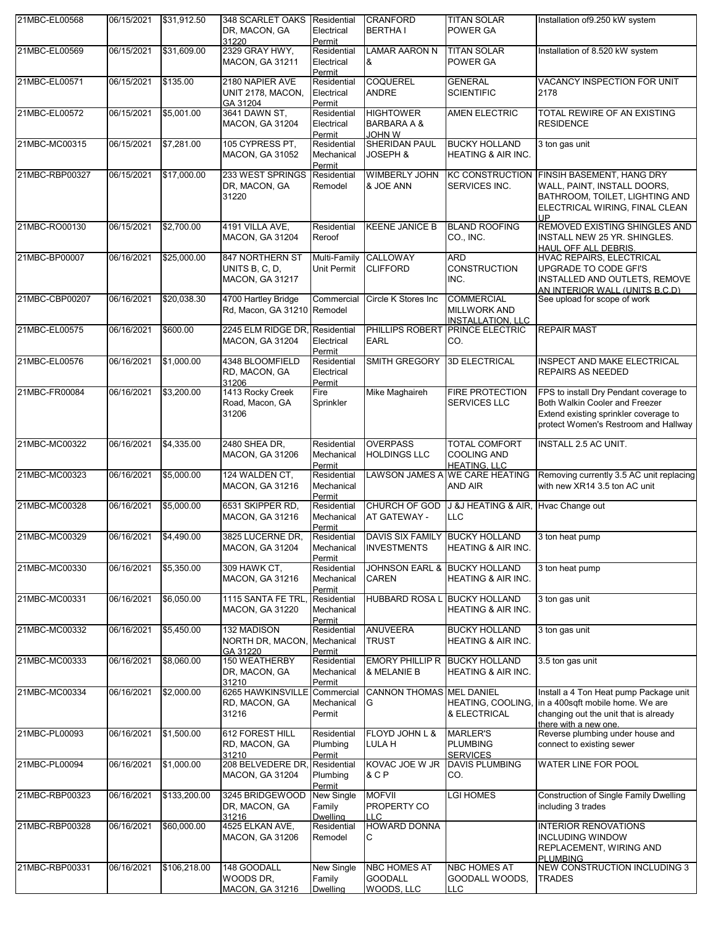| 21MBC-EL00568  | 06/15/2021            | \$31,912.50  | 348 SCARLET OAKS<br>DR, MACON, GA<br>31220                  | Residential<br>Electrical<br>Permit            | <b>CRANFORD</b><br><b>BERTHAI</b>                           | <b>TITAN SOLAR</b><br>POWER GA                                       | Installation of 9.250 kW system                                                                                                                                |
|----------------|-----------------------|--------------|-------------------------------------------------------------|------------------------------------------------|-------------------------------------------------------------|----------------------------------------------------------------------|----------------------------------------------------------------------------------------------------------------------------------------------------------------|
| 21MBC-EL00569  | 06/15/2021            | \$31,609.00  | 2329 GRAY HWY,<br><b>MACON, GA 31211</b>                    | Residential<br>Electrical<br>Permit            | LAMAR AARON N<br>&                                          | <b>TITAN SOLAR</b><br><b>POWER GA</b>                                | Installation of 8.520 kW system                                                                                                                                |
| 21MBC-EL00571  | 06/15/2021            | \$135.00     | 2180 NAPIER AVE<br>UNIT 2178, MACON,<br>GA 31204            | Residential<br>Electrical<br>Permit            | <b>COQUEREL</b><br><b>ANDRE</b>                             | <b>GENERAL</b><br><b>SCIENTIFIC</b>                                  | VACANCY INSPECTION FOR UNIT<br>2178                                                                                                                            |
| 21MBC-EL00572  | 06/15/2021            | \$5,001.00   | 3641 DAWN ST,<br><b>MACON, GA 31204</b>                     | Residential<br>Electrical<br>Permit            | <b>HIGHTOWER</b><br><b>BARBARA A &amp;</b><br>W <i>H</i> OL | <b>AMEN ELECTRIC</b>                                                 | TOTAL REWIRE OF AN EXISTING<br><b>RESIDENCE</b>                                                                                                                |
| 21MBC-MC00315  | 06/15/2021            | \$7,281.00   | 105 CYPRESS PT,<br><b>MACON, GA 31052</b>                   | Residential<br>Mechanical<br>Permit            | SHERIDAN PAUL<br>JOSEPH &                                   | <b>BUCKY HOLLAND</b><br>HEATING & AIR INC.                           | 3 ton gas unit                                                                                                                                                 |
| 21MBC-RBP00327 | 06/15/2021            | \$17,000.00  | 233 WEST SPRINGS<br>DR, MACON, GA<br>31220                  | Residential<br>Remodel                         | <b>WIMBERLY JOHN</b><br>& JOE ANN                           | SERVICES INC.                                                        | KC CONSTRUCTION FINSIH BASEMENT, HANG DRY<br>WALL, PAINT, INSTALL DOORS,<br>BATHROOM, TOILET, LIGHTING AND<br>ELECTRICAL WIRING, FINAL CLEAN<br><b>UP</b>      |
| 21MBC-RO00130  | 06/15/2021            | \$2,700.00   | 4191 VILLA AVE,<br><b>MACON, GA 31204</b>                   | Residential<br>Reroof                          | <b>KEENE JANICE B</b>                                       | <b>BLAND ROOFING</b><br>CO., INC.                                    | REMOVED EXISTING SHINGLES AND<br>INSTALL NEW 25 YR. SHINGLES.<br>HAUL OFF ALL DEBRIS.                                                                          |
| 21MBC-BP00007  | 06/16/2021            | \$25,000.00  | 847 NORTHERN ST<br>UNITS B, C, D,<br><b>MACON, GA 31217</b> | Multi-Family<br>Unit Permit                    | <b>CALLOWAY</b><br><b>CLIFFORD</b>                          | <b>ARD</b><br><b>CONSTRUCTION</b><br>INC.                            | <b>HVAC REPAIRS, ELECTRICAL</b><br>UPGRADE TO CODE GFI'S<br>INSTALLED AND OUTLETS, REMOVE<br>AN INTERIOR WALL (UNITS B.C.D)                                    |
| 21MBC-CBP00207 | 06/16/2021            | \$20,038.30  | 4700 Hartley Bridge<br>Rd, Macon, GA 31210 Remodel          | Commercial                                     | Circle K Stores Inc                                         | <b>COMMERCIAL</b><br><b>MILLWORK AND</b><br><b>INSTALLATION, LLC</b> | See upload for scope of work                                                                                                                                   |
| 21MBC-EL00575  | 06/16/2021            | \$600.00     | 2245 ELM RIDGE DR, Residential<br><b>MACON, GA 31204</b>    | Electrical<br>Permit                           | <b>EARL</b>                                                 | PHILLIPS ROBERT PRINCE ELECTRIC<br>CO.                               | <b>REPAIR MAST</b>                                                                                                                                             |
| 21MBC-EL00576  | 06/16/2021            | \$1,000.00   | 4348 BLOOMFIELD<br>RD, MACON, GA<br>31206                   | Residential<br>Electrical<br>Permit            | <b>SMITH GREGORY</b>                                        | <b>3D ELECTRICAL</b>                                                 | <b>INSPECT AND MAKE ELECTRICAL</b><br>REPAIRS AS NEEDED                                                                                                        |
| 21MBC-FR00084  | 06/16/2021            | \$3,200.00   | 1413 Rocky Creek<br>Road, Macon, GA<br>31206                | Fire<br>Sprinkler                              | Mike Maghaireh                                              | <b>FIRE PROTECTION</b><br>SERVICES LLC                               | FPS to install Dry Pendant coverage to<br>Both Walkin Cooler and Freezer<br>Extend existing sprinkler coverage to<br>protect Women's Restroom and Hallway      |
| 21MBC-MC00322  | 06/16/2021            | \$4,335.00   | 2480 SHEA DR,<br><b>MACON, GA 31206</b>                     | Residential<br>Mechanical<br>Permit            | <b>OVERPASS</b><br><b>HOLDINGS LLC</b>                      | <b>TOTAL COMFORT</b><br><b>COOLING AND</b><br><b>HEATING, LLC</b>    | INSTALL 2.5 AC UNIT.                                                                                                                                           |
| 21MBC-MC00323  | 06/16/2021            | \$5,000.00   | 124 WALDEN CT,<br><b>MACON, GA 31216</b>                    | Residential<br>Mechanical<br>Permit            |                                                             | LAWSON JAMES A WE CARE HEATING<br>AND AIR                            | Removing currently 3.5 AC unit replacing<br>with new XR14 3.5 ton AC unit                                                                                      |
| 21MBC-MC00328  | 06/16/2021            | \$5,000.00   | 6531 SKIPPER RD,<br><b>MACON, GA 31216</b>                  | Residential<br>Mechanical<br><u>Permit</u>     | CHURCH OF GOD<br>AT GATEWAY -                               | J &J HEATING & AIR, Hvac Change out<br><b>LLC</b>                    |                                                                                                                                                                |
| 21MBC-MC00329  | 06/16/2021 \$4,490.00 |              | 3825 LUCERNE DR.<br><b>MACON, GA 31204</b>                  | Residential<br>Mechanical<br>Permit            | DAVIS SIX FAMILY BUCKY HOLLAND<br><b>INVESTMENTS</b>        | <b>HEATING &amp; AIR INC.</b>                                        | 3 ton heat pump                                                                                                                                                |
| 21MBC-MC00330  | 06/16/2021            | \$5,350.00   | 309 HAWK CT.<br><b>MACON, GA 31216</b>                      | Residential<br>Mechanical<br>Permit            | JOHNSON EARL & BUCKY HOLLAND<br>CAREN                       | HEATING & AIR INC.                                                   | 3 ton heat pump                                                                                                                                                |
| 21MBC-MC00331  | 06/16/2021            | \$6,050.00   | 1115 SANTA FE TRL.<br><b>MACON, GA 31220</b>                | Residential<br>Mechanical<br>Permit            | HUBBARD ROSA L BUCKY HOLLAND                                | <b>HEATING &amp; AIR INC.</b>                                        | 3 ton gas unit                                                                                                                                                 |
| 21MBC-MC00332  | 06/16/2021            | \$5,450.00   | <b>132 MADISON</b><br>NORTH DR, MACON,<br>GA 31220          | Residential<br>Mechanical<br>Permit            | <b>ANUVEERA</b><br>TRUST                                    | <b>BUCKY HOLLAND</b><br><b>HEATING &amp; AIR INC.</b>                | 3 ton gas unit                                                                                                                                                 |
| 21MBC-MC00333  | 06/16/2021            | \$8,060.00   | 150 WEATHERBY<br>DR, MACON, GA<br>31210                     | Residential<br>Mechanical<br>Permit            | EMORY PHILLIP R BUCKY HOLLAND<br>& MELANIE B                | HEATING & AIR INC.                                                   | 3.5 ton gas unit                                                                                                                                               |
| 21MBC-MC00334  | 06/16/2021            | \$2,000.00   | 6265 HAWKINSVILLE<br>RD, MACON, GA<br>31216                 | Commercial<br>Mechanical<br>Permit             | <b>CANNON THOMAS MEL DANIEL</b><br>G                        | & ELECTRICAL                                                         | Install a 4 Ton Heat pump Package unit<br>HEATING, COOLING, in a 400sqft mobile home. We are<br>changing out the unit that is already<br>there with a new one. |
| 21MBC-PL00093  | 06/16/2021            | \$1,500.00   | 612 FOREST HILL<br>RD, MACON, GA<br>31210                   | Residential<br>Plumbing<br>Permit              | FLOYD JOHN L &<br>LULA H                                    | <b>MARLER'S</b><br><b>PLUMBING</b><br><b>SERVICES</b>                | Reverse plumbing under house and<br>connect to existing sewer                                                                                                  |
| 21MBC-PL00094  | 06/16/2021            | \$1,000.00   | 208 BELVEDERE DR,<br><b>MACON, GA 31204</b>                 | Residential<br>Plumbing<br>Permit              | KOVAC JOE W JR<br>& C P                                     | <b>DAVIS PLUMBING</b><br>CO.                                         | <b>WATER LINE FOR POOL</b>                                                                                                                                     |
| 21MBC-RBP00323 | 06/16/2021            | \$133,200.00 | 3245 BRIDGEWOOD<br>DR, MACON, GA<br>31216                   | New Single<br>Family<br><b>Dwelling</b>        | <b>MOFVII</b><br>PROPERTY CO<br><b>LLC</b>                  | <b>LGI HOMES</b>                                                     | <b>Construction of Single Family Dwelling</b><br>including 3 trades                                                                                            |
| 21MBC-RBP00328 | 06/16/2021            | \$60,000.00  | 4525 ELKAN AVE,<br><b>MACON, GA 31206</b>                   | Residential<br>Remodel                         | <b>HOWARD DONNA</b><br>С                                    |                                                                      | <b>INTERIOR RENOVATIONS</b><br><b>INCLUDING WINDOW</b><br>REPLACEMENT, WIRING AND<br>PLUMBING                                                                  |
| 21MBC-RBP00331 | 06/16/2021            | \$106,218.00 | 148 GOODALL<br>WOODS DR,<br><b>MACON, GA 31216</b>          | <b>New Single</b><br>Family<br><b>Dwelling</b> | <b>NBC HOMES AT</b><br><b>GOODALL</b><br>WOODS, LLC         | <b>NBC HOMES AT</b><br>GOODALL WOODS,<br>LLC.                        | <b>NEW CONSTRUCTION INCLUDING 3</b><br>TRADES                                                                                                                  |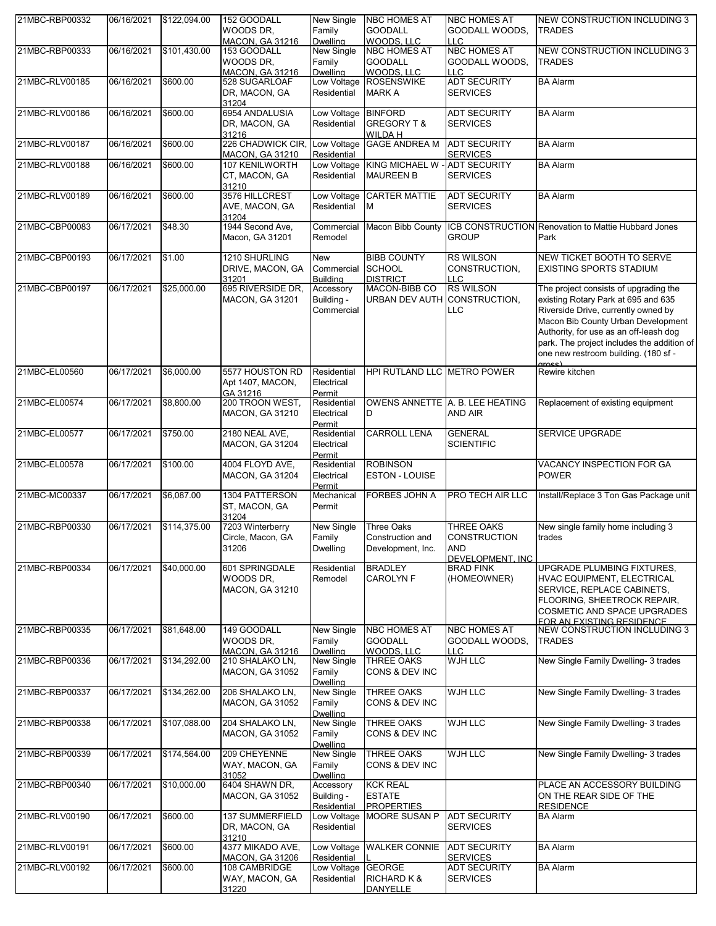| 21MBC-RBP00332 | 06/16/2021 | \$122,094.00 | 152 GOODALL<br>WOODS DR.                    | New Single<br>Family          | <b>NBC HOMES AT</b><br><b>GOODALL</b> | <b>NBC HOMES AT</b><br>GOODALL WOODS,  | NEW CONSTRUCTION INCLUDING 3<br><b>TRADES</b>                                            |
|----------------|------------|--------------|---------------------------------------------|-------------------------------|---------------------------------------|----------------------------------------|------------------------------------------------------------------------------------------|
|                |            |              | MACON, GA 31216                             | Dwelling                      | WOODS, LLC                            | <b>LLC</b>                             |                                                                                          |
| 21MBC-RBP00333 | 06/16/2021 | \$101,430.00 | 153 GOODALL<br>WOODS DR.                    | <b>New Single</b><br>Family   | <b>NBC HOMES AT</b><br><b>GOODALL</b> | <b>NBC HOMES AT</b><br>GOODALL WOODS,  | NEW CONSTRUCTION INCLUDING 3<br><b>TRADES</b>                                            |
|                |            |              | <b>MACON, GA 31216</b>                      | <b>Dwelling</b>               | WOODS, LLC                            | <b>LLC</b>                             |                                                                                          |
| 21MBC-RLV00185 | 06/16/2021 | \$600.00     | 528 SUGARLOAF                               |                               | Low Voltage ROSENSWIKE                | <b>ADT SECURITY</b>                    | <b>BA Alarm</b>                                                                          |
|                |            |              | DR, MACON, GA<br>31204                      | Residential                   | <b>MARK A</b>                         | <b>SERVICES</b>                        |                                                                                          |
| 21MBC-RLV00186 | 06/16/2021 | \$600.00     | 6954 ANDALUSIA                              | Low Voltage BINFORD           |                                       | <b>ADT SECURITY</b>                    | <b>BA Alarm</b>                                                                          |
|                |            |              | DR, MACON, GA<br>31216                      | Residential                   | GREGORY T &<br>WILDA H                | <b>SERVICES</b>                        |                                                                                          |
| 21MBC-RLV00187 | 06/16/2021 | \$600.00     | 226 CHADWICK CIR,<br><b>MACON, GA 31210</b> | Low Voltage<br>Residential    | <b>GAGE ANDREA M</b>                  | <b>ADT SECURITY</b><br><b>SERVICES</b> | <b>BA Alarm</b>                                                                          |
| 21MBC-RLV00188 | 06/16/2021 | \$600.00     | 107 KENILWORTH                              | Low Voltage                   | KING MICHAEL W - ADT SECURITY         |                                        | <b>BA Alarm</b>                                                                          |
|                |            |              | CT, MACON, GA<br>31210                      | Residential                   | <b>MAUREEN B</b>                      | <b>SERVICES</b>                        |                                                                                          |
| 21MBC-RLV00189 | 06/16/2021 | \$600.00     | 3576 HILLCREST                              | Low Voltage                   | <b>CARTER MATTIE</b>                  | <b>ADT SECURITY</b>                    | <b>BA Alarm</b>                                                                          |
|                |            |              | AVE, MACON, GA<br>31204                     | Residential                   | M                                     | <b>SERVICES</b>                        |                                                                                          |
| 21MBC-CBP00083 | 06/17/2021 | \$48.30      | 1944 Second Ave,<br>Macon, GA 31201         | Remodel                       |                                       | <b>GROUP</b>                           | Commercial Macon Bibb County ICB CONSTRUCTION Renovation to Mattie Hubbard Jones<br>Park |
|                |            |              |                                             |                               |                                       |                                        |                                                                                          |
| 21MBC-CBP00193 | 06/17/2021 | \$1.00       | 1210 SHURLING                               | New                           | <b>BIBB COUNTY</b>                    | <b>RS WILSON</b>                       | <b>NEW TICKET BOOTH TO SERVE</b>                                                         |
|                |            |              | DRIVE, MACON, GA<br>31201                   | Commercial<br><b>Building</b> | <b>SCHOOL</b><br><b>DISTRICT</b>      | CONSTRUCTION.<br><b>LLC</b>            | <b>EXISTING SPORTS STADIUM</b>                                                           |
| 21MBC-CBP00197 | 06/17/2021 | \$25,000.00  | 695 RIVERSIDE DR,                           | Accessory                     | <b>MACON-BIBB CO</b>                  | <b>RS WILSON</b>                       | The project consists of upgrading the                                                    |
|                |            |              | <b>MACON, GA 31201</b>                      | Building -                    | URBAN DEV AUTH CONSTRUCTION,          |                                        | existing Rotary Park at 695 and 635                                                      |
|                |            |              |                                             | Commercial                    |                                       | LLC                                    | Riverside Drive, currently owned by                                                      |
|                |            |              |                                             |                               |                                       |                                        | Macon Bib County Urban Development                                                       |
|                |            |              |                                             |                               |                                       |                                        | Authority, for use as an off-leash dog                                                   |
|                |            |              |                                             |                               |                                       |                                        | park. The project includes the addition of                                               |
|                |            |              |                                             |                               |                                       |                                        | one new restroom building. (180 sf -<br>aross)                                           |
| 21MBC-EL00560  | 06/17/2021 | \$6,000.00   | 5577 HOUSTON RD                             | Residential                   | HPI RUTLAND LLC METRO POWER           |                                        | Rewire kitchen                                                                           |
|                |            |              | Apt 1407, MACON,<br>GA 31216                | Electrical<br>Permit          |                                       |                                        |                                                                                          |
| 21MBC-EL00574  | 06/17/2021 | \$8,800.00   | 200 TROON WEST,                             | Residential                   |                                       | OWENS ANNETTE A. B. LEE HEATING        | Replacement of existing equipment                                                        |
|                |            |              | MACON, GA 31210                             | Electrical<br>Permit          | D                                     | <b>AND AIR</b>                         |                                                                                          |
| 21MBC-EL00577  | 06/17/2021 | \$750.00     | 2180 NEAL AVE,                              | Residential                   | <b>CARROLL LENA</b>                   | <b>GENERAL</b>                         | <b>SERVICE UPGRADE</b>                                                                   |
|                |            |              | MACON, GA 31204                             | Electrical<br>Permit          |                                       | <b>SCIENTIFIC</b>                      |                                                                                          |
| 21MBC-EL00578  | 06/17/2021 | \$100.00     | 4004 FLOYD AVE,                             | Residential                   | <b>ROBINSON</b>                       |                                        | VACANCY INSPECTION FOR GA                                                                |
|                |            |              | <b>MACON, GA 31204</b>                      | Electrical<br>Permit          | <b>ESTON - LOUISE</b>                 |                                        | <b>POWER</b>                                                                             |
| 21MBC-MC00337  | 06/17/2021 | \$6,087.00   | 1304 PATTERSON                              | Mechanical                    | <b>FORBES JOHN A</b>                  | PRO TECH AIR LLC                       | Install/Replace 3 Ton Gas Package unit                                                   |
|                |            |              | ST, MACON, GA<br>31204                      | Permit                        |                                       |                                        |                                                                                          |
| 21MBC-RBP00330 | 06/17/2021 | \$114,375.00 | 7203 Winterberry                            | <b>New Single</b>             | <b>Three Oaks</b>                     | <b>THREE OAKS</b>                      | New single family home including 3                                                       |
|                |            |              | Circle, Macon, GA                           | Family                        | Construction and                      | <b>CONSTRUCTION</b>                    | trades                                                                                   |
|                |            |              | 31206                                       | <b>Dwelling</b>               | Development, Inc.                     | <b>AND</b>                             |                                                                                          |
| 21MBC-RBP00334 | 06/17/2021 | \$40,000.00  | 601 SPRINGDALE                              | Residential                   | <b>BRADLEY</b>                        | DEVELOPMENT. INC.<br><b>BRAD FINK</b>  | UPGRADE PLUMBING FIXTURES,                                                               |
|                |            |              | WOODS DR,                                   | Remodel                       | CAROLYN F                             | (HOMEOWNER)                            | HVAC EQUIPMENT, ELECTRICAL                                                               |
|                |            |              | MACON, GA 31210                             |                               |                                       |                                        | SERVICE, REPLACE CABINETS,                                                               |
|                |            |              |                                             |                               |                                       |                                        | FLOORING, SHEETROCK REPAIR,                                                              |
|                |            |              |                                             |                               |                                       |                                        | <b>COSMETIC AND SPACE UPGRADES</b>                                                       |
|                |            |              |                                             |                               |                                       | <b>NBC HOMES AT</b>                    | FOR AN EXISTING RESIDENCE.                                                               |
| 21MBC-RBP00335 | 06/17/2021 | \$81,648.00  | 149 GOODALL<br>WOODS DR.                    | New Single<br>Family          | <b>NBC HOMES AT</b><br><b>GOODALL</b> | GOODALL WOODS,                         | NEW CONSTRUCTION INCLUDING 3<br><b>TRADES</b>                                            |
|                |            |              | MACON, GA 31216                             | Dwellina                      | WOODS, LLC                            | LLC                                    |                                                                                          |
| 21MBC-RBP00336 | 06/17/2021 | \$134,292.00 | 210 SHALAKO LN,                             | New Single                    | THREE OAKS                            | WJH LLC                                | New Single Family Dwelling- 3 trades                                                     |
|                |            |              | <b>MACON, GA 31052</b>                      | Family                        | CONS & DEV INC                        |                                        |                                                                                          |
| 21MBC-RBP00337 | 06/17/2021 | \$134,262.00 | 206 SHALAKO LN,                             | <b>Dwelling</b><br>New Single | THREE OAKS                            | <b>WJH LLC</b>                         | New Single Family Dwelling- 3 trades                                                     |
|                |            |              | MACON, GA 31052                             | Family                        | CONS & DEV INC                        |                                        |                                                                                          |
|                |            |              |                                             | <b>Dwelling</b>               |                                       |                                        |                                                                                          |
| 21MBC-RBP00338 | 06/17/2021 | \$107,088.00 | 204 SHALAKO LN,                             | New Single                    | THREE OAKS                            | <b>WJH LLC</b>                         | New Single Family Dwelling- 3 trades                                                     |
|                |            |              | <b>MACON, GA 31052</b>                      | Family                        | CONS & DEV INC                        |                                        |                                                                                          |
|                |            |              |                                             | Dwelling                      |                                       |                                        |                                                                                          |
| 21MBC-RBP00339 | 06/17/2021 | \$174,564.00 | 209 CHEYENNE<br>WAY, MACON, GA              | New Single<br>Family          | THREE OAKS<br>CONS & DEV INC          | <b>WJH LLC</b>                         | New Single Family Dwelling- 3 trades                                                     |
|                |            |              | 31052                                       | <b>Dwelling</b>               |                                       |                                        |                                                                                          |
| 21MBC-RBP00340 | 06/17/2021 | \$10,000.00  | 6404 SHAWN DR,                              | Accessory                     | <b>KCK REAL</b>                       |                                        | PLACE AN ACCESSORY BUILDING                                                              |
|                |            |              | <b>MACON, GA 31052</b>                      | Building -                    | <b>ESTATE</b>                         |                                        | ON THE REAR SIDE OF THE                                                                  |
|                |            |              |                                             |                               | <b>PROPERTIES</b>                     |                                        | <b>RESIDENCE</b>                                                                         |
|                |            |              |                                             | Residential                   |                                       |                                        |                                                                                          |
| 21MBC-RLV00190 | 06/17/2021 | \$600.00     | <b>137 SUMMERFIELD</b>                      |                               | Low Voltage MOORE SUSAN P             | <b>ADT SECURITY</b>                    | <b>BA Alarm</b>                                                                          |
|                |            |              | DR, MACON, GA                               | Residential                   |                                       | <b>SERVICES</b>                        |                                                                                          |
| 21MBC-RLV00191 | 06/17/2021 | \$600.00     | 31210<br>4377 MIKADO AVE,                   | Low Voltage                   | <b>WALKER CONNIE</b>                  | <b>ADT SECURITY</b>                    | <b>BA Alarm</b>                                                                          |
|                |            |              | MACON, GA 31206                             | Residential                   |                                       | <b>SERVICES</b>                        |                                                                                          |
| 21MBC-RLV00192 | 06/17/2021 | \$600.00     | 108 CAMBRIDGE                               | Low Voltage                   | <b>GEORGE</b>                         | <b>ADT SECURITY</b>                    | <b>BA Alarm</b>                                                                          |
|                |            |              | WAY, MACON, GA<br>31220                     | Residential                   | RICHARD K &<br><b>DANYELLE</b>        | <b>SERVICES</b>                        |                                                                                          |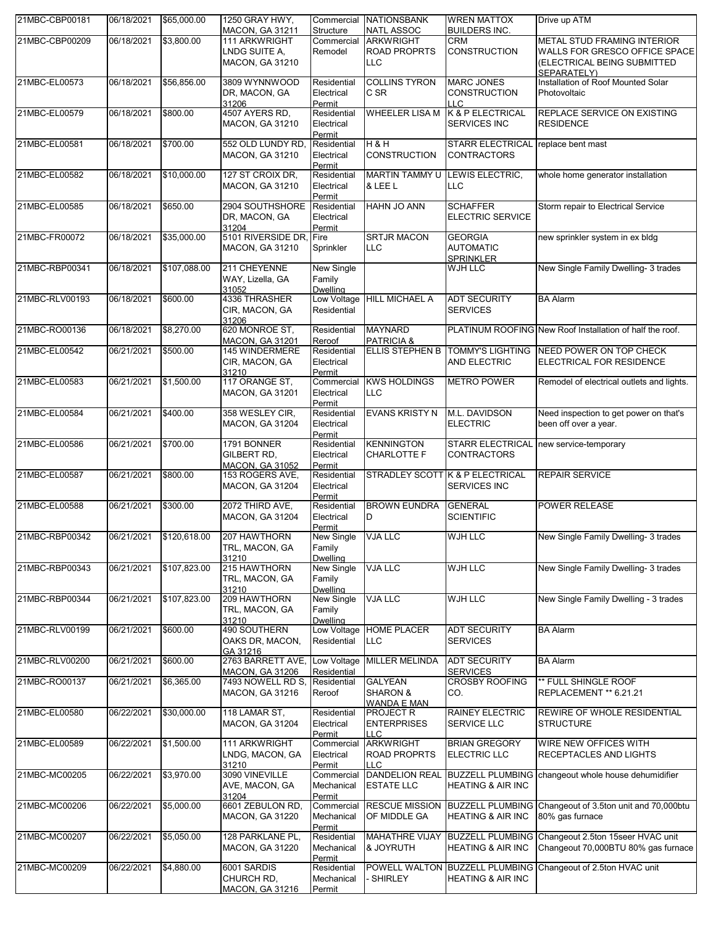| 21MBC-CBP00181 | 06/18/2021 | \$65,000.00             | 1250 GRAY HWY,<br><b>MACON, GA 31211</b>                | Commercial<br>Structure                  | <b>NATIONSBANK</b><br><b>NATL ASSOC</b>               | <b>WREN MATTOX</b><br><b>BUILDERS INC.</b>                     | Drive up ATM                                                                                             |
|----------------|------------|-------------------------|---------------------------------------------------------|------------------------------------------|-------------------------------------------------------|----------------------------------------------------------------|----------------------------------------------------------------------------------------------------------|
| 21MBC-CBP00209 | 06/18/2021 | \$3,800.00              | 111 ARKWRIGHT                                           | Commercial                               | <b>ARKWRIGHT</b>                                      | CRM                                                            | METAL STUD FRAMING INTERIOR                                                                              |
|                |            |                         | LNDG SUITE A,<br><b>MACON, GA 31210</b>                 | Remodel                                  | <b>ROAD PROPRTS</b><br><b>LLC</b>                     | CONSTRUCTION                                                   | WALLS FOR GRESCO OFFICE SPACE<br>(ELECTRICAL BEING SUBMITTED<br>SEPARATELY)                              |
| 21MBC-EL00573  | 06/18/2021 | \$56,856.00             | 3809 WYNNWOOD<br>DR, MACON, GA<br>31206                 | Residential<br>Electrical<br>Permit      | <b>COLLINS TYRON</b><br>C SR                          | <b>MARC JONES</b><br><b>CONSTRUCTION</b><br><b>LLC</b>         | Installation of Roof Mounted Solar<br>Photovoltaic                                                       |
| 21MBC-EL00579  | 06/18/2021 | \$800.00                | 4507 AYERS RD,<br><b>MACON, GA 31210</b>                | Residential<br>Electrical<br>Permit      | <b>WHEELER LISA M</b>                                 | K & P ELECTRICAL<br><b>SERVICES INC</b>                        | REPLACE SERVICE ON EXISTING<br><b>RESIDENCE</b>                                                          |
| 21MBC-EL00581  | 06/18/2021 | \$700.00                | 552 OLD LUNDY RD,<br><b>MACON, GA 31210</b>             | Residential<br>Electrical<br>Permit      | <b>H &amp; H</b><br><b>CONSTRUCTION</b>               | STARR ELECTRICAL replace bent mast<br><b>CONTRACTORS</b>       |                                                                                                          |
| 21MBC-EL00582  | 06/18/2021 | \$10,000.00             | 127 ST CROIX DR,<br><b>MACON, GA 31210</b>              | Residential<br>Electrical<br>Permit      | MARTIN TAMMY U<br>& LEE L                             | LEWIS ELECTRIC,<br>LLC                                         | whole home generator installation                                                                        |
| 21MBC-EL00585  | 06/18/2021 | \$650.00                | 2904 SOUTHSHORE<br>DR, MACON, GA<br>31204               | Residential<br>Electrical<br>Permit      | HAHN JO ANN                                           | <b>SCHAFFER</b><br><b>ELECTRIC SERVICE</b>                     | Storm repair to Electrical Service                                                                       |
| 21MBC-FR00072  | 06/18/2021 | \$35,000.00             | 5101 RIVERSIDE DR, Fire<br><b>MACON, GA 31210</b>       | Sprinkler                                | <b>SRTJR MACON</b><br><b>LLC</b>                      | <b>GEORGIA</b><br><b>AUTOMATIC</b><br><b>SPRINKLER</b>         | new sprinkler system in ex bldg                                                                          |
| 21MBC-RBP00341 | 06/18/2021 | \$107,088.00            | 211 CHEYENNE<br>WAY, Lizella, GA<br>31052               | New Single<br>Family<br>Dwelling         |                                                       | WJH LLC                                                        | New Single Family Dwelling- 3 trades                                                                     |
| 21MBC-RLV00193 | 06/18/2021 | \$600.00                | 4336 THRASHER<br>CIR, MACON, GA<br>31206                | Low Voltage<br>Residential               | <b>HILL MICHAEL A</b>                                 | <b>ADT SECURITY</b><br><b>SERVICES</b>                         | <b>BA Alarm</b>                                                                                          |
| 21MBC-RO00136  | 06/18/2021 | \$8,270.00              | 620 MONROE ST,<br><b>MACON, GA 31201</b>                | Residential<br>Reroof                    | <b>MAYNARD</b><br><b>PATRICIA &amp;</b>               |                                                                | PLATINUM ROOFING New Roof Installation of half the roof.                                                 |
| 21MBC-EL00542  | 06/21/2021 | \$500.00                | 145 WINDERMERE<br>CIR, MACON, GA<br>31210               | Residential<br>Electrical<br>Permit      | <b>ELLIS STEPHEN B</b>                                | <b>TOMMY'S LIGHTING</b><br><b>AND ELECTRIC</b>                 | NEED POWER ON TOP CHECK<br>ELECTRICAL FOR RESIDENCE                                                      |
| 21MBC-EL00583  | 06/21/2021 | \$1,500.00              | 117 ORANGE ST,<br><b>MACON, GA 31201</b>                | Commercial<br>Electrical<br>Permit       | <b>KWS HOLDINGS</b><br><b>LLC</b>                     | <b>METRO POWER</b>                                             | Remodel of electrical outlets and lights.                                                                |
| 21MBC-EL00584  | 06/21/2021 | \$400.00                | 358 WESLEY CIR,<br>MACON, GA 31204                      | Residential<br>Electrical<br>Permit      | <b>EVANS KRISTY N</b>                                 | M.L. DAVIDSON<br><b>ELECTRIC</b>                               | Need inspection to get power on that's<br>been off over a year.                                          |
| 21MBC-EL00586  | 06/21/2021 | \$700.00                | 1791 BONNER<br>GILBERT RD.<br><b>MACON, GA 31052</b>    | Residential<br>Electrical<br>Permit      | <b>KENNINGTON</b><br><b>CHARLOTTE F</b>               | CONTRACTORS                                                    | STARR ELECTRICAL new service-temporary                                                                   |
| 21MBC-EL00587  | 06/21/2021 | \$800.00                | 153 ROGERS AVE,<br>MACON, GA 31204                      | Residential<br>Electrical<br>Permit      |                                                       | STRADLEY SCOTT K & P ELECTRICAL<br>SERVICES INC                | <b>REPAIR SERVICE</b>                                                                                    |
| 21MBC-EL00588  | 06/21/2021 | \$300.00                | 2072 THIRD AVE,<br><b>MACON, GA 31204</b>               | Residential<br>Electrical<br>Permit      | <b>BROWN EUNDRA</b><br>D                              | <b>GENERAL</b><br><b>SCIENTIFIC</b>                            | <b>POWER RELEASE</b>                                                                                     |
| 21MBC-RBP00342 |            | 06/21/2021 \$120,618.00 | 207 HAWTHORN<br>TRL, MACON, GA<br>31210                 | New Single VJA LLC<br>Family<br>Dwelling |                                                       | <b>WJH LLC</b>                                                 | New Single Family Dwelling- 3 trades                                                                     |
| 21MBC-RBP00343 | 06/21/2021 | \$107,823.00            | 215 HAWTHORN<br>TRL, MACON, GA<br>31210                 | New Single<br>Family<br><b>Dwelling</b>  | <b>VJA LLC</b>                                        | <b>WJH LLC</b>                                                 | New Single Family Dwelling- 3 trades                                                                     |
| 21MBC-RBP00344 | 06/21/2021 | \$107,823.00            | 209 HAWTHORN<br>TRL, MACON, GA<br>31210                 | New Single<br>Family<br><b>Dwelling</b>  | VJA LLC                                               | WJH LLC                                                        | New Single Family Dwelling - 3 trades                                                                    |
| 21MBC-RLV00199 | 06/21/2021 | \$600.00                | 490 SOUTHERN<br>OAKS DR, MACON,<br>GA 31216             | Low Voltage<br>Residential               | <b>HOME PLACER</b><br>LLC.                            | <b>ADT SECURITY</b><br><b>SERVICES</b>                         | <b>BA Alarm</b>                                                                                          |
| 21MBC-RLV00200 | 06/21/2021 | \$600.00                | 2763 BARRETT AVE,<br><b>MACON, GA 31206</b>             | Low Voltage<br>Residential               | <b>MILLER MELINDA</b>                                 | <b>ADT SECURITY</b><br><b>SERVICES</b>                         | <b>BA Alarm</b>                                                                                          |
| 21MBC-RO00137  | 06/21/2021 | \$6,365.00              | 7493 NOWELL RD S, Residential<br><b>MACON, GA 31216</b> | Reroof                                   | <b>GALYEAN</b><br><b>SHARON &amp;</b><br>WANDA E MAN  | <b>CROSBY ROOFING</b><br>CO.                                   | ** FULL SHINGLE ROOF<br>REPLACEMENT ** 6.21.21                                                           |
| 21MBC-EL00580  | 06/22/2021 | \$30,000.00             | 118 LAMAR ST,<br><b>MACON, GA 31204</b>                 | Residential<br>Electrical<br>Permit      | <b>PROJECT R</b><br><b>ENTERPRISES</b><br><b>LLC</b>  | RAINEY ELECTRIC<br><b>SERVICE LLC</b>                          | REWIRE OF WHOLE RESIDENTIAL<br><b>STRUCTURE</b>                                                          |
| 21MBC-EL00589  | 06/22/2021 | \$1,500.00              | 111 ARKWRIGHT<br>LNDG, MACON, GA<br>31210               | Commercial<br>Electrical<br>Permit       | <b>ARKWRIGHT</b><br><b>ROAD PROPRTS</b><br><b>LLC</b> | <b>BRIAN GREGORY</b><br>ELECTRIC LLC                           | WIRE NEW OFFICES WITH<br><b>RECEPTACLES AND LIGHTS</b>                                                   |
| 21MBC-MC00205  | 06/22/2021 | \$3,970.00              | 3090 VINEVILLE<br>AVE, MACON, GA<br>31204               | Commercial<br>Mechanical<br>Permit       | <b>ESTATE LLC</b>                                     | <b>HEATING &amp; AIR INC</b>                                   | DANDELION REAL BUZZELL PLUMBING changeout whole house dehumidifier                                       |
| 21MBC-MC00206  | 06/22/2021 | \$5,000.00              | 6601 ZEBULON RD,<br><b>MACON, GA 31220</b>              | Commercial<br>Mechanical<br>Permit       | <b>RESCUE MISSION</b><br>OF MIDDLE GA                 | HEATING & AIR INC                                              | BUZZELL PLUMBING Changeout of 3.5ton unit and 70,000btu<br>80% gas furnace                               |
| 21MBC-MC00207  | 06/22/2021 | \$5,050.00              | 128 PARKLANE PL,<br><b>MACON, GA 31220</b>              | Residential<br>Mechanical<br>Permit      | & JOYRUTH                                             | <b>HEATING &amp; AIR INC</b>                                   | MAHATHRE VIJAY BUZZELL PLUMBING Changeout 2.5ton 15seer HVAC unit<br>Changeout 70,000BTU 80% gas furnace |
| 21MBC-MC00209  | 06/22/2021 | \$4,880.00              | 6001 SARDIS<br>CHURCH RD,<br><b>MACON, GA 31216</b>     | Residential<br>Mechanical<br>Permit      | <b>SHIRLEY</b>                                        | POWELL WALTON BUZZELL PLUMBING<br><b>HEATING &amp; AIR INC</b> | Changeout of 2.5ton HVAC unit                                                                            |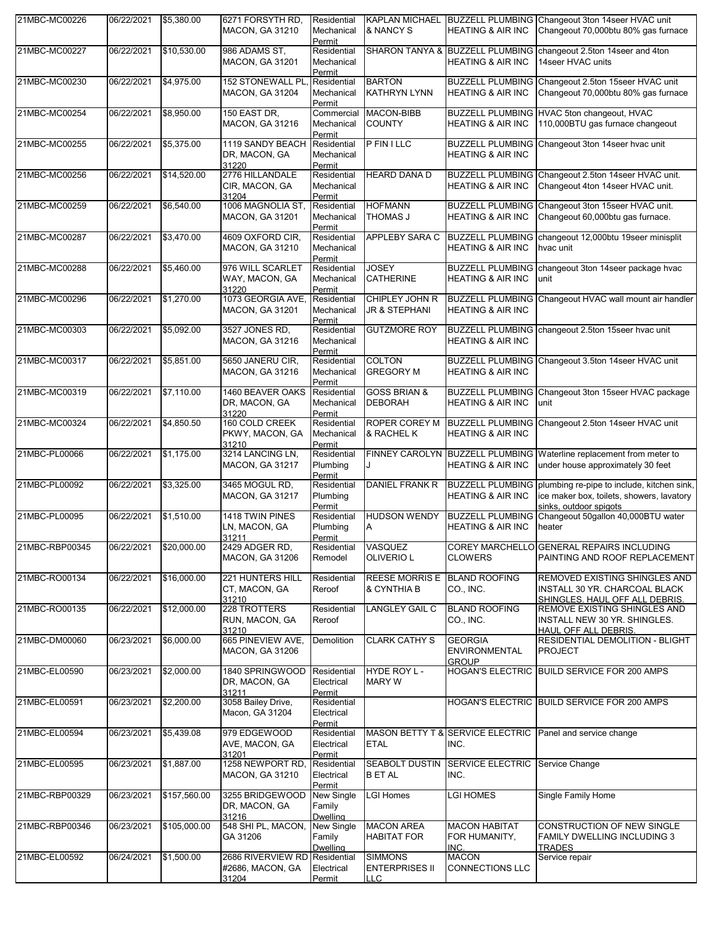| 21MBC-MC00226  | 06/22/2021 | \$5,380.00   | 6271 FORSYTH RD.<br><b>MACON, GA 31210</b>     | Residential<br>Mechanical<br>Permit     | & NANCY S                                             | <b>HEATING &amp; AIR INC</b>                            | KAPLAN MICHAEL BUZZELL PLUMBING Changeout 3ton 14seer HVAC unit<br>Changeout 70,000btu 80% gas furnace                             |
|----------------|------------|--------------|------------------------------------------------|-----------------------------------------|-------------------------------------------------------|---------------------------------------------------------|------------------------------------------------------------------------------------------------------------------------------------|
| 21MBC-MC00227  | 06/22/2021 | \$10,530.00  | 986 ADAMS ST,<br><b>MACON, GA 31201</b>        | Residential<br>Mechanical<br>Permit     |                                                       | <b>HEATING &amp; AIR INC</b>                            | SHARON TANYA & BUZZELL PLUMBING changeout 2.5ton 14 seer and 4ton<br>14seer HVAC units                                             |
| 21MBC-MC00230  | 06/22/2021 | \$4,975.00   | 152 STONEWALL PL<br>MACON, GA 31204            | Residential<br>Mechanical<br>Permit     | <b>BARTON</b><br><b>KATHRYN LYNN</b>                  | <b>BUZZELL PLUMBING</b><br><b>HEATING &amp; AIR INC</b> | Changeout 2.5ton 15seer HVAC unit<br>Changeout 70,000btu 80% gas furnace                                                           |
| 21MBC-MC00254  | 06/22/2021 | \$8,950.00   | 150 EAST DR.<br>MACON, GA 31216                | Commercial<br>Mechanical<br>Permit      | <b>MACON-BIBB</b><br><b>COUNTY</b>                    | <b>HEATING &amp; AIR INC</b>                            | BUZZELL PLUMBING HVAC 5ton changeout, HVAC<br>110,000BTU gas furnace changeout                                                     |
| 21MBC-MC00255  | 06/22/2021 | \$5,375.00   | 1119 SANDY BEACH<br>DR, MACON, GA<br>31220     | Residential<br>Mechanical<br>Permit     | <b>P FIN I LLC</b>                                    | <b>BUZZELL PLUMBING</b><br><b>HEATING &amp; AIR INC</b> | Changeout 3ton 14seer hvac unit                                                                                                    |
| 21MBC-MC00256  | 06/22/2021 | \$14,520.00  | 2776 HILLANDALE<br>CIR, MACON, GA<br>31204     | Residential<br>Mechanical<br>Permit     | <b>HEARD DANA D</b>                                   | <b>HEATING &amp; AIR INC</b>                            | BUZZELL PLUMBING Changeout 2.5ton 14seer HVAC unit.<br>Changeout 4ton 14seer HVAC unit.                                            |
| 21MBC-MC00259  | 06/22/2021 | \$6,540.00   | 1006 MAGNOLIA ST,<br><b>MACON, GA 31201</b>    | Residential<br>Mechanical<br>Permit     | <b>HOFMANN</b><br><b>THOMAS J</b>                     | <b>HEATING &amp; AIR INC</b>                            | BUZZELL PLUMBING Changeout 3ton 15seer HVAC unit.<br>Changeout 60,000btu gas furnace.                                              |
| 21MBC-MC00287  | 06/22/2021 | \$3,470.00   | 4609 OXFORD CIR,<br><b>MACON, GA 31210</b>     | Residential<br>Mechanical<br>Permit     | APPLEBY SARA C                                        | <b>BUZZELL PLUMBING</b><br><b>HEATING &amp; AIR INC</b> | changeout 12,000btu 19seer minisplit<br>hvac unit                                                                                  |
| 21MBC-MC00288  | 06/22/2021 | \$5,460.00   | 976 WILL SCARLET<br>WAY, MACON, GA<br>31220    | Residential<br>Mechanical<br>Permit     | JOSEY<br><b>CATHERINE</b>                             | <b>HEATING &amp; AIR INC</b>                            | BUZZELL PLUMBING changeout 3ton 14seer package hvac<br>unit                                                                        |
| 21MBC-MC00296  | 06/22/2021 | \$1,270.00   | 1073 GEORGIA AVE<br>MACON, GA 31201            | Residential<br>Mechanical<br>Permit     | CHIPLEY JOHN R<br>JR & STEPHANI                       | <b>BUZZELL PLUMBING</b><br><b>HEATING &amp; AIR INC</b> | Changeout HVAC wall mount air handler                                                                                              |
| 21MBC-MC00303  | 06/22/2021 | \$5,092.00   | 3527 JONES RD,<br><b>MACON, GA 31216</b>       | Residential<br>Mechanical<br>Permit     | <b>GUTZMORE ROY</b>                                   | <b>HEATING &amp; AIR INC</b>                            | BUZZELL PLUMBING changeout 2.5ton 15seer hvac unit                                                                                 |
| 21MBC-MC00317  | 06/22/2021 | \$5,851.00   | 5650 JANERU CIR,<br><b>MACON, GA 31216</b>     | Residential<br>Mechanical<br>Permit     | <b>COLTON</b><br><b>GREGORY M</b>                     | <b>HEATING &amp; AIR INC</b>                            | BUZZELL PLUMBING Changeout 3.5ton 14seer HVAC unit                                                                                 |
| 21MBC-MC00319  | 06/22/2021 | \$7,110.00   | 1460 BEAVER OAKS<br>DR, MACON, GA<br>31220     | Residential<br>Mechanical<br>Permit     | <b>GOSS BRIAN &amp;</b><br><b>DEBORAH</b>             | <b>BUZZELL PLUMBING</b><br><b>HEATING &amp; AIR INC</b> | Changeout 3ton 15seer HVAC package<br>unit                                                                                         |
| 21MBC-MC00324  | 06/22/2021 | \$4,850.50   | 160 COLD CREEK<br>PKWY, MACON, GA<br>31210     | Residential<br>Mechanical<br>Permit     | ROPER COREY M<br>& RACHEL K                           | <b>BUZZELL PLUMBING</b><br><b>HEATING &amp; AIR INC</b> | Changeout 2.5ton 14seer HVAC unit                                                                                                  |
| 21MBC-PL00066  | 06/22/2021 | \$1,175.00   | 3214 LANCING LN,<br><b>MACON, GA 31217</b>     | Residential<br>Plumbing<br>Permit       | FINNEY CAROLYN                                        | <b>BUZZELL PLUMBING</b><br><b>HEATING &amp; AIR INC</b> | Waterline replacement from meter to<br>under house approximately 30 feet                                                           |
| 21MBC-PL00092  | 06/22/2021 | \$3,325.00   | 3465 MOGUL RD.<br>MACON, GA 31217              | Residential<br>Plumbing<br>Permit       | DANIEL FRANK R                                        | <b>HEATING &amp; AIR INC</b>                            | BUZZELL PLUMBING plumbing re-pipe to include, kitchen sink,<br>ice maker box, toilets, showers, lavatory<br>sinks, outdoor spigots |
| 21MBC-PL00095  | 06/22/2021 | \$1,510.00   | 1418 TWIN PINES<br>LN, MACON, GA<br>31211      | Residential<br>Plumbing<br>Permit       | <b>HUDSON WENDY</b><br>Α                              | <b>BUZZELL PLUMBING</b><br><b>HEATING &amp; AIR INC</b> | Changeout 50gallon 40,000BTU water<br>heater                                                                                       |
| 21MBC-RBP00345 | 06/22/2021 | \$20,000.00  | 2429 ADGER RD,<br>MACON, GA 31206              | Residential<br>Remodel                  | VASQUEZ<br><b>OLIVERIO L</b>                          | <b>CLOWERS</b>                                          | COREY MARCHELLO GENERAL REPAIRS INCLUDING<br>PAINTING AND ROOF REPLACEMENT                                                         |
| 21MBC-RO00134  | 06/22/2021 | \$16,000.00  | 221 HUNTERS HILL<br>CT, MACON, GA<br>31210     | Residential<br>Reroof                   | <b>REESE MORRIS E</b><br>& CYNTHIA B                  | <b>BLAND ROOFING</b><br>CO., INC.                       | REMOVED EXISTING SHINGLES AND<br>INSTALL 30 YR. CHARCOAL BLACK<br>SHINGLES, HAUL OFF ALL DEBRIS.                                   |
| 21MBC-RO00135  | 06/22/2021 | \$12,000.00  | 228 TROTTERS<br>RUN, MACON, GA<br>31210        | Residential<br>Reroof                   | <b>LANGLEY GAIL C</b>                                 | <b>BLAND ROOFING</b><br>CO., INC.                       | REMOVE EXISTING SHINGLES AND<br>INSTALL NEW 30 YR. SHINGLES.<br><b>HAUL OFF ALL DEBRIS.</b>                                        |
| 21MBC-DM00060  | 06/23/2021 | \$6,000.00   | 665 PINEVIEW AVE,<br><b>MACON, GA 31206</b>    | Demolition                              | <b>CLARK CATHY S</b>                                  | <b>GEORGIA</b><br><b>ENVIRONMENTAL</b><br><b>GROUP</b>  | RESIDENTIAL DEMOLITION - BLIGHT<br><b>PROJECT</b>                                                                                  |
| 21MBC-EL00590  | 06/23/2021 | \$2,000.00   | 1840 SPRINGWOOD<br>DR, MACON, GA<br>31211      | Residential<br>Electrical<br>Permit     | HYDE ROY L-<br><b>MARY W</b>                          |                                                         | HOGAN'S ELECTRIC BUILD SERVICE FOR 200 AMPS                                                                                        |
| 21MBC-EL00591  | 06/23/2021 | \$2,200.00   | 3058 Bailey Drive,<br>Macon, GA 31204          | Residential<br>Electrical<br>Permit     |                                                       |                                                         | HOGAN'S ELECTRIC BUILD SERVICE FOR 200 AMPS                                                                                        |
| 21MBC-EL00594  | 06/23/2021 | \$5,439.08   | 979 EDGEWOOD<br>AVE, MACON, GA<br>31201        | Residential<br>Electrical<br>Permit     | <b>ETAL</b>                                           | MASON BETTY T & SERVICE ELECTRIC<br>INC.                | Panel and service change                                                                                                           |
| 21MBC-EL00595  | 06/23/2021 | \$1,887.00   | 1258 NEWPORT RD,<br><b>MACON, GA 31210</b>     | Residential<br>Electrical<br>Permit     | SEABOLT DUSTIN<br><b>B ET AL</b>                      | SERVICE ELECTRIC Service Change<br>INC.                 |                                                                                                                                    |
| 21MBC-RBP00329 | 06/23/2021 | \$157,560.00 | 3255 BRIDGEWOOD<br>DR, MACON, GA<br>31216      | New Single<br>Family<br><b>Dwelling</b> | <b>LGI Homes</b>                                      | LGI HOMES                                               | Single Family Home                                                                                                                 |
| 21MBC-RBP00346 | 06/23/2021 | \$105,000.00 | 548 SHI PL, MACON,<br>GA 31206                 | New Single<br>Family<br><b>Dwelling</b> | <b>MACON AREA</b><br><b>HABITAT FOR</b>               | <b>MACON HABITAT</b><br>FOR HUMANITY,<br>INC.           | <b>CONSTRUCTION OF NEW SINGLE</b><br><b>FAMILY DWELLING INCLUDING 3</b><br><b>TRADES</b>                                           |
| 21MBC-EL00592  | 06/24/2021 | \$1,500.00   | 2686 RIVERVIEW RD<br>#2686, MACON, GA<br>31204 | Residential<br>Electrical<br>Permit     | <b>SIMMONS</b><br><b>ENTERPRISES II</b><br><b>LLC</b> | <b>MACON</b><br><b>CONNECTIONS LLC</b>                  | Service repair                                                                                                                     |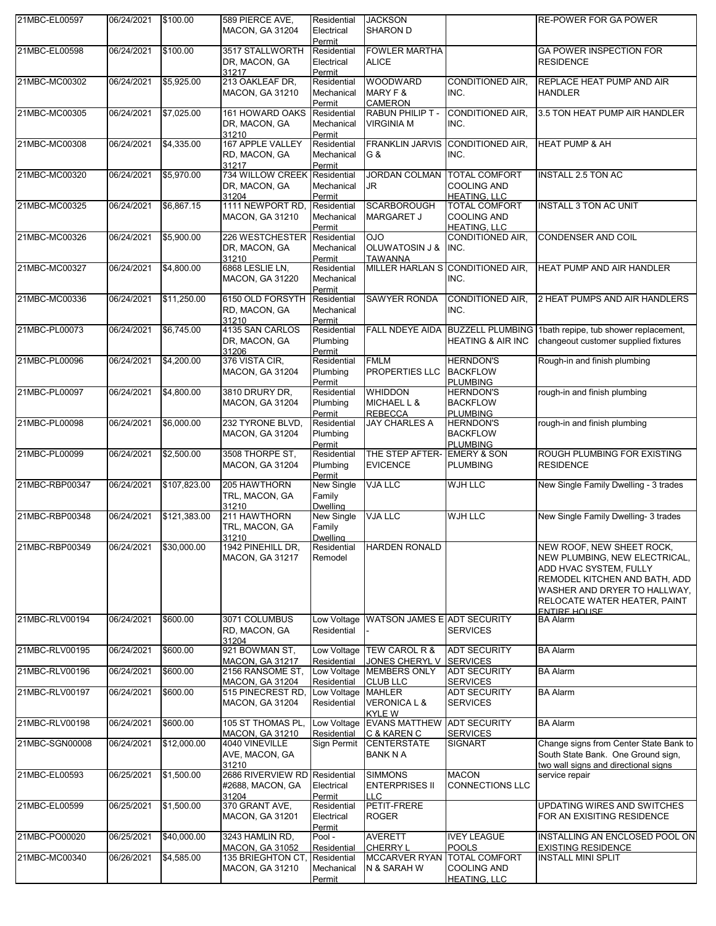| 21MBC-EL00597  | 06/24/2021 | \$100.00     | 589 PIERCE AVE,<br><b>MACON, GA 31204</b>                             | Residential<br>Electrical<br>Permit                | <b>JACKSON</b><br><b>SHARON D</b>                         |                                                                   | <b>RE-POWER FOR GA POWER</b>                                                                                                                                                                                 |
|----------------|------------|--------------|-----------------------------------------------------------------------|----------------------------------------------------|-----------------------------------------------------------|-------------------------------------------------------------------|--------------------------------------------------------------------------------------------------------------------------------------------------------------------------------------------------------------|
| 21MBC-EL00598  | 06/24/2021 | \$100.00     | 3517 STALLWORTH<br>DR, MACON, GA<br>31217                             | Residential<br>Electrical<br>Permit                | <b>FOWLER MARTHA</b><br><b>ALICE</b>                      |                                                                   | <b>GA POWER INSPECTION FOR</b><br><b>RESIDENCE</b>                                                                                                                                                           |
| 21MBC-MC00302  | 06/24/2021 | \$5,925.00   | 213 OAKLEAF DR,<br>MACON, GA 31210                                    | Residential<br>Mechanical<br>Permit                | <b>WOODWARD</b><br>MARY F &<br><b>CAMERON</b>             | <b>CONDITIONED AIR.</b><br>INC.                                   | REPLACE HEAT PUMP AND AIR<br><b>HANDLER</b>                                                                                                                                                                  |
| 21MBC-MC00305  | 06/24/2021 | \$7,025.00   | 161 HOWARD OAKS<br>DR, MACON, GA<br>31210                             | Residential<br>Mechanical<br>Permit                | RABUN PHILIP T -<br><b>VIRGINIA M</b>                     | <b>CONDITIONED AIR.</b><br>INC.                                   | 3.5 TON HEAT PUMP AIR HANDLER                                                                                                                                                                                |
| 21MBC-MC00308  | 06/24/2021 | \$4,335.00   | 167 APPLE VALLEY<br>RD, MACON, GA<br>31217                            | Residential<br>Mechanical<br>Permit                | <b>FRANKLIN JARVIS</b><br>G &                             | <b>CONDITIONED AIR.</b><br>INC.                                   | <b>HEAT PUMP &amp; AH</b>                                                                                                                                                                                    |
| 21MBC-MC00320  | 06/24/2021 | \$5,970.00   | 734 WILLOW CREEK<br>DR, MACON, GA<br>31204                            | Residential<br>Mechanical<br>Permit                | <b>JORDAN COLMAN</b><br>JR                                | <b>TOTAL COMFORT</b><br><b>COOLING AND</b><br><b>HEATING, LLC</b> | <b>INSTALL 2.5 TON AC</b>                                                                                                                                                                                    |
| 21MBC-MC00325  | 06/24/2021 | \$6,867.15   | 1111 NEWPORT RD,<br><b>MACON, GA 31210</b>                            | Residential<br>Mechanical<br>Permit                | <b>SCARBOROUGH</b><br><b>MARGARET J</b>                   | <b>TOTAL COMFORT</b><br><b>COOLING AND</b><br><b>HEATING, LLC</b> | <b>INSTALL 3 TON AC UNIT</b>                                                                                                                                                                                 |
| 21MBC-MC00326  | 06/24/2021 | \$5,900.00   | 226 WESTCHESTER<br>DR, MACON, GA<br>31210                             | Residential<br>Mechanical<br>Permit                | OJO<br><b>OLUWATOSIN J &amp;</b><br><b>TAWANNA</b>        | CONDITIONED AIR,<br>INC.                                          | CONDENSER AND COIL                                                                                                                                                                                           |
| 21MBC-MC00327  | 06/24/2021 | \$4,800.00   | 6868 LESLIE LN,<br><b>MACON, GA 31220</b>                             | Residential<br>Mechanical<br>Permit                |                                                           | MILLER HARLAN S CONDITIONED AIR,<br>INC.                          | HEAT PUMP AND AIR HANDLER                                                                                                                                                                                    |
| 21MBC-MC00336  | 06/24/2021 | \$11,250.00  | 6150 OLD FORSYTH<br>RD, MACON, GA<br>31210                            | Residential<br>Mechanical<br>Permit                | <b>SAWYER RONDA</b>                                       | <b>CONDITIONED AIR.</b><br>INC.                                   | 2 HEAT PUMPS AND AIR HANDLERS                                                                                                                                                                                |
| 21MBC-PL00073  | 06/24/2021 | \$6,745.00   | 4135 SAN CARLOS<br>DR, MACON, GA<br>31206                             | Residential<br>Plumbing<br>Permit                  | <b>FALL NDEYE AIDA</b>                                    | <b>BUZZELL PLUMBING</b><br><b>HEATING &amp; AIR INC</b>           | 1bath repipe, tub shower replacement,<br>changeout customer supplied fixtures                                                                                                                                |
| 21MBC-PL00096  | 06/24/2021 | \$4,200.00   | 376 VISTA CIR,<br><b>MACON, GA 31204</b>                              | Residential<br>Plumbing<br>Permit                  | <b>FMLM</b><br>PROPERTIES LLC                             | <b>HERNDON'S</b><br><b>BACKFLOW</b><br><b>PLUMBING</b>            | Rough-in and finish plumbing                                                                                                                                                                                 |
| 21MBC-PL00097  | 06/24/2021 | \$4,800.00   | 3810 DRURY DR.<br><b>MACON, GA 31204</b>                              | Residential<br>Plumbing<br>Permit                  | <b>WHIDDON</b><br>MICHAEL L &<br><b>REBECCA</b>           | <b>HERNDON'S</b><br><b>BACKFLOW</b><br><b>PLUMBING</b>            | rough-in and finish plumbing                                                                                                                                                                                 |
| 21MBC-PL00098  | 06/24/2021 | \$6,000.00   | 232 TYRONE BLVD,<br><b>MACON, GA 31204</b>                            | Residential<br>Plumbing<br>Permit                  | <b>JAY CHARLES A</b>                                      | <b>HERNDON'S</b><br><b>BACKFLOW</b><br><b>PLUMBING</b>            | rough-in and finish plumbing                                                                                                                                                                                 |
| 21MBC-PL00099  | 06/24/2021 | \$2,500.00   | 3508 THORPE ST,<br>MACON, GA 31204                                    | Residential<br>Plumbing<br>Permit                  | THE STEP AFTER-<br><b>EVICENCE</b>                        | <b>EMERY &amp; SON</b><br><b>PLUMBING</b>                         | ROUGH PLUMBING FOR EXISTING<br><b>RESIDENCE</b>                                                                                                                                                              |
| 21MBC-RBP00347 | 06/24/2021 | \$107,823.00 | 205 HAWTHORN<br>TRL, MACON, GA<br>31210                               | New Single<br>Family<br>Dwelling                   | <b>VJA LLC</b>                                            | WJH LLC                                                           | New Single Family Dwelling - 3 trades                                                                                                                                                                        |
| 21MBC-RBP00348 | 06/24/2021 | \$121,383.00 | 211 HAWTHORN<br>TRL, MACON, GA<br>31210                               | New Single<br>Family<br><b>Dwelling</b>            | <b>VJA LLC</b>                                            | <b>WJH LLC</b>                                                    | New Single Family Dwelling- 3 trades                                                                                                                                                                         |
| 21MBC-RBP00349 | 06/24/2021 | \$30,000.00  | 1942 PINEHILL DR,<br><b>MACON, GA 31217</b>                           | Residential<br>Remodel                             | <b>HARDEN RONALD</b>                                      |                                                                   | NEW ROOF, NEW SHEET ROCK,<br>NEW PLUMBING, NEW ELECTRICAL,<br>ADD HVAC SYSTEM, FULLY<br>REMODEL KITCHEN AND BATH, ADD<br>WASHER AND DRYER TO HALLWAY,<br>RELOCATE WATER HEATER, PAINT<br><b>ENTIRE HOUSE</b> |
| 21MBC-RLV00194 | 06/24/2021 | \$600.00     | 3071 COLUMBUS<br>RD, MACON, GA<br>31204                               | Low Voltage<br>Residential                         | WATSON JAMES E ADT SECURITY                               | <b>SERVICES</b>                                                   | <b>BA Alarm</b>                                                                                                                                                                                              |
| 21MBC-RLV00195 | 06/24/2021 | \$600.00     | 921 BOWMAN ST,<br><b>MACON, GA 31217</b>                              | Residential                                        | Low Voltage TEW CAROL R &<br>JONES CHERYL V               | <b>ADT SECURITY</b><br><b>SERVICES</b>                            | <b>BA Alarm</b>                                                                                                                                                                                              |
| 21MBC-RLV00196 | 06/24/2021 | \$600.00     | 2156 RANSOME ST.<br><b>MACON, GA 31204</b>                            | Residential                                        | Low Voltage MEMBERS ONLY<br><b>CLUB LLC</b>               | <b>ADT SECURITY</b><br><b>SERVICES</b>                            | <b>BA Alarm</b>                                                                                                                                                                                              |
| 21MBC-RLV00197 | 06/24/2021 | \$600.00     | 515 PINECREST RD,<br><b>MACON, GA 31204</b>                           | Low Voltage<br>Residential                         | <b>MAHLER</b><br><b>VERONICA L &amp;</b><br><b>KYLE W</b> | <b>ADT SECURITY</b><br><b>SERVICES</b>                            | <b>BA Alarm</b>                                                                                                                                                                                              |
| 21MBC-RLV00198 | 06/24/2021 | \$600.00     | 105 ST THOMAS PL,<br><b>MACON, GA 31210</b>                           | Residential                                        | Low Voltage EVANS MATTHEW<br>C & KAREN C                  | <b>ADT SECURITY</b><br><b>SERVICES</b>                            | <b>BA Alarm</b>                                                                                                                                                                                              |
| 21MBC-SGN00008 | 06/24/2021 | \$12,000.00  | 4040 VINEVILLE<br>AVE, MACON, GA<br>31210                             | Sign Permit                                        | <b>CENTERSTATE</b><br><b>BANK N A</b>                     | <b>SIGNART</b>                                                    | Change signs from Center State Bank to<br>South State Bank. One Ground sign,<br>two wall signs and directional signs                                                                                         |
| 21MBC-EL00593  | 06/25/2021 | \$1,500.00   | 2686 RIVERVIEW RD<br>#2688, MACON, GA<br>31204                        | Residential<br>Electrical<br>Permit                | SIMMONS<br><b>ENTERPRISES II</b><br><b>LLC</b>            | <b>MACON</b><br>CONNECTIONS LLC                                   | service repair                                                                                                                                                                                               |
| 21MBC-EL00599  | 06/25/2021 | \$1,500.00   | 370 GRANT AVE,<br><b>MACON, GA 31201</b>                              | Residential<br>Electrical<br>Permit                | PETIT-FRERE<br><b>ROGER</b>                               |                                                                   | UPDATING WIRES AND SWITCHES<br>FOR AN EXISITING RESIDENCE                                                                                                                                                    |
| 21MBC-PO00020  | 06/25/2021 | \$40,000.00  | 3243 HAMLIN RD,                                                       | Pool -                                             | <b>AVERETT</b>                                            | <b>IVEY LEAGUE</b>                                                | INSTALLING AN ENCLOSED POOL ON                                                                                                                                                                               |
| 21MBC-MC00340  | 06/26/2021 | \$4,585.00   | <b>MACON, GA 31052</b><br>135 BRIEGHTON CT,<br><b>MACON, GA 31210</b> | Residential<br>Residential<br>Mechanical<br>Permit | CHERRY L<br>MCCARVER RYAN TOTAL COMFORT<br>N & SARAH W    | <b>POOLS</b><br><b>COOLING AND</b><br><b>HEATING, LLC</b>         | <b>EXISTING RESIDENCE</b><br><b>INSTALL MINI SPLIT</b>                                                                                                                                                       |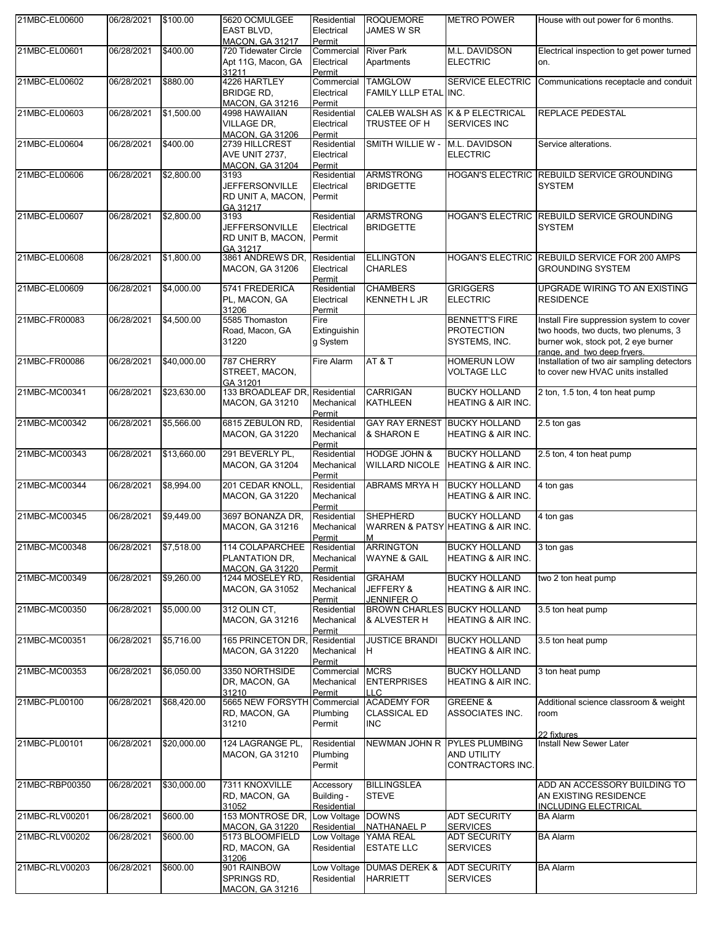| 21MBC-EL00600  | 06/28/2021 | \$100.00    | 5620 OCMULGEE<br>EAST BLVD,<br><b>MACON, GA 31217</b>         | Residential<br>Electrical<br>Permit    | <b>ROQUEMORE</b><br>JAMES W SR                     | <b>METRO POWER</b>                                          | House with out power for 6 months.                                                                                                                     |
|----------------|------------|-------------|---------------------------------------------------------------|----------------------------------------|----------------------------------------------------|-------------------------------------------------------------|--------------------------------------------------------------------------------------------------------------------------------------------------------|
| 21MBC-EL00601  | 06/28/2021 | \$400.00    | 720 Tidewater Circle<br>Apt 11G, Macon, GA<br>31211           | Commercial<br>Electrical<br>Permit     | <b>River Park</b><br>Apartments                    | M.L. DAVIDSON<br><b>ELECTRIC</b>                            | Electrical inspection to get power turned<br>on.                                                                                                       |
| 21MBC-EL00602  | 06/28/2021 | \$880.00    | 4226 HARTLEY<br><b>BRIDGE RD,</b><br><b>MACON, GA 31216</b>   | Commercial<br>Electrical<br>Permit     | <b>TAMGLOW</b><br>FAMILY LLLP ETAL INC.            | <b>SERVICE ELECTRIC</b>                                     | Communications receptacle and conduit                                                                                                                  |
| 21MBC-EL00603  | 06/28/2021 | \$1,500.00  | 4998 HAWAIIAN<br><b>VILLAGE DR.</b><br><b>MACON, GA 31206</b> | Residential<br>Electrical<br>Permit    | TRUSTEE OF H                                       | CALEB WALSH AS K & P ELECTRICAL<br><b>SERVICES INC</b>      | <b>REPLACE PEDESTAL</b>                                                                                                                                |
| 21MBC-EL00604  | 06/28/2021 | \$400.00    | 2739 HILLCREST<br>AVE UNIT 2737,<br><b>MACON, GA 31204</b>    | Residential<br>Electrical<br>Permit    | SMITH WILLIE W -                                   | M.L. DAVIDSON<br><b>ELECTRIC</b>                            | Service alterations.                                                                                                                                   |
| 21MBC-EL00606  | 06/28/2021 | \$2,800.00  | 3193<br>JEFFERSONVILLE<br>RD UNIT A, MACON,<br>GA 31217       | Residential<br>Electrical<br>Permit    | <b>ARMSTRONG</b><br><b>BRIDGETTE</b>               |                                                             | HOGAN'S ELECTRIC REBUILD SERVICE GROUNDING<br><b>SYSTEM</b>                                                                                            |
| 21MBC-EL00607  | 06/28/2021 | \$2,800.00  | 3193<br>JEFFERSONVILLE<br>RD UNIT B, MACON,<br>GA 31217       | Residential<br>Electrical<br>Permit    | <b>ARMSTRONG</b><br><b>BRIDGETTE</b>               |                                                             | HOGAN'S ELECTRIC REBUILD SERVICE GROUNDING<br><b>SYSTEM</b>                                                                                            |
| 21MBC-EL00608  | 06/28/2021 | \$1,800.00  | 3861 ANDREWS DR,<br><b>MACON, GA 31206</b>                    | Residential<br>Electrical<br>Permit    | <b>ELLINGTON</b><br><b>CHARLES</b>                 | <b>HOGAN'S ELECTRIC</b>                                     | <b>REBUILD SERVICE FOR 200 AMPS</b><br><b>GROUNDING SYSTEM</b>                                                                                         |
| 21MBC-EL00609  | 06/28/2021 | \$4,000.00  | 5741 FREDERICA<br>PL, MACON, GA<br>31206                      | Residential<br>Electrical<br>Permit    | <b>CHAMBERS</b><br><b>KENNETH L JR</b>             | <b>GRIGGERS</b><br><b>ELECTRIC</b>                          | UPGRADE WIRING TO AN EXISTING<br><b>RESIDENCE</b>                                                                                                      |
| 21MBC-FR00083  | 06/28/2021 | \$4,500.00  | 5585 Thomaston<br>Road, Macon, GA<br>31220                    | Fire<br>Extinguishin<br>q System       |                                                    | <b>BENNETT'S FIRE</b><br><b>PROTECTION</b><br>SYSTEMS, INC. | Install Fire suppression system to cover<br>two hoods, two ducts, two plenums, 3<br>burner wok, stock pot, 2 eye burner<br>range, and two deep frvers. |
| 21MBC-FR00086  | 06/28/2021 | \$40,000.00 | 787 CHERRY<br>STREET, MACON,<br>GA 31201                      | Fire Alarm                             | AT&T                                               | <b>HOMERUN LOW</b><br><b>VOLTAGE LLC</b>                    | Installation of two air sampling detectors<br>to cover new HVAC units installed                                                                        |
| 21MBC-MC00341  | 06/28/2021 | \$23,630.00 | 133 BROADLEAF DR.<br>MACON, GA 31210                          | Residential<br>Mechanical<br>Permit    | <b>CARRIGAN</b><br><b>KATHLEEN</b>                 | <b>BUCKY HOLLAND</b><br>HEATING & AIR INC.                  | 2 ton, 1.5 ton, 4 ton heat pump                                                                                                                        |
| 21MBC-MC00342  | 06/28/2021 | \$5,566.00  | 6815 ZEBULON RD,<br><b>MACON, GA 31220</b>                    | Residential<br>Mechanical<br>Permit    | <b>GAY RAY ERNEST</b><br>& SHARON E                | <b>BUCKY HOLLAND</b><br><b>HEATING &amp; AIR INC.</b>       | 2.5 ton gas                                                                                                                                            |
| 21MBC-MC00343  | 06/28/2021 | \$13,660.00 | 291 BEVERLY PL,<br><b>MACON, GA 31204</b>                     | Residential<br>Mechanical<br>Permit    | <b>HODGE JOHN &amp;</b><br><b>WILLARD NICOLE</b>   | <b>BUCKY HOLLAND</b><br><b>HEATING &amp; AIR INC.</b>       | 2.5 ton, 4 ton heat pump                                                                                                                               |
| 21MBC-MC00344  | 06/28/2021 | \$8,994.00  | 201 CEDAR KNOLL,<br><b>MACON, GA 31220</b>                    | Residential<br>Mechanical<br>Permit    | ABRAMS MRYA H                                      | <b>BUCKY HOLLAND</b><br>HEATING & AIR INC.                  | 4 ton gas                                                                                                                                              |
| 21MBC-MC00345  | 06/28/2021 | \$9,449.00  | 3697 BONANZA DR,<br><b>MACON, GA 31216</b>                    | Residential<br>Mechanical<br>Permit    | <b>SHEPHERD</b><br>IM.                             | <b>BUCKY HOLLAND</b><br>WARREN & PATSY HEATING & AIR INC.   | 4 ton gas                                                                                                                                              |
| 21MBC-MC00348  | 06/28/2021 | \$7,518.00  | 114 COLAPARCHEE<br>PLANTATION DR.<br><b>MACON, GA 31220</b>   | Residential<br>Mechanical<br>Permit    | <b>ARRINGTON</b><br><b>WAYNE &amp; GAIL</b>        | <b>BUCKY HOLLAND</b><br>HEATING & AIR INC.                  | 3 ton gas                                                                                                                                              |
| 21MBC-MC00349  | 06/28/2021 | \$9,260.00  | 1244 MOSELEY RD,<br><b>MACON, GA 31052</b>                    | Residential<br>Mechanical<br>Permit    | <b>GRAHAM</b><br>JEFFERY &<br>JENNIFER O           | <b>BUCKY HOLLAND</b><br>HEATING & AIR INC.                  | two 2 ton heat pump                                                                                                                                    |
| 21MBC-MC00350  | 06/28/2021 | \$5,000.00  | 312 OLIN CT,<br><b>MACON, GA 31216</b>                        | Residential<br>Mechanical<br>Permit    | <b>BROWN CHARLES BUCKY HOLLAND</b><br>& ALVESTER H | HEATING & AIR INC.                                          | 3.5 ton heat pump                                                                                                                                      |
| 21MBC-MC00351  | 06/28/2021 | \$5,716.00  | 165 PRINCETON DR, Residential<br><b>MACON, GA 31220</b>       | Mechanical<br>Permit                   | <b>JUSTICE BRANDI</b><br>H                         | <b>BUCKY HOLLAND</b><br><b>HEATING &amp; AIR INC.</b>       | 3.5 ton heat pump                                                                                                                                      |
| 21MBC-MC00353  | 06/28/2021 | \$6,050.00  | 3350 NORTHSIDE<br>DR, MACON, GA<br>31210                      | Commercial<br>Mechanical<br>Permit     | <b>MCRS</b><br><b>ENTERPRISES</b><br><b>LLC</b>    | <b>BUCKY HOLLAND</b><br>HEATING & AIR INC.                  | 3 ton heat pump                                                                                                                                        |
| 21MBC-PL00100  | 06/28/2021 | \$68,420.00 | 5665 NEW FORSYTH<br>RD, MACON, GA<br>31210                    | Commercial<br>Plumbing<br>Permit       | <b>ACADEMY FOR</b><br><b>CLASSICAL ED</b><br>INC.  | <b>GREENE &amp;</b><br>ASSOCIATES INC.                      | Additional science classroom & weight<br>room<br>22 fixtures                                                                                           |
| 21MBC-PL00101  | 06/28/2021 | \$20,000.00 | 124 LAGRANGE PL,<br><b>MACON, GA 31210</b>                    | Residential<br>Plumbing<br>Permit      | NEWMAN JOHN R                                      | <b>PYLES PLUMBING</b><br>AND UTILITY<br>CONTRACTORS INC.    | Install New Sewer Later                                                                                                                                |
| 21MBC-RBP00350 | 06/28/2021 | \$30,000.00 | 7311 KNOXVILLE<br>RD, MACON, GA<br>31052                      | Accessory<br>Building -<br>Residential | <b>BILLINGSLEA</b><br><b>STEVE</b>                 |                                                             | ADD AN ACCESSORY BUILDING TO<br>AN EXISTING RESIDENCE<br><b>INCLUDING ELECTRICAL</b>                                                                   |
| 21MBC-RLV00201 | 06/28/2021 | \$600.00    | 153 MONTROSE DR,<br><b>MACON, GA 31220</b>                    | Low Voltage<br>Residential             | <b>DOWNS</b><br><b>NATHANAEL P</b>                 | <b>ADT SECURITY</b><br><b>SERVICES</b>                      | <b>BA Alarm</b>                                                                                                                                        |
| 21MBC-RLV00202 | 06/28/2021 | \$600.00    | 5173 BLOOMFIELD<br>RD, MACON, GA<br>31206                     | Residential                            | Low Voltage YAMA REAL<br><b>ESTATE LLC</b>         | <b>ADT SECURITY</b><br><b>SERVICES</b>                      | <b>BA Alarm</b>                                                                                                                                        |
| 21MBC-RLV00203 | 06/28/2021 | \$600.00    | 901 RAINBOW<br>SPRINGS RD,<br><b>MACON, GA 31216</b>          | Low Voltage<br>Residential             | <b>DUMAS DEREK &amp;</b><br><b>HARRIETT</b>        | <b>ADT SECURITY</b><br><b>SERVICES</b>                      | <b>BA Alarm</b>                                                                                                                                        |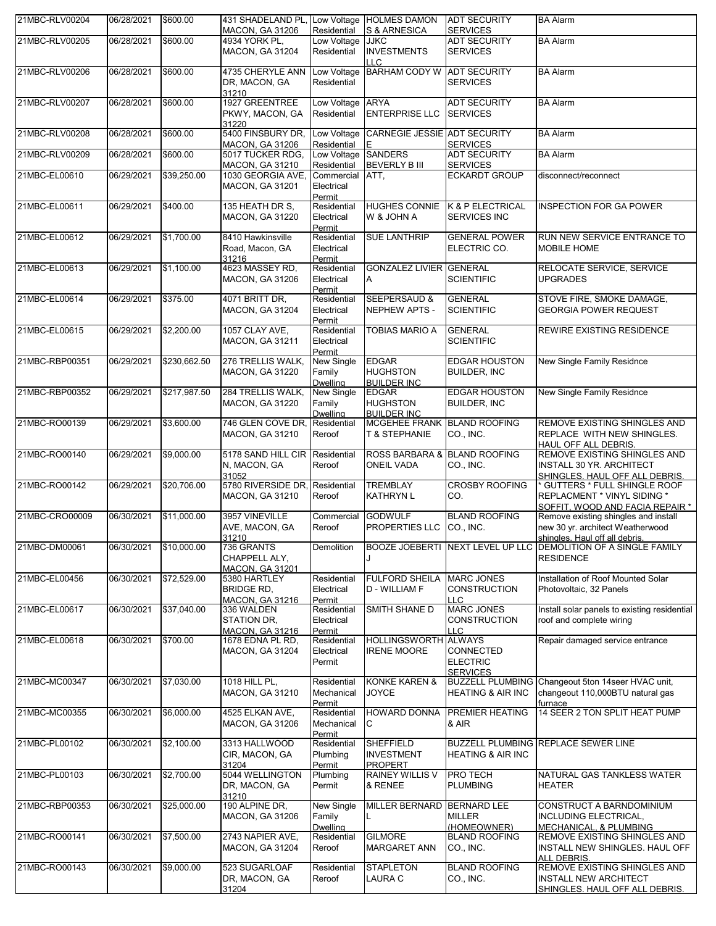| 21MBC-RLV00204 | 06/28/2021 | \$600.00     | 431 SHADELAND PL, Low Voltage HOLMES DAMON<br>MACON, GA 31206 | Residential                         | S & ARNESICA                                            | <b>ADT SECURITY</b><br><b>SERVICES</b>                           | <b>BA Alarm</b>                                                                                            |
|----------------|------------|--------------|---------------------------------------------------------------|-------------------------------------|---------------------------------------------------------|------------------------------------------------------------------|------------------------------------------------------------------------------------------------------------|
| 21MBC-RLV00205 | 06/28/2021 | \$600.00     | 4934 YORK PL,<br><b>MACON, GA 31204</b>                       | Low Voltage JJKC<br>Residential     | <b>INVESTMENTS</b><br>LLC.                              | <b>ADT SECURITY</b><br><b>SERVICES</b>                           | <b>BA Alarm</b>                                                                                            |
| 21MBC-RLV00206 | 06/28/2021 | \$600.00     | 4735 CHERYLE ANN<br>DR, MACON, GA<br>31210                    | Low Voltage<br>Residential          | <b>BARHAM CODY W</b>                                    | <b>ADT SECURITY</b><br><b>SERVICES</b>                           | <b>BA Alarm</b>                                                                                            |
| 21MBC-RLV00207 | 06/28/2021 | \$600.00     | 1927 GREENTREE<br>PKWY, MACON, GA<br>31220                    | Low Voltage<br>Residential          | <b>ARYA</b><br><b>ENTERPRISE LLC</b>                    | <b>ADT SECURITY</b><br><b>SERVICES</b>                           | <b>BA Alarm</b>                                                                                            |
| 21MBC-RLV00208 | 06/28/2021 | \$600.00     | 5400 FINSBURY DR,<br><b>MACON, GA 31206</b>                   | Residential E                       | Low Voltage CARNEGIE JESSIE ADT SECURITY                | <b>SERVICES</b>                                                  | <b>BA Alarm</b>                                                                                            |
| 21MBC-RLV00209 | 06/28/2021 | \$600.00     | 5017 TUCKER RDG,                                              | Low Voltage SANDERS                 |                                                         | <b>ADT SECURITY</b>                                              | <b>BA Alarm</b>                                                                                            |
| 21MBC-EL00610  | 06/29/2021 | \$39,250.00  | <b>MACON, GA 31210</b><br>1030 GEORGIA AVE.                   | Residential<br>Commercial ATT,      | <b>BEVERLY B III</b>                                    | <b>SERVICES</b><br><b>ECKARDT GROUP</b>                          | disconnect/reconnect                                                                                       |
|                |            |              | <b>MACON, GA 31201</b>                                        | Electrical<br>Permit                |                                                         |                                                                  |                                                                                                            |
| 21MBC-EL00611  | 06/29/2021 | \$400.00     | 135 HEATH DR S,<br>MACON, GA 31220                            | Residential<br>Electrical<br>Permit | <b>W &amp; JOHN A</b>                                   | HUGHES CONNIE K & P ELECTRICAL<br><b>SERVICES INC</b>            | <b>INSPECTION FOR GA POWER</b>                                                                             |
| 21MBC-EL00612  | 06/29/2021 | \$1,700.00   | 8410 Hawkinsville<br>Road, Macon, GA<br>31216                 | Residential<br>Electrical<br>Permit | <b>SUE LANTHRIP</b>                                     | <b>GENERAL POWER</b><br>ELECTRIC CO.                             | RUN NEW SERVICE ENTRANCE TO<br>MOBILE HOME                                                                 |
| 21MBC-EL00613  | 06/29/2021 | \$1,100.00   | 4623 MASSEY RD,<br><b>MACON, GA 31206</b>                     | Residential<br>Electrical<br>Permit | <b>GONZALEZ LIVIER GENERAL</b><br>Α                     | <b>SCIENTIFIC</b>                                                | RELOCATE SERVICE, SERVICE<br><b>UPGRADES</b>                                                               |
| 21MBC-EL00614  | 06/29/2021 | \$375.00     | 4071 BRITT DR.<br><b>MACON, GA 31204</b>                      | Residential<br>Electrical<br>Permit | <b>SEEPERSAUD &amp;</b><br>NEPHEW APTS -                | <b>GENERAL</b><br><b>SCIENTIFIC</b>                              | STOVE FIRE, SMOKE DAMAGE,<br><b>GEORGIA POWER REQUEST</b>                                                  |
| 21MBC-EL00615  | 06/29/2021 | \$2,200.00   | 1057 CLAY AVE.<br><b>MACON, GA 31211</b>                      | Residential<br>Electrical<br>Permit | TOBIAS MARIO A                                          | <b>GENERAL</b><br><b>SCIENTIFIC</b>                              | REWIRE EXISTING RESIDENCE                                                                                  |
| 21MBC-RBP00351 | 06/29/2021 | \$230,662.50 | 276 TRELLIS WALK,<br><b>MACON, GA 31220</b>                   | New Single<br>Family<br>Dwelling    | <b>EDGAR</b><br><b>HUGHSTON</b><br><b>BUILDER INC</b>   | <b>EDGAR HOUSTON</b><br><b>BUILDER, INC</b>                      | New Single Family Residnce                                                                                 |
| 21MBC-RBP00352 | 06/29/2021 | \$217,987.50 | 284 TRELLIS WALK,<br><b>MACON, GA 31220</b>                   | New Single<br>Family<br>Dwelling    | <b>EDGAR</b><br><b>HUGHSTON</b><br><b>BUILDER INC</b>   | <b>EDGAR HOUSTON</b><br><b>BUILDER, INC</b>                      | New Single Family Residnce                                                                                 |
| 21MBC-RO00139  | 06/29/2021 | \$3,600.00   | 746 GLEN COVE DR, Residential<br><b>MACON, GA 31210</b>       | Reroof                              | MCGEHEE FRANK BLAND ROOFING<br>T & STEPHANIE            | CO., INC.                                                        | REMOVE EXISTING SHINGLES AND<br>REPLACE WITH NEW SHINGLES.<br><b>HAUL OFF ALL DEBRIS.</b>                  |
| 21MBC-RO00140  | 06/29/2021 | \$9,000.00   | 5178 SAND HILL CIR<br>N, MACON, GA<br>31052                   | Residential<br>Reroof               | ROSS BARBARA &<br><b>ONEIL VADA</b>                     | <b>BLAND ROOFING</b><br>CO., INC.                                | REMOVE EXISTING SHINGLES AND<br><b>INSTALL 30 YR. ARCHITECT</b><br>SHINGLES. HAUL OFF ALL DEBRIS.          |
| 21MBC-RO00142  | 06/29/2021 | \$20,706.00  | 5780 RIVERSIDE DR, Residential<br><b>MACON, GA 31210</b>      | Reroof                              | <b>TREMBLAY</b><br><b>KATHRYN L</b>                     | <b>CROSBY ROOFING</b><br>CO.                                     | GUTTERS * FULL SHINGLE ROOF<br><b>REPLACMENT * VINYL SIDING *</b><br>SOFFIT, WOOD AND FACIA REPAIR *       |
| 21MBC-CRO00009 | 06/30/2021 | \$11,000.00  | 3957 VINEVILLE<br>AVE, MACON, GA<br>31210                     | Commercial<br>Reroof                | <b>GODWULF</b><br>PROPERTIES LLC                        | <b>BLAND ROOFING</b><br>CO., INC.                                | Remove existing shingles and install<br>new 30 yr. architect Weatherwood<br>shingles. Haul off all debris. |
| 21MBC-DM00061  | 06/30/2021 | \$10,000.00  | 736 GRANTS<br>CHAPPELL ALY,<br><b>MACON, GA 31201</b>         | Demolition                          |                                                         |                                                                  | BOOZE JOEBERTI NEXT LEVEL UP LLC DEMOLITION OF A SINGLE FAMILY<br><b>RESIDENCE</b>                         |
| 21MBC-EL00456  | 06/30/2021 | \$72,529.00  | 5380 HARTLEY<br><b>BRIDGE RD.</b><br><b>MACON, GA 31216</b>   | Residential<br>Electrical<br>Permit | FULFORD SHEILA MARC JONES<br>D - WILLIAM F              | <b>CONSTRUCTION</b><br>ILLC                                      | Installation of Roof Mounted Solar<br>Photovoltaic, 32 Panels                                              |
| 21MBC-EL00617  | 06/30/2021 | \$37,040.00  | 336 WALDEN<br>STATION DR,<br><b>MACON, GA 31216</b>           | Residential<br>Electrical<br>Permit | SMITH SHANE D                                           | <b>MARC JONES</b><br><b>CONSTRUCTION</b><br>LLC                  | Install solar panels to existing residential<br>roof and complete wiring                                   |
| 21MBC-EL00618  | 06/30/2021 | \$700.00     | 1678 EDNA PL RD,<br><b>MACON, GA 31204</b>                    | Residential<br>Electrical<br>Permit | <b>HOLLINGSWORTH</b><br><b>IRENE MOORE</b>              | <b>ALWAYS</b><br>CONNECTED<br><b>ELECTRIC</b><br><b>SERVICES</b> | Repair damaged service entrance                                                                            |
| 21MBC-MC00347  | 06/30/2021 | \$7,030.00   | 1018 HILL PL,<br><b>MACON, GA 31210</b>                       | Residential<br>Mechanical<br>Permit | <b>KONKE KAREN &amp;</b><br><b>JOYCE</b>                | <b>HEATING &amp; AIR INC</b>                                     | BUZZELL PLUMBING Changeout 5ton 14seer HVAC unit,<br>changeout 110,000BTU natural gas<br>furnace           |
| 21MBC-MC00355  | 06/30/2021 | \$6,000.00   | 4525 ELKAN AVE,<br>MACON, GA 31206                            | Residential<br>Mechanical<br>Permit | HOWARD DONNA<br>С                                       | PREMIER HEATING<br>& AIR                                         | 14 SEER 2 TON SPLIT HEAT PUMP                                                                              |
| 21MBC-PL00102  | 06/30/2021 | \$2,100.00   | 3313 HALLWOOD<br>CIR, MACON, GA<br>31204                      | Residential<br>Plumbing<br>Permit   | <b>SHEFFIELD</b><br><b>INVESTMENT</b><br><b>PROPERT</b> | <b>HEATING &amp; AIR INC</b>                                     | <b>BUZZELL PLUMBING REPLACE SEWER LINE</b>                                                                 |
| 21MBC-PL00103  | 06/30/2021 | \$2,700.00   | 5044 WELLINGTON<br>DR, MACON, GA<br>31210                     | Plumbing<br>Permit                  | <b>RAINEY WILLIS V</b><br>& RENEE                       | PRO TECH<br><b>PLUMBING</b>                                      | NATURAL GAS TANKLESS WATER<br><b>HEATER</b>                                                                |
| 21MBC-RBP00353 | 06/30/2021 | \$25,000.00  | 190 ALPINE DR,<br><b>MACON, GA 31206</b>                      | New Single<br>Family<br>Dwelling    | MILLER BERNARD BERNARD LEE<br>L.                        | <b>MILLER</b><br>(HOMEOWNER)                                     | CONSTRUCT A BARNDOMINIUM<br>INCLUDING ELECTRICAL,<br>MECHANICAL, & PLUMBING                                |
| 21MBC-RO00141  | 06/30/2021 | \$7,500.00   | 2743 NAPIER AVE,<br><b>MACON, GA 31204</b>                    | Residential<br>Reroof               | <b>GILMORE</b><br><b>MARGARET ANN</b>                   | <b>BLAND ROOFING</b><br>CO., INC.                                | REMOVE EXISTING SHINGLES AND<br>INSTALL NEW SHINGLES. HAUL OFF<br>ALL DEBRIS                               |
| 21MBC-RO00143  | 06/30/2021 | \$9,000.00   | 523 SUGARLOAF<br>DR, MACON, GA<br>31204                       | Residential<br>Reroof               | <b>STAPLETON</b><br>LAURA C                             | <b>BLAND ROOFING</b><br>CO., INC.                                | REMOVE EXISTING SHINGLES AND<br><b>INSTALL NEW ARCHITECT</b><br>SHINGLES. HAUL OFF ALL DEBRIS.             |